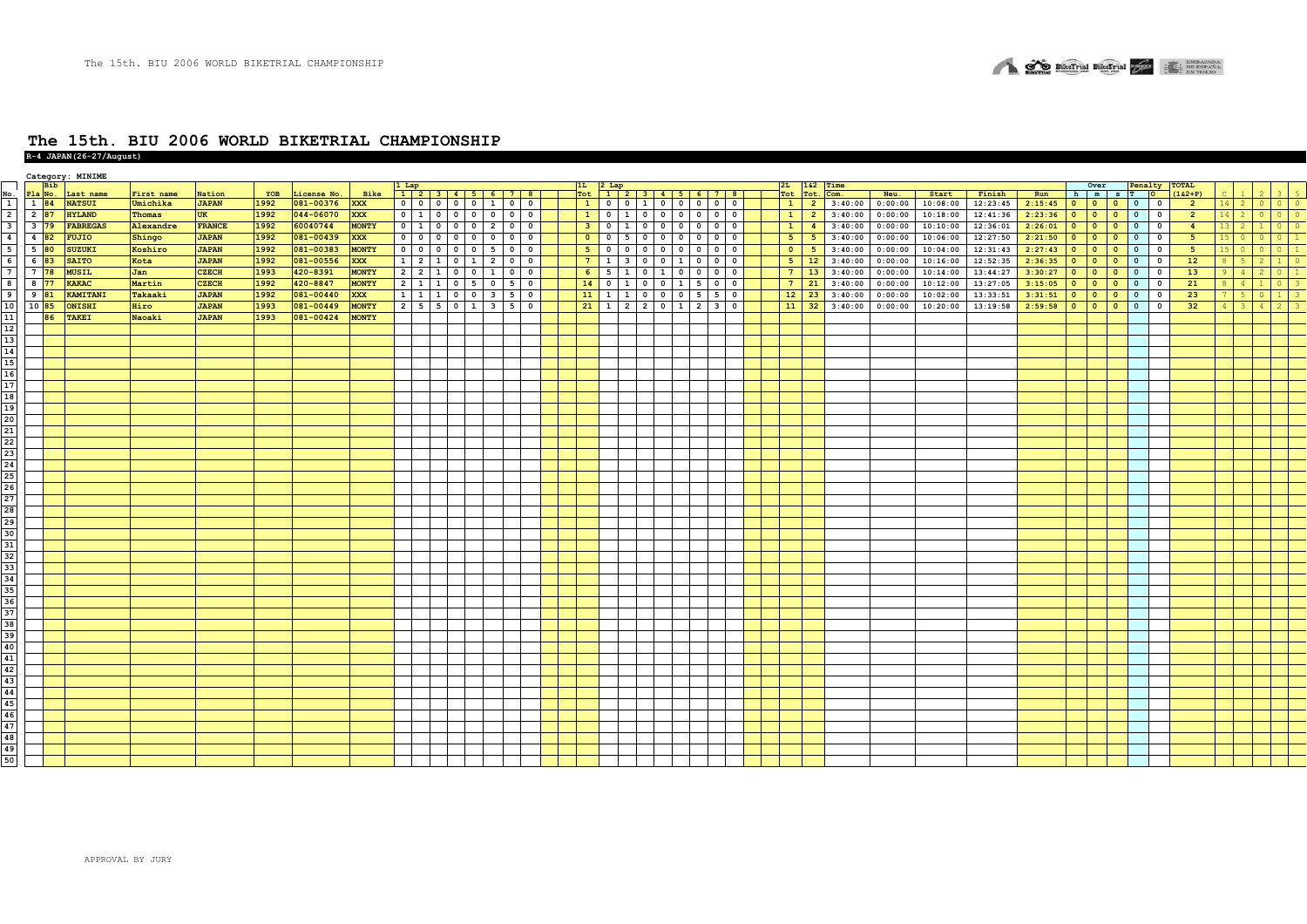

# **The 15th. BIU 2006 WORLD BIKETRIAL CHAMPIONSHIP R-4 JAPAN(26-27/August)**

|                                                                                       |                   |            | Category: MINIME  |            |               |      |             |              |                             |                |                                               |                         |                                         |                         |                         |                                            |           |                   |                                                                 |  |                 |                              |         |          |          |         |                                      |                        |                          |                          |                |                 |                |       |  |
|---------------------------------------------------------------------------------------|-------------------|------------|-------------------|------------|---------------|------|-------------|--------------|-----------------------------|----------------|-----------------------------------------------|-------------------------|-----------------------------------------|-------------------------|-------------------------|--------------------------------------------|-----------|-------------------|-----------------------------------------------------------------|--|-----------------|------------------------------|---------|----------|----------|---------|--------------------------------------|------------------------|--------------------------|--------------------------|----------------|-----------------|----------------|-------|--|
| No                                                                                    |                   | <b>Bib</b> | Pla No. Last name | First name | Nation        | YOB  | License No. | Bike         |                             |                |                                               |                         |                                         |                         |                         |                                            |           |                   | $\frac{ 1L }{ 10t }$ $\frac{ 2Lap }{ 1  2  3  4  5  6  7  8  }$ |  |                 | 2L 162 Time<br>Tot Tot. Com. | Neu.    | Start    | Finish   | Run     | h m s T O                            | Over                   |                          | Penalty TOTAL            | $(162+P)$      |                 |                |       |  |
|                                                                                       | 1 84              |            | <b>NATSUI</b>     | Umichika   | <b>JAPAN</b>  | 1992 | 081-00376   | <b>XXX</b>   |                             |                | 0 0 0 0 0 1 1 0                               |                         | $\circ$                                 | $\mathbf{1}$            |                         |                                            |           |                   | $0 \t0 \t1 \t0 \t0 \t0 \t0$                                     |  | $1 \mid 2$      | 3:40:00                      | 0:00:00 | 10:08:00 | 12:23:45 | 2:15:45 |                                      |                        |                          |                          | $\overline{2}$ | $14 2$          |                | 0 0 0 |  |
| $\overline{2}$                                                                        | 2 87              |            | <b>HYLAND</b>     | Thomas     |               | 1992 | 044-06070   | <b>XXX</b>   | $0 \quad 1$                 |                |                                               |                         | $\overline{0}$                          | $\mathbf{1}$            |                         |                                            |           |                   | 0 1 0 0 0 0 0 0                                                 |  | $\vert 1 \vert$ | 3:40:00                      |         | 10:18:00 |          |         |                                      |                        |                          |                          | $\overline{2}$ | $14$ 2          |                |       |  |
|                                                                                       |                   |            |                   |            | UK            |      |             |              |                             |                |                                               |                         |                                         |                         |                         |                                            |           |                   |                                                                 |  |                 | $\overline{2}$               | 0:00:00 |          | 12:41:36 | 2:23:36 | $0$ 0 0                              |                        |                          |                          |                |                 |                | I 0   |  |
|                                                                                       | $3 \overline{79}$ |            | <b>FABREGAS</b>   | Alexandre  | <b>FRANCE</b> | 1992 | 60040744    | <b>MONTY</b> |                             |                | 0 1 0 0 0 2 0                                 |                         | $\circ$                                 | 3 <sup>2</sup>          |                         |                                            |           |                   | 0  1 0 0 0 0 0 0                                                |  | $\mathbf{1}$    | 3:40:00<br>$\frac{4}{ }$     | 0:00:00 | 10:10:00 | 12:36:01 | 2:26:01 | $\bullet$                            |                        |                          | $\overline{\phantom{a}}$ | $\overline{4}$ | 13 <sup>1</sup> |                |       |  |
| $\overline{4}$                                                                        | 4 82              |            | <b>FUJIO</b>      | Shingo     | <b>JAPAN</b>  | 1992 | 081-00439   | <b>XXX</b>   | $0$ 0                       | $\overline{0}$ | $0$ 0                                         | $0$ 0                   | $\overline{0}$                          | $\overline{\mathbf{0}}$ | $0 \mid 5$              |                                            |           |                   | 0 0 0 0 0 0                                                     |  | 5 <sub>1</sub>  | 3:40:00<br>5 <sub>5</sub>    | 0:00:00 | 10:06:00 | 12:27:50 | 2:21:50 |                                      | $\bullet$              | $\overline{\phantom{a}}$ | $\overline{\phantom{a}}$ | 5              |                 |                |       |  |
| 5                                                                                     | $5\overline{80}$  |            | SUZUKI            | Koshiro    | <b>JAPAN</b>  | 1992 | 081-00383   | <b>MONTY</b> | $0$   0                     | $\overline{0}$ | $\overline{\mathbf{0}}$<br>$\circ$            | $5 \quad 0$             | $\circ$                                 | 5 <sub>1</sub>          | $0$ 0                   |                                            |           |                   |                                                                 |  | $\bullet$       | 3:40:00<br>5 <sub>5</sub>    | 0:00:00 | 10:04:00 | 12:31:43 | 2:27:43 | $0$ 0                                | $\bullet$              | $\overline{\phantom{a}}$ | $\overline{\phantom{a}}$ | 5              |                 | - 0            |       |  |
| 6                                                                                     | 6 83              |            | <b>SAITO</b>      | Kota       | <b>JAPAN</b>  | 1992 | 081-00556   | <b>XXX</b>   | $1 \quad$<br>$\overline{2}$ |                | $0 \mid 1$                                    | $\overline{2}$          | $\overline{\mathbf{0}}$<br>$\mathbf 0$  | 7 <sup>7</sup>          | $\mathbf{1}$            | $\overline{\mathbf{3}}$                    | $0 0 1 0$ |                   | $0$ 0                                                           |  | $5 \mid 12$     | 3:40:00                      | 0:00:00 | 10:16:00 | 12:52:35 | 2:36:35 | $\overline{\mathbf{0}}$<br>$\bullet$ | $\bullet$              | $\overline{\phantom{a}}$ | $\overline{\phantom{0}}$ | 12             |                 |                |       |  |
|                                                                                       | 7 78              |            | <b>MUSIL</b>      | Jan        | <b>CZECH</b>  | 1993 | 420-8391    | <b>MONTY</b> | $2 \mid 2$                  |                | $\mathbf{0}$<br>$\overline{0}$                | $\mathbf{1}$            | $\mathbf{o}$<br>$\overline{\mathbf{0}}$ | 6 <sup>1</sup>          | 5                       | $\overline{0}$<br>$\overline{1}$           | <b>1</b>  | 0 <sub>0</sub>    | $0$ 0                                                           |  | 7 <sup>7</sup>  | 13<br>3:40:00                | 0:00:00 | 10:14:00 | 13:44:27 | 3:30:27 | $\bullet$<br>$\bullet$               | $\bullet$              | $\overline{0}$           | $\overline{\mathbf{0}}$  | 13             |                 |                |       |  |
|                                                                                       | 8 77              |            | <b>KAKAC</b>      | Martin     | <b>CZECH</b>  | 1992 | 420-8847    | <b>MONTY</b> | $2 \mid 1 \mid 1 \mid$      |                | $0 \mid 5$                                    | $\mathbf{0}$            | 5<br>$\overline{0}$                     | 14                      | $\overline{\mathbf{0}}$ | $\overline{1}$<br>$\overline{\phantom{0}}$ |           | $0 \mid 1 \mid 5$ | $0$ 0                                                           |  | $7 \mid 21$     | 3:40:00                      | 0:00:00 | 10:12:00 | 13:27:05 | 3:15:05 | $\bullet$<br>$\bullet$               | $\bullet$              | $\overline{\phantom{a}}$ | $\overline{\phantom{0}}$ | 21             | $8-1$           | $\overline{4}$ |       |  |
| 9                                                                                     | 9 81              |            | KAMITANI          | Takaaki    | <b>JAPAN</b>  | 1992 | 081-00440   | <b>XXX</b>   | 1 1 1 1 1                   |                | $0$ 0                                         | $\overline{\mathbf{3}}$ | 5<br>$\overline{\mathbf{0}}$            | 11                      | <sup>1</sup>            | $\mathbf{1}$                               |           |                   |                                                                 |  | 12<br>23        | 3:40:00                      | 0:00:00 | 10:02:00 | 13:33:51 | 3:31:51 | $\bullet$                            | $\bullet$<br>$\bullet$ | $\bullet$                | $\overline{\mathbf{0}}$  | 23             | 7 <sup>1</sup>  |                |       |  |
| 10                                                                                    | 10 85             |            | ONISHI            | Hiro       | <b>JAPAN</b>  | 1993 | 081-00449   | <b>MONTY</b> |                             |                | $2 \mid 5 \mid 5 \mid 0 \mid 1 \mid 3 \mid 5$ |                         | $\overline{0}$                          | 21                      |                         |                                            |           |                   | $1 \mid 2 \mid 2 \mid 0 \mid 1 \mid 2 \mid 3 \mid 0$            |  | $11 \mid 32$    | 3:40:00                      | 0:00:00 | 10:20:00 | 13:19:58 | 2:59:58 |                                      |                        |                          | $\overline{\phantom{a}}$ | 32             | $4 \mid 3$      |                | 4 2   |  |
| $\frac{11}{12}$                                                                       |                   | 86         | TAKEI             | Naoaki     | <b>JAPAN</b>  | 1993 | 081-00424   | <b>MONTY</b> |                             |                |                                               |                         |                                         |                         |                         |                                            |           |                   |                                                                 |  |                 |                              |         |          |          |         |                                      |                        |                          |                          |                |                 |                |       |  |
|                                                                                       |                   |            |                   |            |               |      |             |              |                             |                |                                               |                         |                                         |                         |                         |                                            |           |                   |                                                                 |  |                 |                              |         |          |          |         |                                      |                        |                          |                          |                |                 |                |       |  |
|                                                                                       |                   |            |                   |            |               |      |             |              |                             |                |                                               |                         |                                         |                         |                         |                                            |           |                   |                                                                 |  |                 |                              |         |          |          |         |                                      |                        |                          |                          |                |                 |                |       |  |
|                                                                                       |                   |            |                   |            |               |      |             |              |                             |                |                                               |                         |                                         |                         |                         |                                            |           |                   |                                                                 |  |                 |                              |         |          |          |         |                                      |                        |                          |                          |                |                 |                |       |  |
|                                                                                       |                   |            |                   |            |               |      |             |              |                             |                |                                               |                         |                                         |                         |                         |                                            |           |                   |                                                                 |  |                 |                              |         |          |          |         |                                      |                        |                          |                          |                |                 |                |       |  |
| $\begin{array}{c}\n 13 \\  \hline\n 14 \\  \hline\n 15 \\  \hline\n 16\n \end{array}$ |                   |            |                   |            |               |      |             |              |                             |                |                                               |                         |                                         |                         |                         |                                            |           |                   |                                                                 |  |                 |                              |         |          |          |         |                                      |                        |                          |                          |                |                 |                |       |  |
|                                                                                       |                   |            |                   |            |               |      |             |              |                             |                |                                               |                         |                                         |                         |                         |                                            |           |                   |                                                                 |  |                 |                              |         |          |          |         |                                      |                        |                          |                          |                |                 |                |       |  |
| $\begin{array}{c}\n\overline{17} \\ \overline{18} \\ \overline{19}\n\end{array}$      |                   |            |                   |            |               |      |             |              |                             |                |                                               |                         |                                         |                         |                         |                                            |           |                   |                                                                 |  |                 |                              |         |          |          |         |                                      |                        |                          |                          |                |                 |                |       |  |
|                                                                                       |                   |            |                   |            |               |      |             |              |                             |                |                                               |                         |                                         |                         |                         |                                            |           |                   |                                                                 |  |                 |                              |         |          |          |         |                                      |                        |                          |                          |                |                 |                |       |  |
|                                                                                       |                   |            |                   |            |               |      |             |              |                             |                |                                               |                         |                                         |                         |                         |                                            |           |                   |                                                                 |  |                 |                              |         |          |          |         |                                      |                        |                          |                          |                |                 |                |       |  |
| 20                                                                                    |                   |            |                   |            |               |      |             |              |                             |                |                                               |                         |                                         |                         |                         |                                            |           |                   |                                                                 |  |                 |                              |         |          |          |         |                                      |                        |                          |                          |                |                 |                |       |  |
|                                                                                       |                   |            |                   |            |               |      |             |              |                             |                |                                               |                         |                                         |                         |                         |                                            |           |                   |                                                                 |  |                 |                              |         |          |          |         |                                      |                        |                          |                          |                |                 |                |       |  |
|                                                                                       |                   |            |                   |            |               |      |             |              |                             |                |                                               |                         |                                         |                         |                         |                                            |           |                   |                                                                 |  |                 |                              |         |          |          |         |                                      |                        |                          |                          |                |                 |                |       |  |
|                                                                                       |                   |            |                   |            |               |      |             |              |                             |                |                                               |                         |                                         |                         |                         |                                            |           |                   |                                                                 |  |                 |                              |         |          |          |         |                                      |                        |                          |                          |                |                 |                |       |  |
|                                                                                       |                   |            |                   |            |               |      |             |              |                             |                |                                               |                         |                                         |                         |                         |                                            |           |                   |                                                                 |  |                 |                              |         |          |          |         |                                      |                        |                          |                          |                |                 |                |       |  |
|                                                                                       |                   |            |                   |            |               |      |             |              |                             |                |                                               |                         |                                         |                         |                         |                                            |           |                   |                                                                 |  |                 |                              |         |          |          |         |                                      |                        |                          |                          |                |                 |                |       |  |
|                                                                                       |                   |            |                   |            |               |      |             |              |                             |                |                                               |                         |                                         |                         |                         |                                            |           |                   |                                                                 |  |                 |                              |         |          |          |         |                                      |                        |                          |                          |                |                 |                |       |  |
|                                                                                       |                   |            |                   |            |               |      |             |              |                             |                |                                               |                         |                                         |                         |                         |                                            |           |                   |                                                                 |  |                 |                              |         |          |          |         |                                      |                        |                          |                          |                |                 |                |       |  |
|                                                                                       |                   |            |                   |            |               |      |             |              |                             |                |                                               |                         |                                         |                         |                         |                                            |           |                   |                                                                 |  |                 |                              |         |          |          |         |                                      |                        |                          |                          |                |                 |                |       |  |
|                                                                                       |                   |            |                   |            |               |      |             |              |                             |                |                                               |                         |                                         |                         |                         |                                            |           |                   |                                                                 |  |                 |                              |         |          |          |         |                                      |                        |                          |                          |                |                 |                |       |  |
|                                                                                       |                   |            |                   |            |               |      |             |              |                             |                |                                               |                         |                                         |                         |                         |                                            |           |                   |                                                                 |  |                 |                              |         |          |          |         |                                      |                        |                          |                          |                |                 |                |       |  |
|                                                                                       |                   |            |                   |            |               |      |             |              |                             |                |                                               |                         |                                         |                         |                         |                                            |           |                   |                                                                 |  |                 |                              |         |          |          |         |                                      |                        |                          |                          |                |                 |                |       |  |
|                                                                                       |                   |            |                   |            |               |      |             |              |                             |                |                                               |                         |                                         |                         |                         |                                            |           |                   |                                                                 |  |                 |                              |         |          |          |         |                                      |                        |                          |                          |                |                 |                |       |  |
|                                                                                       |                   |            |                   |            |               |      |             |              |                             |                |                                               |                         |                                         |                         |                         |                                            |           |                   |                                                                 |  |                 |                              |         |          |          |         |                                      |                        |                          |                          |                |                 |                |       |  |
|                                                                                       |                   |            |                   |            |               |      |             |              |                             |                |                                               |                         |                                         |                         |                         |                                            |           |                   |                                                                 |  |                 |                              |         |          |          |         |                                      |                        |                          |                          |                |                 |                |       |  |
|                                                                                       |                   |            |                   |            |               |      |             |              |                             |                |                                               |                         |                                         |                         |                         |                                            |           |                   |                                                                 |  |                 |                              |         |          |          |         |                                      |                        |                          |                          |                |                 |                |       |  |
|                                                                                       |                   |            |                   |            |               |      |             |              |                             |                |                                               |                         |                                         |                         |                         |                                            |           |                   |                                                                 |  |                 |                              |         |          |          |         |                                      |                        |                          |                          |                |                 |                |       |  |
|                                                                                       |                   |            |                   |            |               |      |             |              |                             |                |                                               |                         |                                         |                         |                         |                                            |           |                   |                                                                 |  |                 |                              |         |          |          |         |                                      |                        |                          |                          |                |                 |                |       |  |
|                                                                                       |                   |            |                   |            |               |      |             |              |                             |                |                                               |                         |                                         |                         |                         |                                            |           |                   |                                                                 |  |                 |                              |         |          |          |         |                                      |                        |                          |                          |                |                 |                |       |  |
|                                                                                       |                   |            |                   |            |               |      |             |              |                             |                |                                               |                         |                                         |                         |                         |                                            |           |                   |                                                                 |  |                 |                              |         |          |          |         |                                      |                        |                          |                          |                |                 |                |       |  |
|                                                                                       |                   |            |                   |            |               |      |             |              |                             |                |                                               |                         |                                         |                         |                         |                                            |           |                   |                                                                 |  |                 |                              |         |          |          |         |                                      |                        |                          |                          |                |                 |                |       |  |
|                                                                                       |                   |            |                   |            |               |      |             |              |                             |                |                                               |                         |                                         |                         |                         |                                            |           |                   |                                                                 |  |                 |                              |         |          |          |         |                                      |                        |                          |                          |                |                 |                |       |  |
|                                                                                       |                   |            |                   |            |               |      |             |              |                             |                |                                               |                         |                                         |                         |                         |                                            |           |                   |                                                                 |  |                 |                              |         |          |          |         |                                      |                        |                          |                          |                |                 |                |       |  |
|                                                                                       |                   |            |                   |            |               |      |             |              |                             |                |                                               |                         |                                         |                         |                         |                                            |           |                   |                                                                 |  |                 |                              |         |          |          |         |                                      |                        |                          |                          |                |                 |                |       |  |
|                                                                                       |                   |            |                   |            |               |      |             |              |                             |                |                                               |                         |                                         |                         |                         |                                            |           |                   |                                                                 |  |                 |                              |         |          |          |         |                                      |                        |                          |                          |                |                 |                |       |  |
|                                                                                       |                   |            |                   |            |               |      |             |              |                             |                |                                               |                         |                                         |                         |                         |                                            |           |                   |                                                                 |  |                 |                              |         |          |          |         |                                      |                        |                          |                          |                |                 |                |       |  |
| $\begin{array}{c}\n43 \\ 44 \\ \hline\n45\n\end{array}$                               |                   |            |                   |            |               |      |             |              |                             |                |                                               |                         |                                         |                         |                         |                                            |           |                   |                                                                 |  |                 |                              |         |          |          |         |                                      |                        |                          |                          |                |                 |                |       |  |
| 46                                                                                    |                   |            |                   |            |               |      |             |              |                             |                |                                               |                         |                                         |                         |                         |                                            |           |                   |                                                                 |  |                 |                              |         |          |          |         |                                      |                        |                          |                          |                |                 |                |       |  |
| $\frac{47}{48}$                                                                       |                   |            |                   |            |               |      |             |              |                             |                |                                               |                         |                                         |                         |                         |                                            |           |                   |                                                                 |  |                 |                              |         |          |          |         |                                      |                        |                          |                          |                |                 |                |       |  |
|                                                                                       |                   |            |                   |            |               |      |             |              |                             |                |                                               |                         |                                         |                         |                         |                                            |           |                   |                                                                 |  |                 |                              |         |          |          |         |                                      |                        |                          |                          |                |                 |                |       |  |
| 49                                                                                    |                   |            |                   |            |               |      |             |              |                             |                |                                               |                         |                                         |                         |                         |                                            |           |                   |                                                                 |  |                 |                              |         |          |          |         |                                      |                        |                          |                          |                |                 |                |       |  |
| $\overline{50}$                                                                       |                   |            |                   |            |               |      |             |              |                             |                |                                               |                         |                                         |                         |                         |                                            |           |                   |                                                                 |  |                 |                              |         |          |          |         |                                      |                        |                          |                          |                |                 |                |       |  |
|                                                                                       |                   |            |                   |            |               |      |             |              |                             |                |                                               |                         |                                         |                         |                         |                                            |           |                   |                                                                 |  |                 |                              |         |          |          |         |                                      |                        |                          |                          |                |                 |                |       |  |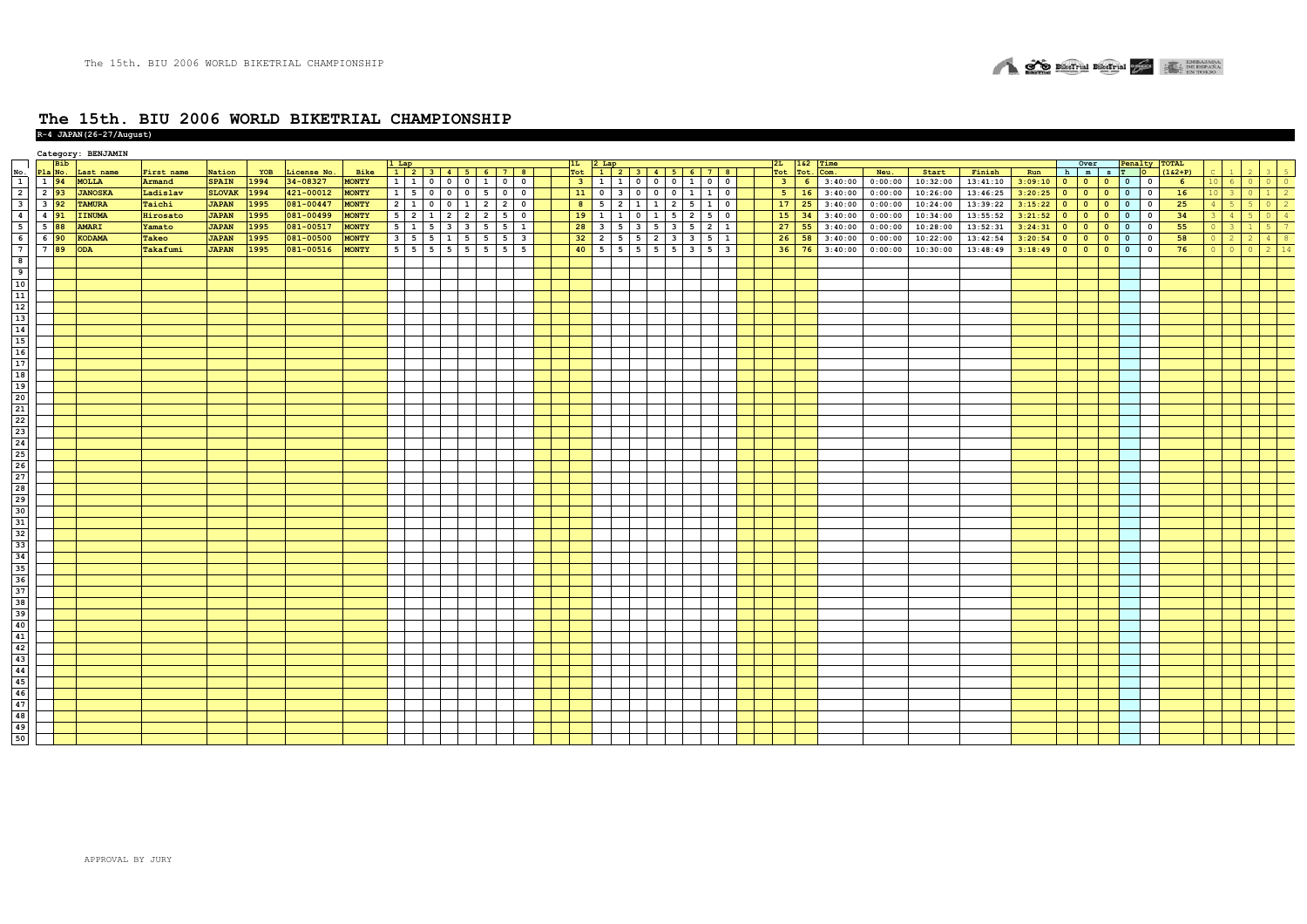

#### **The 15th. BIU 2006 WORLD BIKETRIAL CHAMPIONSHIP R-4 JAPAN(26-27/August)**

|                                                                                                                                                                                                                                |                                 |     | Category: BENJAMIN |            |               |      |             |              |                                 |                |                         |                                                 |                         |                |                |                         |                         |             |              |                   |                         |                |                |         |         |          |          |         |                             |              |                |                               |                 |         |             |    |
|--------------------------------------------------------------------------------------------------------------------------------------------------------------------------------------------------------------------------------|---------------------------------|-----|--------------------|------------|---------------|------|-------------|--------------|---------------------------------|----------------|-------------------------|-------------------------------------------------|-------------------------|----------------|----------------|-------------------------|-------------------------|-------------|--------------|-------------------|-------------------------|----------------|----------------|---------|---------|----------|----------|---------|-----------------------------|--------------|----------------|-------------------------------|-----------------|---------|-------------|----|
|                                                                                                                                                                                                                                |                                 | Bib |                    |            |               |      |             |              |                                 |                |                         | 1 Lap<br>  1    2    3    4    5    6    7    8 |                         |                |                |                         |                         |             |              |                   |                         | 2L             | 162            | Time    |         |          |          |         | Over                        |              |                | Penalty TOTAL                 |                 |         |             |    |
|                                                                                                                                                                                                                                |                                 |     | Last name          | First name | Nation        | YOB  | License No. | Bike         |                                 |                |                         |                                                 |                         |                |                |                         |                         |             |              |                   |                         | Tot            | Tot.           | Com.    | Neu.    | Start    | Finish   | Run     | h m s T O                   |              |                | $(162+P)$                     |                 |         |             |    |
|                                                                                                                                                                                                                                | No. Pla No.<br>1 1 94<br>2 2 93 |     | <b>MOLLA</b>       | Armand     | <b>SPAIN</b>  | 1994 | 34-08327    | <b>MONTY</b> | $1$ $1$ $0$ $0$ $0$             |                |                         | 1 0 0                                           |                         | 3 <sup>1</sup> |                | $1 \mid 1$              | $0 \t0 \t1$             |             |              | $0$ 0             |                         | 3 <sup>o</sup> | 6 <sup>1</sup> | 3:40:00 | 0:00:00 | 10:32:00 | 13:41:10 | 3:09:10 | $0$ 0                       | $\bullet$    | $\overline{0}$ | $\overline{\mathbf{0}}$<br>6  | 10 <sub>6</sub> | $\circ$ | $\Omega$    |    |
|                                                                                                                                                                                                                                |                                 |     | <b>JANOSKA</b>     | Ladislav   | <b>SLOVAK</b> | 1994 | 421-00012   | <b>MONTY</b> |                                 |                |                         | $1 \mid 5 \mid 0 \mid 0 \mid 0 \mid 5 \mid 0$   | $\overline{\mathbf{0}}$ | 11             | $\overline{0}$ | $\overline{\mathbf{3}}$ | $\overline{\mathbf{0}}$ | $0$ 0       |              | $1 \mid 1 \mid 0$ |                         | $5-1$          | 16             | 3:40:00 | 0:00:00 | 10:26:00 | 13:46:25 | 3:20:25 | $\bullet$<br>$\overline{0}$ | $\mathbf{0}$ | $\overline{0}$ | 16<br>$\mathbf 0$             |                 |         |             |    |
| $\overline{\mathbf{3}}$                                                                                                                                                                                                        | $3\overline{)92}$               |     | <b>TAMURA</b>      | Taichi     | <b>JAPAN</b>  | 1995 | 081-00447   | <b>MONTY</b> | $2 \mid 1 \mid 0 \mid 0 \mid 1$ |                |                         | $2 \mid 2 \mid$                                 | $\circ$                 | 8 <sup>1</sup> | 5              | $\overline{2}$          | $\mathbf{1}$            | $1 \mid 2$  |              | $5 \mid 1 \mid 0$ |                         | 17             | 25             | 3:40:00 | 0:00:00 | 10:24:00 | 13:39:22 | 3:15:22 | $\bullet$<br>$\overline{0}$ | $\circ$      | $\overline{0}$ | $\overline{0}$<br>25          |                 |         |             |    |
| $\overline{4}$                                                                                                                                                                                                                 | 4 91                            |     | <b>IINUMA</b>      | Hirosato   | <b>JAPAN</b>  | 1995 | 081-00499   | <b>MONTY</b> | $5 \mid 2 \mid 1$               | $\overline{2}$ | $\overline{2}$          | $2 \mid 5$                                      | $\mathbf 0$             | 19             | $\mathbf{1}$   | $\mathbf{1}$            | $\Omega$                |             |              | 5                 | $\overline{\mathbf{0}}$ | 15             | 34             | 3:40:00 | 0:00:00 | 10:34:00 | 13:55:52 | 3:21:52 | $\bullet$<br>$\bullet$      | $\circ$      | $\mathbf{o}$   | 34<br>$\mathbf 0$             |                 |         |             |    |
| $\overline{\phantom{a}}$                                                                                                                                                                                                       | 5 88                            |     | <b>AMARI</b>       | Yamato     | <b>JAPAN</b>  | 1995 | 081-00517   | MONTY        | $5 \quad 1 \quad 5$             | $\mathbf{3}$   | $\overline{\mathbf{3}}$ | $5 \quad 5$                                     | $\mathbf{1}$            | 28             | 3              | -5                      | $\mathbf{3}$            | 5<br>$_{3}$ | -5           | $2 \mid 1$        |                         | 27             | 55             | 3:40:00 | 0:00:00 | 10:28:00 | 13:52:31 | 3:24:31 | $\bullet$<br>$\bullet$      | $\mathbf{0}$ | $\overline{0}$ | 55<br>$\mathbf 0$             |                 |         |             |    |
| $6\overline{6}$                                                                                                                                                                                                                | $6\overline{90}$                |     | <b>KODAMA</b>      | Takeo      | <b>JAPAN</b>  | 1995 | 081-00500   | <b>MONTY</b> | $3 \mid 5 \mid 5 \mid 1$        |                | 5                       | 5 5                                             | $\overline{\mathbf{3}}$ | 32             | $\overline{2}$ | 5                       | 5                       | 2 3         | $\mathbf{3}$ | $5 \mid 1$        |                         | 26             | 58             | 3:40:00 | 0:00:00 | 10:22:00 | 13:42:54 | 3:20:54 | $\bullet$<br>$\bullet$      | $\bullet$    | $\overline{0}$ | $\mathbf 0$<br>58             |                 |         | $4^{\circ}$ |    |
| $\overline{ }$                                                                                                                                                                                                                 | $7^{89}$                        |     | <b>ODA</b>         | Takafumi   | <b>JAPAN</b>  | 1995 | 081-00516   | <b>MONTY</b> | 55555                           |                | 5                       | $5 \mid 5 \mid$                                 | 5                       | 40             |                | $5 \mid 5$              | 5                       | $5 \quad 5$ | l 3 l        | $5 \mid 3$        |                         | 36             | 76             | 3:40:00 | 0:00:00 | 10:30:00 | 13:48:49 | 3:18:49 | $0$ 0 0                     |              | $\bullet$      | 76<br>$\overline{\mathbf{0}}$ |                 |         |             | 14 |
|                                                                                                                                                                                                                                |                                 |     |                    |            |               |      |             |              |                                 |                |                         |                                                 |                         |                |                |                         |                         |             |              |                   |                         |                |                |         |         |          |          |         |                             |              |                |                               |                 |         |             |    |
|                                                                                                                                                                                                                                |                                 |     |                    |            |               |      |             |              |                                 |                |                         |                                                 |                         |                |                |                         |                         |             |              |                   |                         |                |                |         |         |          |          |         |                             |              |                |                               |                 |         |             |    |
|                                                                                                                                                                                                                                |                                 |     |                    |            |               |      |             |              |                                 |                |                         |                                                 |                         |                |                |                         |                         |             |              |                   |                         |                |                |         |         |          |          |         |                             |              |                |                               |                 |         |             |    |
|                                                                                                                                                                                                                                |                                 |     |                    |            |               |      |             |              |                                 |                |                         |                                                 |                         |                |                |                         |                         |             |              |                   |                         |                |                |         |         |          |          |         |                             |              |                |                               |                 |         |             |    |
|                                                                                                                                                                                                                                |                                 |     |                    |            |               |      |             |              |                                 |                |                         |                                                 |                         |                |                |                         |                         |             |              |                   |                         |                |                |         |         |          |          |         |                             |              |                |                               |                 |         |             |    |
|                                                                                                                                                                                                                                |                                 |     |                    |            |               |      |             |              |                                 |                |                         |                                                 |                         |                |                |                         |                         |             |              |                   |                         |                |                |         |         |          |          |         |                             |              |                |                               |                 |         |             |    |
|                                                                                                                                                                                                                                |                                 |     |                    |            |               |      |             |              |                                 |                |                         |                                                 |                         |                |                |                         |                         |             |              |                   |                         |                |                |         |         |          |          |         |                             |              |                |                               |                 |         |             |    |
|                                                                                                                                                                                                                                |                                 |     |                    |            |               |      |             |              |                                 |                |                         |                                                 |                         |                |                |                         |                         |             |              |                   |                         |                |                |         |         |          |          |         |                             |              |                |                               |                 |         |             |    |
|                                                                                                                                                                                                                                |                                 |     |                    |            |               |      |             |              |                                 |                |                         |                                                 |                         |                |                |                         |                         |             |              |                   |                         |                |                |         |         |          |          |         |                             |              |                |                               |                 |         |             |    |
|                                                                                                                                                                                                                                |                                 |     |                    |            |               |      |             |              |                                 |                |                         |                                                 |                         |                |                |                         |                         |             |              |                   |                         |                |                |         |         |          |          |         |                             |              |                |                               |                 |         |             |    |
|                                                                                                                                                                                                                                |                                 |     |                    |            |               |      |             |              |                                 |                |                         |                                                 |                         |                |                |                         |                         |             |              |                   |                         |                |                |         |         |          |          |         |                             |              |                |                               |                 |         |             |    |
|                                                                                                                                                                                                                                |                                 |     |                    |            |               |      |             |              |                                 |                |                         |                                                 |                         |                |                |                         |                         |             |              |                   |                         |                |                |         |         |          |          |         |                             |              |                |                               |                 |         |             |    |
|                                                                                                                                                                                                                                |                                 |     |                    |            |               |      |             |              |                                 |                |                         |                                                 |                         |                |                |                         |                         |             |              |                   |                         |                |                |         |         |          |          |         |                             |              |                |                               |                 |         |             |    |
|                                                                                                                                                                                                                                |                                 |     |                    |            |               |      |             |              |                                 |                |                         |                                                 |                         |                |                |                         |                         |             |              |                   |                         |                |                |         |         |          |          |         |                             |              |                |                               |                 |         |             |    |
|                                                                                                                                                                                                                                |                                 |     |                    |            |               |      |             |              |                                 |                |                         |                                                 |                         |                |                |                         |                         |             |              |                   |                         |                |                |         |         |          |          |         |                             |              |                |                               |                 |         |             |    |
|                                                                                                                                                                                                                                |                                 |     |                    |            |               |      |             |              |                                 |                |                         |                                                 |                         |                |                |                         |                         |             |              |                   |                         |                |                |         |         |          |          |         |                             |              |                |                               |                 |         |             |    |
|                                                                                                                                                                                                                                |                                 |     |                    |            |               |      |             |              |                                 |                |                         |                                                 |                         |                |                |                         |                         |             |              |                   |                         |                |                |         |         |          |          |         |                             |              |                |                               |                 |         |             |    |
|                                                                                                                                                                                                                                |                                 |     |                    |            |               |      |             |              |                                 |                |                         |                                                 |                         |                |                |                         |                         |             |              |                   |                         |                |                |         |         |          |          |         |                             |              |                |                               |                 |         |             |    |
|                                                                                                                                                                                                                                |                                 |     |                    |            |               |      |             |              |                                 |                |                         |                                                 |                         |                |                |                         |                         |             |              |                   |                         |                |                |         |         |          |          |         |                             |              |                |                               |                 |         |             |    |
|                                                                                                                                                                                                                                |                                 |     |                    |            |               |      |             |              |                                 |                |                         |                                                 |                         |                |                |                         |                         |             |              |                   |                         |                |                |         |         |          |          |         |                             |              |                |                               |                 |         |             |    |
|                                                                                                                                                                                                                                |                                 |     |                    |            |               |      |             |              |                                 |                |                         |                                                 |                         |                |                |                         |                         |             |              |                   |                         |                |                |         |         |          |          |         |                             |              |                |                               |                 |         |             |    |
|                                                                                                                                                                                                                                |                                 |     |                    |            |               |      |             |              |                                 |                |                         |                                                 |                         |                |                |                         |                         |             |              |                   |                         |                |                |         |         |          |          |         |                             |              |                |                               |                 |         |             |    |
|                                                                                                                                                                                                                                |                                 |     |                    |            |               |      |             |              |                                 |                |                         |                                                 |                         |                |                |                         |                         |             |              |                   |                         |                |                |         |         |          |          |         |                             |              |                |                               |                 |         |             |    |
|                                                                                                                                                                                                                                |                                 |     |                    |            |               |      |             |              |                                 |                |                         |                                                 |                         |                |                |                         |                         |             |              |                   |                         |                |                |         |         |          |          |         |                             |              |                |                               |                 |         |             |    |
|                                                                                                                                                                                                                                |                                 |     |                    |            |               |      |             |              |                                 |                |                         |                                                 |                         |                |                |                         |                         |             |              |                   |                         |                |                |         |         |          |          |         |                             |              |                |                               |                 |         |             |    |
|                                                                                                                                                                                                                                |                                 |     |                    |            |               |      |             |              |                                 |                |                         |                                                 |                         |                |                |                         |                         |             |              |                   |                         |                |                |         |         |          |          |         |                             |              |                |                               |                 |         |             |    |
|                                                                                                                                                                                                                                |                                 |     |                    |            |               |      |             |              |                                 |                |                         |                                                 |                         |                |                |                         |                         |             |              |                   |                         |                |                |         |         |          |          |         |                             |              |                |                               |                 |         |             |    |
|                                                                                                                                                                                                                                |                                 |     |                    |            |               |      |             |              |                                 |                |                         |                                                 |                         |                |                |                         |                         |             |              |                   |                         |                |                |         |         |          |          |         |                             |              |                |                               |                 |         |             |    |
| @    علم المالم المالم    علم المالم    علم    علم    علم    علم    علم    علم    علم    علم    علم    علم   <br>  علم    علم    علم    علم    علم    علم    علم    علم    علم    علم    علم    علم    علم    علم    علم    عل |                                 |     |                    |            |               |      |             |              |                                 |                |                         |                                                 |                         |                |                |                         |                         |             |              |                   |                         |                |                |         |         |          |          |         |                             |              |                |                               |                 |         |             |    |
|                                                                                                                                                                                                                                |                                 |     |                    |            |               |      |             |              |                                 |                |                         |                                                 |                         |                |                |                         |                         |             |              |                   |                         |                |                |         |         |          |          |         |                             |              |                |                               |                 |         |             |    |
|                                                                                                                                                                                                                                |                                 |     |                    |            |               |      |             |              |                                 |                |                         |                                                 |                         |                |                |                         |                         |             |              |                   |                         |                |                |         |         |          |          |         |                             |              |                |                               |                 |         |             |    |
|                                                                                                                                                                                                                                |                                 |     |                    |            |               |      |             |              |                                 |                |                         |                                                 |                         |                |                |                         |                         |             |              |                   |                         |                |                |         |         |          |          |         |                             |              |                |                               |                 |         |             |    |
|                                                                                                                                                                                                                                |                                 |     |                    |            |               |      |             |              |                                 |                |                         |                                                 |                         |                |                |                         |                         |             |              |                   |                         |                |                |         |         |          |          |         |                             |              |                |                               |                 |         |             |    |
|                                                                                                                                                                                                                                |                                 |     |                    |            |               |      |             |              |                                 |                |                         |                                                 |                         |                |                |                         |                         |             |              |                   |                         |                |                |         |         |          |          |         |                             |              |                |                               |                 |         |             |    |
|                                                                                                                                                                                                                                |                                 |     |                    |            |               |      |             |              |                                 |                |                         |                                                 |                         |                |                |                         |                         |             |              |                   |                         |                |                |         |         |          |          |         |                             |              |                |                               |                 |         |             |    |
|                                                                                                                                                                                                                                |                                 |     |                    |            |               |      |             |              |                                 |                |                         |                                                 |                         |                |                |                         |                         |             |              |                   |                         |                |                |         |         |          |          |         |                             |              |                |                               |                 |         |             |    |
|                                                                                                                                                                                                                                |                                 |     |                    |            |               |      |             |              |                                 |                |                         |                                                 |                         |                |                |                         |                         |             |              |                   |                         |                |                |         |         |          |          |         |                             |              |                |                               |                 |         |             |    |
|                                                                                                                                                                                                                                |                                 |     |                    |            |               |      |             |              |                                 |                |                         |                                                 |                         |                |                |                         |                         |             |              |                   |                         |                |                |         |         |          |          |         |                             |              |                |                               |                 |         |             |    |
|                                                                                                                                                                                                                                |                                 |     |                    |            |               |      |             |              |                                 |                |                         |                                                 |                         |                |                |                         |                         |             |              |                   |                         |                |                |         |         |          |          |         |                             |              |                |                               |                 |         |             |    |
|                                                                                                                                                                                                                                |                                 |     |                    |            |               |      |             |              |                                 |                |                         |                                                 |                         |                |                |                         |                         |             |              |                   |                         |                |                |         |         |          |          |         |                             |              |                |                               |                 |         |             |    |
|                                                                                                                                                                                                                                |                                 |     |                    |            |               |      |             |              |                                 |                |                         |                                                 |                         |                |                |                         |                         |             |              |                   |                         |                |                |         |         |          |          |         |                             |              |                |                               |                 |         |             |    |
|                                                                                                                                                                                                                                |                                 |     |                    |            |               |      |             |              |                                 |                |                         |                                                 |                         |                |                |                         |                         |             |              |                   |                         |                |                |         |         |          |          |         |                             |              |                |                               |                 |         |             |    |
|                                                                                                                                                                                                                                |                                 |     |                    |            |               |      |             |              |                                 |                |                         |                                                 |                         |                |                |                         |                         |             |              |                   |                         |                |                |         |         |          |          |         |                             |              |                |                               |                 |         |             |    |
|                                                                                                                                                                                                                                |                                 |     |                    |            |               |      |             |              |                                 |                |                         |                                                 |                         |                |                |                         |                         |             |              |                   |                         |                |                |         |         |          |          |         |                             |              |                |                               |                 |         |             |    |
|                                                                                                                                                                                                                                |                                 |     |                    |            |               |      |             |              |                                 |                |                         |                                                 |                         |                |                |                         |                         |             |              |                   |                         |                |                |         |         |          |          |         |                             |              |                |                               |                 |         |             |    |
| 50                                                                                                                                                                                                                             |                                 |     |                    |            |               |      |             |              |                                 |                |                         |                                                 |                         |                |                |                         |                         |             |              |                   |                         |                |                |         |         |          |          |         |                             |              |                |                               |                 |         |             |    |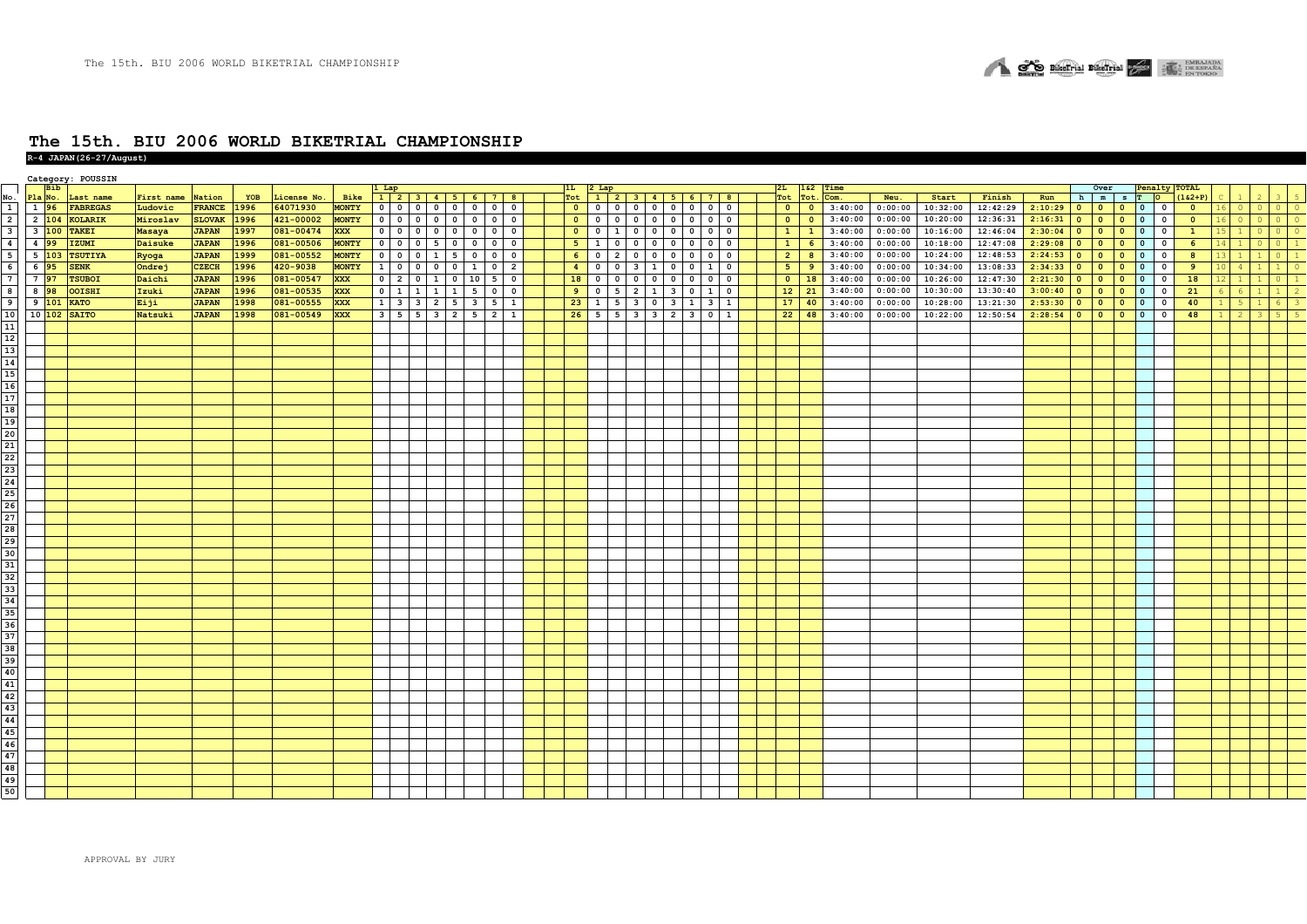**R-4 JAPAN(26-27/August)**

|                                                                                       |                  |                   | Category: POUSSIN |               |               |      |             |              |              |                                 |                                  |                |                          |                |                         |                              |                         |                                                     |                                           |                          |                |                |         |         |          |          |         |           |                          |                |                                            |                         |                            |         |         |         |
|---------------------------------------------------------------------------------------|------------------|-------------------|-------------------|---------------|---------------|------|-------------|--------------|--------------|---------------------------------|----------------------------------|----------------|--------------------------|----------------|-------------------------|------------------------------|-------------------------|-----------------------------------------------------|-------------------------------------------|--------------------------|----------------|----------------|---------|---------|----------|----------|---------|-----------|--------------------------|----------------|--------------------------------------------|-------------------------|----------------------------|---------|---------|---------|
|                                                                                       |                  | Bib               |                   |               |               |      |             |              | 1 Lap        |                                 |                                  |                |                          | 1L             | 2 Lap                   |                              |                         |                                                     |                                           |                          | 2L             | 162            | Time    |         |          |          |         |           | Over                     |                |                                            | Penalty TOTAL           |                            |         |         |         |
| No<br>$\overline{1}$                                                                  | Pla No.          |                   | Last name         | First name    | Nation        | YOB  | License No. | Bike         |              |                                 | 1 2 3 4 5 6 7 8                  |                |                          | Tot            |                         |                              |                         | 1 2 3 4 5 6 7 8                                     |                                           |                          | Tot            | Tot.           | Com.    | Neu.    | Start    | Finish   | Run     |           | h m                      |                | $S$ T O                                    | $(162 + P)$             |                            |         |         |         |
|                                                                                       | 1 96             |                   | <b>FABREGAS</b>   | Ludovic       | FRANCE 1996   |      | 64071930    | <b>MONTY</b> |              | 0 0 0 0 0 0                     | $\circ$                          |                | $0$ 0                    | $\bullet$      |                         |                              |                         |                                                     |                                           |                          | $\bullet$      | $\bullet$      | 3:40:00 | 0:00:00 | 10:32:00 | 12:42:29 | 2:10:29 | $\bullet$ | $\bullet$                | $\bullet$      | $\overline{0}$<br>$\overline{\phantom{0}}$ | $\bullet$               | $\overline{\phantom{0}}$ 0 | $\circ$ | $\circ$ | $\circ$ |
| $\overline{2}$                                                                        |                  | $2 \quad 104$     | <b>KOLARIK</b>    | Miroslav      | <b>SLOVAK</b> | 1996 | 421-00002   | <b>MONTY</b> |              |                                 |                                  |                |                          | $\bullet$      |                         |                              |                         | 0 0 0 0 0 0 0 0 0                                   |                                           |                          | $\bullet$      | $\overline{0}$ | 3:40:00 | 0:00:00 | 10:20:00 | 12:36:31 | 2:16:31 | $\bullet$ | $\bullet$                | $\bullet$      | $\mathbf{0}$<br>$\Omega$                   | $\overline{0}$          | $\sqrt{0}$                 |         |         | $\circ$ |
| $\overline{\mathbf{3}}$                                                               |                  | $3\overline{100}$ | <b>TAKEI</b>      | <b>Masaya</b> | <b>JAPAN</b>  | 1997 | 081-00474   | <b>XXX</b>   | $\circ$      |                                 | $\mathbf 0$                      |                | $0$ 0                    | $\bullet$      | $\overline{\mathbf{0}}$ | 1 0                          |                         | $0\quad 0\quad 0$                                   | $\overline{\mathbf{0}}$                   | $\overline{\mathbf{0}}$  | 1              | $\mathbf{1}$   | 3:40:00 | 0:00:00 | 10:16:00 | 12:46:04 | 2:30:04 | $\bullet$ | $\circ$                  | $\overline{0}$ | $\mathbf{0}$<br>$\mathbf 0$                | $\mathbf{1}$            |                            |         |         |         |
| $\overline{\mathbf{4}}$                                                               | 4 9 9            |                   | IZUMI             | Daisuke       | <b>JAPAN</b>  | 1996 | 081-00506   | <b>MONTY</b> |              | $0 0 0 5 0$                     | $\overline{0}$                   | $\circ$        | $\overline{\phantom{0}}$ | 5 <sub>1</sub> | $\mathbf{1}$            | $0$ 0                        |                         | 0 0 0                                               | $\overline{\mathbf{0}}$                   | $\mathbf 0$              | $\mathbf{1}$   | $6^{\circ}$    | 3:40:00 | 0:00:00 | 10:18:00 | 12:47:08 | 2:29:08 | $\bullet$ | $\overline{\mathbf{0}}$  | $\bullet$      | $\mathbf{0}$<br>$\mathbf 0$                | $6^{\circ}$             |                            |         |         |         |
| $\overline{\phantom{a}}$                                                              | $5\,103$         |                   | <b>TSUTIYA</b>    | Ryoga         | <b>JAPAN</b>  | 1999 | 081-00552   | <b>MONTY</b> | $\circ$      | $0 \t 0 \t 1 \t 5$              | $\mathbf{0}$                     | $\overline{0}$ | $\overline{\phantom{0}}$ | 6 <sup>1</sup> | $\overline{0}$          | 2 <br>$\overline{0}$         | $\overline{\mathbf{0}}$ | $\overline{\mathbf{0}}$<br>$\overline{\phantom{0}}$ | $\overline{\mathbf{0}}$                   | $\overline{\mathbf{0}}$  | $\overline{2}$ | 8              | 3:40:00 | 0:00:00 | 10:24:00 | 12:48:53 | 2:24:53 | $\bullet$ | $\bullet$                | $\bullet$      | $\mathbf{0}$<br>$\overline{\mathbf{0}}$    | $\overline{\mathbf{8}}$ |                            |         |         |         |
| - 6                                                                                   | $6\overline{95}$ |                   | <b>SENK</b>       | Ondrej        | <b>CZECH</b>  | 1996 | 420-9038    | <b>MONTY</b> | $\mathbf{1}$ |                                 | $\mathbf{1}$                     |                | $0 \quad 2$              | $\overline{4}$ |                         | $0 \t 0 \t 3$                | $\mathbf{1}$            | 0 0 1                                               |                                           | $\overline{0}$           | 5 <sup>7</sup> | 9              | 3:40:00 | 0:00:00 | 10:34:00 | 13:08:33 | 2:34:33 | $\bullet$ | $\overline{\phantom{0}}$ | $\overline{0}$ | $\mathbf{0}$<br>$\overline{\mathbf{0}}$    | 9                       | $\overline{4}$             |         |         |         |
| $7\phantom{1}$                                                                        | 7 97             |                   | <b>TSUBOI</b>     | Daichi        | <b>JAPAN</b>  | 1996 | 081-00547   | <b>XXX</b>   |              |                                 | $0 \ 2 \ 0 \ 1 \ 0 \ 10 \ 5 \ 0$ |                |                          | 18             |                         | $0 \quad 0 \quad 0$          | $\overline{\mathbf{0}}$ | $\overline{\mathbf{0}}$<br>$\overline{\mathbf{0}}$  | $\overline{\mathbf{0}}$                   | $\overline{\phantom{a}}$ | $\circ$        | 18             | 3:40:00 | 0:00:00 | 10:26:00 | 12:47:30 | 2:21:30 | $\bullet$ | $\bullet$                | $\overline{0}$ | $\mathbf{0}$<br>$\overline{\mathbf{0}}$    | 18                      | $\overline{1}$             |         |         |         |
| R                                                                                     | 8 98             |                   | OOISHI            | Izuki         | <b>JAPAN</b>  | 1996 | 081-00535   | <b>XXX</b>   |              | $0 \t1 \t1 \t1 \t1$             | $\overline{\phantom{a}}$         |                | $0 \quad 0$              | 9              | $\mathbf 0$             | $5 \quad 2$                  | $\mathbf{1}$            | $\mathbf{3}$<br>$\mathbf 0$                         | $\mathbf{1}$                              | $\overline{\mathbf{0}}$  | 12             | 21             | 3:40:00 | 0:00:00 | 10:30:00 | 13:30:40 | 3:00:40 | $\bullet$ | $\circ$                  | $\bullet$      | $\mathbf{0}$<br>$\mathbf 0$                | 21                      |                            |         |         |         |
| 9                                                                                     | $9 \vert 101$    |                   | <b>KATO</b>       | Eiji          | <b>JAPAN</b>  | 1998 | 081-00555   | <b>XXX</b>   |              | $1 \mid 3 \mid 3 \mid 2 \mid 5$ | $\overline{\mathbf{3}}$          |                | $5 \mid 1$               | 23             | $\mathbf{1}$            | $5 \quad 3$                  | $\overline{\mathbf{0}}$ | $\overline{\mathbf{3}}$                             | $\overline{1}$<br>$\overline{\mathbf{3}}$ | $\mathbf{1}$             |                | $17 \mid 40$   | 3:40:00 | 0:00:00 | 10:28:00 | 13:21:30 | 2:53:30 | $\bullet$ | $\circ$                  | $\bullet$      | $\mathbf{0}$<br>$\mathbf 0$                | 40                      | -5                         |         |         |         |
| 10                                                                                    |                  | 10 102            | <b>SAITO</b>      | Natsuki       | <b>JAPAN</b>  | 1998 | 081-00549   | <b>XXX</b>   |              | $3 \mid 5 \mid 5 \mid 3 \mid 2$ | 5                                |                | $2 \mid 1$               |                |                         | $26 \quad 5 \quad 5 \quad 3$ |                         | $3 \quad 2 \quad 3 \quad 0$                         |                                           | $\mathbf{1}$             | 22             | 48             | 3:40:00 | 0:00:00 | 10:22:00 | 12:50:54 | 2:28:54 | $\bullet$ | $\circ$                  | $\bullet$      | $\mathbf{0}$<br>$\mathbf 0$                | 48                      |                            |         |         |         |
| 11                                                                                    |                  |                   |                   |               |               |      |             |              |              |                                 |                                  |                |                          |                |                         |                              |                         |                                                     |                                           |                          |                |                |         |         |          |          |         |           |                          |                |                                            |                         |                            |         |         |         |
| $\frac{12}{13}$                                                                       |                  |                   |                   |               |               |      |             |              |              |                                 |                                  |                |                          |                |                         |                              |                         |                                                     |                                           |                          |                |                |         |         |          |          |         |           |                          |                |                                            |                         |                            |         |         |         |
|                                                                                       |                  |                   |                   |               |               |      |             |              |              |                                 |                                  |                |                          |                |                         |                              |                         |                                                     |                                           |                          |                |                |         |         |          |          |         |           |                          |                |                                            |                         |                            |         |         |         |
| $\overline{14}$                                                                       |                  |                   |                   |               |               |      |             |              |              |                                 |                                  |                |                          |                |                         |                              |                         |                                                     |                                           |                          |                |                |         |         |          |          |         |           |                          |                |                                            |                         |                            |         |         |         |
| 15                                                                                    |                  |                   |                   |               |               |      |             |              |              |                                 |                                  |                |                          |                |                         |                              |                         |                                                     |                                           |                          |                |                |         |         |          |          |         |           |                          |                |                                            |                         |                            |         |         |         |
|                                                                                       |                  |                   |                   |               |               |      |             |              |              |                                 |                                  |                |                          |                |                         |                              |                         |                                                     |                                           |                          |                |                |         |         |          |          |         |           |                          |                |                                            |                         |                            |         |         |         |
| $\begin{array}{r} 16 \\ \hline 17 \\ \hline 18 \\ \hline 19 \\ \hline 20 \end{array}$ |                  |                   |                   |               |               |      |             |              |              |                                 |                                  |                |                          |                |                         |                              |                         |                                                     |                                           |                          |                |                |         |         |          |          |         |           |                          |                |                                            |                         |                            |         |         |         |
|                                                                                       |                  |                   |                   |               |               |      |             |              |              |                                 |                                  |                |                          |                |                         |                              |                         |                                                     |                                           |                          |                |                |         |         |          |          |         |           |                          |                |                                            |                         |                            |         |         |         |
|                                                                                       |                  |                   |                   |               |               |      |             |              |              |                                 |                                  |                |                          |                |                         |                              |                         |                                                     |                                           |                          |                |                |         |         |          |          |         |           |                          |                |                                            |                         |                            |         |         |         |
|                                                                                       |                  |                   |                   |               |               |      |             |              |              |                                 |                                  |                |                          |                |                         |                              |                         |                                                     |                                           |                          |                |                |         |         |          |          |         |           |                          |                |                                            |                         |                            |         |         |         |
|                                                                                       |                  |                   |                   |               |               |      |             |              |              |                                 |                                  |                |                          |                |                         |                              |                         |                                                     |                                           |                          |                |                |         |         |          |          |         |           |                          |                |                                            |                         |                            |         |         |         |
|                                                                                       |                  |                   |                   |               |               |      |             |              |              |                                 |                                  |                |                          |                |                         |                              |                         |                                                     |                                           |                          |                |                |         |         |          |          |         |           |                          |                |                                            |                         |                            |         |         |         |
| $\begin{array}{c} 21 \\ 22 \\ 23 \end{array}$                                         |                  |                   |                   |               |               |      |             |              |              |                                 |                                  |                |                          |                |                         |                              |                         |                                                     |                                           |                          |                |                |         |         |          |          |         |           |                          |                |                                            |                         |                            |         |         |         |
| 24                                                                                    |                  |                   |                   |               |               |      |             |              |              |                                 |                                  |                |                          |                |                         |                              |                         |                                                     |                                           |                          |                |                |         |         |          |          |         |           |                          |                |                                            |                         |                            |         |         |         |
|                                                                                       |                  |                   |                   |               |               |      |             |              |              |                                 |                                  |                |                          |                |                         |                              |                         |                                                     |                                           |                          |                |                |         |         |          |          |         |           |                          |                |                                            |                         |                            |         |         |         |
| $\frac{25}{26}$                                                                       |                  |                   |                   |               |               |      |             |              |              |                                 |                                  |                |                          |                |                         |                              |                         |                                                     |                                           |                          |                |                |         |         |          |          |         |           |                          |                |                                            |                         |                            |         |         |         |
| $\overline{27}$                                                                       |                  |                   |                   |               |               |      |             |              |              |                                 |                                  |                |                          |                |                         |                              |                         |                                                     |                                           |                          |                |                |         |         |          |          |         |           |                          |                |                                            |                         |                            |         |         |         |
|                                                                                       |                  |                   |                   |               |               |      |             |              |              |                                 |                                  |                |                          |                |                         |                              |                         |                                                     |                                           |                          |                |                |         |         |          |          |         |           |                          |                |                                            |                         |                            |         |         |         |
| $\frac{28}{29}$                                                                       |                  |                   |                   |               |               |      |             |              |              |                                 |                                  |                |                          |                |                         |                              |                         |                                                     |                                           |                          |                |                |         |         |          |          |         |           |                          |                |                                            |                         |                            |         |         |         |
| $\overline{30}$                                                                       |                  |                   |                   |               |               |      |             |              |              |                                 |                                  |                |                          |                |                         |                              |                         |                                                     |                                           |                          |                |                |         |         |          |          |         |           |                          |                |                                            |                         |                            |         |         |         |
| 31                                                                                    |                  |                   |                   |               |               |      |             |              |              |                                 |                                  |                |                          |                |                         |                              |                         |                                                     |                                           |                          |                |                |         |         |          |          |         |           |                          |                |                                            |                         |                            |         |         |         |
| 32                                                                                    |                  |                   |                   |               |               |      |             |              |              |                                 |                                  |                |                          |                |                         |                              |                         |                                                     |                                           |                          |                |                |         |         |          |          |         |           |                          |                |                                            |                         |                            |         |         |         |
| $\frac{1}{33}$                                                                        |                  |                   |                   |               |               |      |             |              |              |                                 |                                  |                |                          |                |                         |                              |                         |                                                     |                                           |                          |                |                |         |         |          |          |         |           |                          |                |                                            |                         |                            |         |         |         |
| 34                                                                                    |                  |                   |                   |               |               |      |             |              |              |                                 |                                  |                |                          |                |                         |                              |                         |                                                     |                                           |                          |                |                |         |         |          |          |         |           |                          |                |                                            |                         |                            |         |         |         |
|                                                                                       |                  |                   |                   |               |               |      |             |              |              |                                 |                                  |                |                          |                |                         |                              |                         |                                                     |                                           |                          |                |                |         |         |          |          |         |           |                          |                |                                            |                         |                            |         |         |         |
| $\frac{35}{36}$                                                                       |                  |                   |                   |               |               |      |             |              |              |                                 |                                  |                |                          |                |                         |                              |                         |                                                     |                                           |                          |                |                |         |         |          |          |         |           |                          |                |                                            |                         |                            |         |         |         |
|                                                                                       |                  |                   |                   |               |               |      |             |              |              |                                 |                                  |                |                          |                |                         |                              |                         |                                                     |                                           |                          |                |                |         |         |          |          |         |           |                          |                |                                            |                         |                            |         |         |         |
| 37                                                                                    |                  |                   |                   |               |               |      |             |              |              |                                 |                                  |                |                          |                |                         |                              |                         |                                                     |                                           |                          |                |                |         |         |          |          |         |           |                          |                |                                            |                         |                            |         |         |         |
| 38<br>$\overline{39}$                                                                 |                  |                   |                   |               |               |      |             |              |              |                                 |                                  |                |                          |                |                         |                              |                         |                                                     |                                           |                          |                |                |         |         |          |          |         |           |                          |                |                                            |                         |                            |         |         |         |
|                                                                                       |                  |                   |                   |               |               |      |             |              |              |                                 |                                  |                |                          |                |                         |                              |                         |                                                     |                                           |                          |                |                |         |         |          |          |         |           |                          |                |                                            |                         |                            |         |         |         |
| 40                                                                                    |                  |                   |                   |               |               |      |             |              |              |                                 |                                  |                |                          |                |                         |                              |                         |                                                     |                                           |                          |                |                |         |         |          |          |         |           |                          |                |                                            |                         |                            |         |         |         |
| $\frac{41}{42}$                                                                       |                  |                   |                   |               |               |      |             |              |              |                                 |                                  |                |                          |                |                         |                              |                         |                                                     |                                           |                          |                |                |         |         |          |          |         |           |                          |                |                                            |                         |                            |         |         |         |
|                                                                                       |                  |                   |                   |               |               |      |             |              |              |                                 |                                  |                |                          |                |                         |                              |                         |                                                     |                                           |                          |                |                |         |         |          |          |         |           |                          |                |                                            |                         |                            |         |         |         |
| 43                                                                                    |                  |                   |                   |               |               |      |             |              |              |                                 |                                  |                |                          |                |                         |                              |                         |                                                     |                                           |                          |                |                |         |         |          |          |         |           |                          |                |                                            |                         |                            |         |         |         |
| 44                                                                                    |                  |                   |                   |               |               |      |             |              |              |                                 |                                  |                |                          |                |                         |                              |                         |                                                     |                                           |                          |                |                |         |         |          |          |         |           |                          |                |                                            |                         |                            |         |         |         |
| 45                                                                                    |                  |                   |                   |               |               |      |             |              |              |                                 |                                  |                |                          |                |                         |                              |                         |                                                     |                                           |                          |                |                |         |         |          |          |         |           |                          |                |                                            |                         |                            |         |         |         |
| 46                                                                                    |                  |                   |                   |               |               |      |             |              |              |                                 |                                  |                |                          |                |                         |                              |                         |                                                     |                                           |                          |                |                |         |         |          |          |         |           |                          |                |                                            |                         |                            |         |         |         |
| $\frac{47}{48}$                                                                       |                  |                   |                   |               |               |      |             |              |              |                                 |                                  |                |                          |                |                         |                              |                         |                                                     |                                           |                          |                |                |         |         |          |          |         |           |                          |                |                                            |                         |                            |         |         |         |
|                                                                                       |                  |                   |                   |               |               |      |             |              |              |                                 |                                  |                |                          |                |                         |                              |                         |                                                     |                                           |                          |                |                |         |         |          |          |         |           |                          |                |                                            |                         |                            |         |         |         |
| $\frac{1}{49}$                                                                        |                  |                   |                   |               |               |      |             |              |              |                                 |                                  |                |                          |                |                         |                              |                         |                                                     |                                           |                          |                |                |         |         |          |          |         |           |                          |                |                                            |                         |                            |         |         |         |
|                                                                                       |                  |                   |                   |               |               |      |             |              |              |                                 |                                  |                |                          |                |                         |                              |                         |                                                     |                                           |                          |                |                |         |         |          |          |         |           |                          |                |                                            |                         |                            |         |         |         |

**CONSERVERSE DESCRIPTION OF A PROPERTY OF BUSINESS**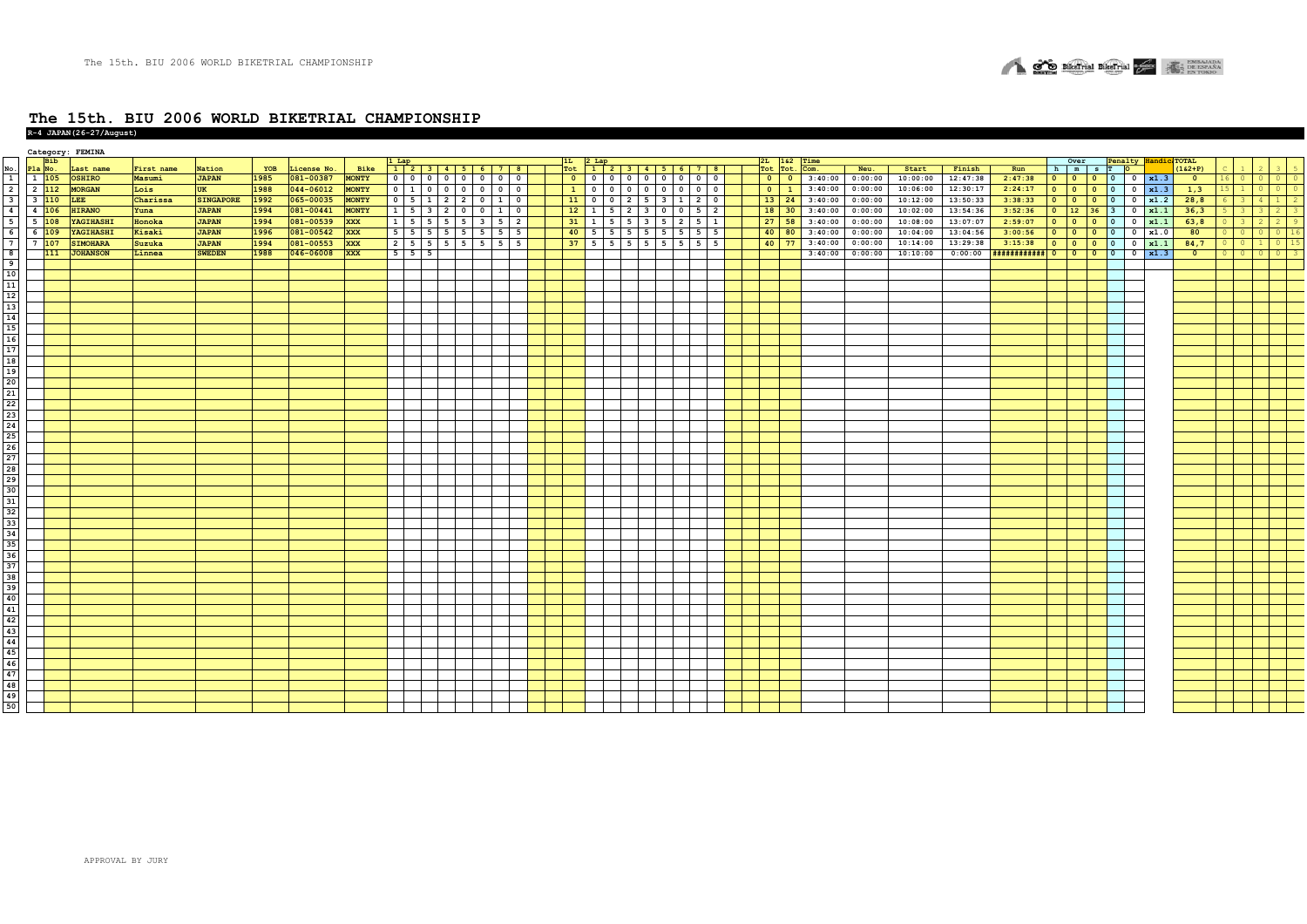

|  | $R-4$ JAPAN (26-27/August) |  |
|--|----------------------------|--|
|  |                            |  |

|                                    |                          |            | Category: FEMINA           |            |                        |      |             |                                               |                     |                                        |                     |             |    |                                  |  |                                               |        |                                                                  |         |         |          |          |                             |                                                       |                                       |                          |                      |             |                            |                                  |         |
|------------------------------------|--------------------------|------------|----------------------------|------------|------------------------|------|-------------|-----------------------------------------------|---------------------|----------------------------------------|---------------------|-------------|----|----------------------------------|--|-----------------------------------------------|--------|------------------------------------------------------------------|---------|---------|----------|----------|-----------------------------|-------------------------------------------------------|---------------------------------------|--------------------------|----------------------|-------------|----------------------------|----------------------------------|---------|
|                                    |                          | <b>Bib</b> |                            |            |                        | YOB  | License No. |                                               |                     | 1 Lap<br>1   2   3   4   5   6   7   8 |                     |             |    | $1L$ 2 Lap                       |  |                                               |        | 2L 1&2 Time<br>Tot Tot.                                          | Com.    |         |          |          |                             |                                                       | Over                                  |                          | Penalty Handic TOTAL | $(162 + P)$ |                            |                                  |         |
| $\frac{\text{No}}{1}$              | Pla No.<br>$1 \quad 105$ |            | Last name<br><b>OSHIRO</b> | First name | Nation<br><b>JAPAN</b> | 1985 |             | Bike<br><b>MONTY</b>                          |                     |                                        |                     | $0$ 0       |    | Tot $12345678$                   |  |                                               |        | $0$ 0                                                            | 3:40:00 | Neu.    | Start    | Finish   | Run                         |                                                       | h m s T O                             | $\overline{\mathbf{0}}$  |                      |             |                            |                                  | $\circ$ |
|                                    |                          |            |                            | Masumi     |                        |      | 081-00387   |                                               |                     | 0 0 0 0 0 0                            |                     |             |    |                                  |  |                                               |        |                                                                  |         | 0:00:00 | 10:00:00 | 12:47:38 | 2:47:38                     |                                                       |                                       |                          | $0 \mid x1.3$        | $\bullet$   | $\circ$<br>16 <sup>1</sup> | $\circ$                          |         |
| $\overline{2}$                     | $2 \quad 112$            |            | <b>MORGAN</b>              | Lois       | <b>UK</b>              | 1988 | 044-06012   | <b>MONTY</b>                                  |                     | $0 \mid 1 \mid 0 \mid 0 \mid 0$        |                     | $0$ 0       |    | 1 0                              |  | $0$ 0 0 0 0 0 0 0                             |        | $0 \mid 1$                                                       | 3:40:00 | 0:00:00 | 10:06:00 | 12:30:17 | 2:24:17                     | $\bullet$                                             | $\bullet$<br>$\overline{0}$           | $\mathbf{0}$             | $0 \times 1.3$       | 1,3         | $\mathbf{1}$               | $\circ$                          |         |
| $\overline{\overline{\mathbf{3}}}$ | 3 110                    |            | <b>LEE</b>                 | Charissa   | <b>SINGAPORE</b>       | 1992 | 065-00035   | <b>MONTY</b>                                  |                     | 0 5 1 2 2 0                            |                     | $1 \vert 0$ |    | $11$ 0                           |  | $0$ 2 5 3 1 2 0                               |        | $\begin{array}{ c c c }\n\hline\n13 & 24 \\ \hline\n\end{array}$ | 3:40:00 | 0:00:00 | 10:12:00 | 13:50:33 | 3:38:33                     | $0$ 0                                                 | $\bullet$                             | $\circ$                  | $0 \times 1.2$       | 28,8        | 3 <sup>1</sup>             | 4<br>$\mathbf{1}$                |         |
| $\overline{4}$                     | 4 106                    |            | <b>HIRANO</b>              | Yuna       | <b>JAPAN</b>           | 1994 | 081-00441   | <b>MONTY</b>                                  |                     | $1 \quad 5 \quad 3 \quad 2 \quad$      | $0$ 0               | $1 \vert 0$ |    | $12 \mid 1$                      |  | $5 \mid 2 \mid 3 \mid 0 \mid 0 \mid 5 \mid 2$ |        | $18$ $30$                                                        | 3:40:00 | 0:00:00 | 10:02:00 | 13:54:36 | 3:52:36                     | $\begin{array}{ c c c }\n\hline\n0 & 12\n\end{array}$ | 36                                    | $\overline{\mathbf{3}}$  | $0 \times 1.1$       | 36,3        | 3 <sup>2</sup>             |                                  |         |
| $5^{\circ}$                        | $5\vert 108$             |            | YAGIHASHI                  | Honoka     | <b>JAPAN</b>           | 1994 | 081-00539   | <b>XXX</b>                                    |                     | $1 \mid 5 \mid 5 \mid 5 \mid 5 \mid 3$ |                     | $5 \mid 2$  |    | $31 \mid 1 \mid$                 |  | $5 \mid 5 \mid 3 \mid 5 \mid 2 \mid 5 \mid 1$ |        | $27$ 58                                                          | 3:40:00 | 0:00:00 | 10:08:00 | 13:07:07 | 2:59:07                     | $\circ$                                               | $\bullet$<br>$\bullet$                | $\mathbf{0}$             | $0 \times 1.1$       | 63, 8       | $\overline{\mathbf{3}}$    | $\overline{2}$<br>$\overline{2}$ |         |
| 6                                  | $6\sqrt{109}$            |            | YAGIHASHI                  | Kisaki     | <b>JAPAN</b>           | 1996 | 081-00542   | <b>XXX</b>                                    |                     | $5 \mid 5 \mid 5 \mid 5 \mid 5 \mid 5$ |                     | $5 \mid 5$  | 40 | 5 <sub>1</sub><br>5 <sub>5</sub> |  | $5 \mid 5 \mid 5 \mid 5 \mid 5$               | 5      | $40 \vert 80$                                                    | 3:40:00 | 0:00:00 | 10:04:00 | 13:04:56 | 3:00:56                     | $\bullet$                                             | $\bullet$<br>$\bullet$                | $\circ$                  | 0 x1.0               | 80          | $\circ$                    |                                  |         |
| $\overline{7}$                     | $7\vert 107$             |            | <b>SIMOHARA</b>            | Suzuka     | <b>JAPAN</b>           | 1994 | 081-00553   | <b>XXX</b>                                    | $2 \quad 5 \quad 5$ |                                        | $5 \quad 5 \quad 5$ | 5 5         |    | $37$ 5 5 5 5 5 5                 |  | 5                                             | 5<br>5 | 40 77                                                            | 3:40:00 | 0:00:00 | 10:14:00 | 13:29:38 | 3:15:38                     | $\circ$                                               | $\overline{\phantom{a}}$<br>$\bullet$ | $\mathbf{0}$             | $0 \times 1.1$       | 84,7        |                            |                                  |         |
|                                    |                          | 111        | <b>JOHANSON</b>            | Linnea     | <b>SWEDEN</b>          | 1988 | 046-06008   | $\overline{\mathbf{X} \mathbf{X} \mathbf{X}}$ | $5 \mid 5 \mid 5$   |                                        |                     |             |    |                                  |  |                                               |        |                                                                  | 3:40:00 | 0:00:00 | 10:10:00 | 0:00:00  | $+$ ############  0   0   0 |                                                       |                                       | $\overline{\phantom{0}}$ | $0 \mid x1.3$        | $\bullet$   | $\Omega$                   | $\Omega$                         |         |
|                                    |                          |            |                            |            |                        |      |             |                                               |                     |                                        |                     |             |    |                                  |  |                                               |        |                                                                  |         |         |          |          |                             |                                                       |                                       |                          |                      |             |                            |                                  |         |
|                                    |                          |            |                            |            |                        |      |             |                                               |                     |                                        |                     |             |    |                                  |  |                                               |        |                                                                  |         |         |          |          |                             |                                                       |                                       |                          |                      |             |                            |                                  |         |
|                                    |                          |            |                            |            |                        |      |             |                                               |                     |                                        |                     |             |    |                                  |  |                                               |        |                                                                  |         |         |          |          |                             |                                                       |                                       |                          |                      |             |                            |                                  |         |
|                                    |                          |            |                            |            |                        |      |             |                                               |                     |                                        |                     |             |    |                                  |  |                                               |        |                                                                  |         |         |          |          |                             |                                                       |                                       |                          |                      |             |                            |                                  |         |
|                                    |                          |            |                            |            |                        |      |             |                                               |                     |                                        |                     |             |    |                                  |  |                                               |        |                                                                  |         |         |          |          |                             |                                                       |                                       |                          |                      |             |                            |                                  |         |
|                                    |                          |            |                            |            |                        |      |             |                                               |                     |                                        |                     |             |    |                                  |  |                                               |        |                                                                  |         |         |          |          |                             |                                                       |                                       |                          |                      |             |                            |                                  |         |
|                                    |                          |            |                            |            |                        |      |             |                                               |                     |                                        |                     |             |    |                                  |  |                                               |        |                                                                  |         |         |          |          |                             |                                                       |                                       |                          |                      |             |                            |                                  |         |
|                                    |                          |            |                            |            |                        |      |             |                                               |                     |                                        |                     |             |    |                                  |  |                                               |        |                                                                  |         |         |          |          |                             |                                                       |                                       |                          |                      |             |                            |                                  |         |
|                                    |                          |            |                            |            |                        |      |             |                                               |                     |                                        |                     |             |    |                                  |  |                                               |        |                                                                  |         |         |          |          |                             |                                                       |                                       |                          |                      |             |                            |                                  |         |
|                                    |                          |            |                            |            |                        |      |             |                                               |                     |                                        |                     |             |    |                                  |  |                                               |        |                                                                  |         |         |          |          |                             |                                                       |                                       |                          |                      |             |                            |                                  |         |
|                                    |                          |            |                            |            |                        |      |             |                                               |                     |                                        |                     |             |    |                                  |  |                                               |        |                                                                  |         |         |          |          |                             |                                                       |                                       |                          |                      |             |                            |                                  |         |
|                                    |                          |            |                            |            |                        |      |             |                                               |                     |                                        |                     |             |    |                                  |  |                                               |        |                                                                  |         |         |          |          |                             |                                                       |                                       |                          |                      |             |                            |                                  |         |
|                                    |                          |            |                            |            |                        |      |             |                                               |                     |                                        |                     |             |    |                                  |  |                                               |        |                                                                  |         |         |          |          |                             |                                                       |                                       |                          |                      |             |                            |                                  |         |
|                                    |                          |            |                            |            |                        |      |             |                                               |                     |                                        |                     |             |    |                                  |  |                                               |        |                                                                  |         |         |          |          |                             |                                                       |                                       |                          |                      |             |                            |                                  |         |
|                                    |                          |            |                            |            |                        |      |             |                                               |                     |                                        |                     |             |    |                                  |  |                                               |        |                                                                  |         |         |          |          |                             |                                                       |                                       |                          |                      |             |                            |                                  |         |
|                                    |                          |            |                            |            |                        |      |             |                                               |                     |                                        |                     |             |    |                                  |  |                                               |        |                                                                  |         |         |          |          |                             |                                                       |                                       |                          |                      |             |                            |                                  |         |
|                                    |                          |            |                            |            |                        |      |             |                                               |                     |                                        |                     |             |    |                                  |  |                                               |        |                                                                  |         |         |          |          |                             |                                                       |                                       |                          |                      |             |                            |                                  |         |
|                                    |                          |            |                            |            |                        |      |             |                                               |                     |                                        |                     |             |    |                                  |  |                                               |        |                                                                  |         |         |          |          |                             |                                                       |                                       |                          |                      |             |                            |                                  |         |
|                                    |                          |            |                            |            |                        |      |             |                                               |                     |                                        |                     |             |    |                                  |  |                                               |        |                                                                  |         |         |          |          |                             |                                                       |                                       |                          |                      |             |                            |                                  |         |
|                                    |                          |            |                            |            |                        |      |             |                                               |                     |                                        |                     |             |    |                                  |  |                                               |        |                                                                  |         |         |          |          |                             |                                                       |                                       |                          |                      |             |                            |                                  |         |
|                                    |                          |            |                            |            |                        |      |             |                                               |                     |                                        |                     |             |    |                                  |  |                                               |        |                                                                  |         |         |          |          |                             |                                                       |                                       |                          |                      |             |                            |                                  |         |
|                                    |                          |            |                            |            |                        |      |             |                                               |                     |                                        |                     |             |    |                                  |  |                                               |        |                                                                  |         |         |          |          |                             |                                                       |                                       |                          |                      |             |                            |                                  |         |
|                                    |                          |            |                            |            |                        |      |             |                                               |                     |                                        |                     |             |    |                                  |  |                                               |        |                                                                  |         |         |          |          |                             |                                                       |                                       |                          |                      |             |                            |                                  |         |
|                                    |                          |            |                            |            |                        |      |             |                                               |                     |                                        |                     |             |    |                                  |  |                                               |        |                                                                  |         |         |          |          |                             |                                                       |                                       |                          |                      |             |                            |                                  |         |
|                                    |                          |            |                            |            |                        |      |             |                                               |                     |                                        |                     |             |    |                                  |  |                                               |        |                                                                  |         |         |          |          |                             |                                                       |                                       |                          |                      |             |                            |                                  |         |
|                                    |                          |            |                            |            |                        |      |             |                                               |                     |                                        |                     |             |    |                                  |  |                                               |        |                                                                  |         |         |          |          |                             |                                                       |                                       |                          |                      |             |                            |                                  |         |
|                                    |                          |            |                            |            |                        |      |             |                                               |                     |                                        |                     |             |    |                                  |  |                                               |        |                                                                  |         |         |          |          |                             |                                                       |                                       |                          |                      |             |                            |                                  |         |
|                                    |                          |            |                            |            |                        |      |             |                                               |                     |                                        |                     |             |    |                                  |  |                                               |        |                                                                  |         |         |          |          |                             |                                                       |                                       |                          |                      |             |                            |                                  |         |
|                                    |                          |            |                            |            |                        |      |             |                                               |                     |                                        |                     |             |    |                                  |  |                                               |        |                                                                  |         |         |          |          |                             |                                                       |                                       |                          |                      |             |                            |                                  |         |
|                                    |                          |            |                            |            |                        |      |             |                                               |                     |                                        |                     |             |    |                                  |  |                                               |        |                                                                  |         |         |          |          |                             |                                                       |                                       |                          |                      |             |                            |                                  |         |
|                                    |                          |            |                            |            |                        |      |             |                                               |                     |                                        |                     |             |    |                                  |  |                                               |        |                                                                  |         |         |          |          |                             |                                                       |                                       |                          |                      |             |                            |                                  |         |
|                                    |                          |            |                            |            |                        |      |             |                                               |                     |                                        |                     |             |    |                                  |  |                                               |        |                                                                  |         |         |          |          |                             |                                                       |                                       |                          |                      |             |                            |                                  |         |
|                                    |                          |            |                            |            |                        |      |             |                                               |                     |                                        |                     |             |    |                                  |  |                                               |        |                                                                  |         |         |          |          |                             |                                                       |                                       |                          |                      |             |                            |                                  |         |
|                                    |                          |            |                            |            |                        |      |             |                                               |                     |                                        |                     |             |    |                                  |  |                                               |        |                                                                  |         |         |          |          |                             |                                                       |                                       |                          |                      |             |                            |                                  |         |
|                                    |                          |            |                            |            |                        |      |             |                                               |                     |                                        |                     |             |    |                                  |  |                                               |        |                                                                  |         |         |          |          |                             |                                                       |                                       |                          |                      |             |                            |                                  |         |
|                                    |                          |            |                            |            |                        |      |             |                                               |                     |                                        |                     |             |    |                                  |  |                                               |        |                                                                  |         |         |          |          |                             |                                                       |                                       |                          |                      |             |                            |                                  |         |
|                                    |                          |            |                            |            |                        |      |             |                                               |                     |                                        |                     |             |    |                                  |  |                                               |        |                                                                  |         |         |          |          |                             |                                                       |                                       |                          |                      |             |                            |                                  |         |
|                                    |                          |            |                            |            |                        |      |             |                                               |                     |                                        |                     |             |    |                                  |  |                                               |        |                                                                  |         |         |          |          |                             |                                                       |                                       |                          |                      |             |                            |                                  |         |
|                                    |                          |            |                            |            |                        |      |             |                                               |                     |                                        |                     |             |    |                                  |  |                                               |        |                                                                  |         |         |          |          |                             |                                                       |                                       |                          |                      |             |                            |                                  |         |
|                                    |                          |            |                            |            |                        |      |             |                                               |                     |                                        |                     |             |    |                                  |  |                                               |        |                                                                  |         |         |          |          |                             |                                                       |                                       |                          |                      |             |                            |                                  |         |
|                                    |                          |            |                            |            |                        |      |             |                                               |                     |                                        |                     |             |    |                                  |  |                                               |        |                                                                  |         |         |          |          |                             |                                                       |                                       |                          |                      |             |                            |                                  |         |
|                                    |                          |            |                            |            |                        |      |             |                                               |                     |                                        |                     |             |    |                                  |  |                                               |        |                                                                  |         |         |          |          |                             |                                                       |                                       |                          |                      |             |                            |                                  |         |
|                                    |                          |            |                            |            |                        |      |             |                                               |                     |                                        |                     |             |    |                                  |  |                                               |        |                                                                  |         |         |          |          |                             |                                                       |                                       |                          |                      |             |                            |                                  |         |
|                                    |                          |            |                            |            |                        |      |             |                                               |                     |                                        |                     |             |    |                                  |  |                                               |        |                                                                  |         |         |          |          |                             |                                                       |                                       |                          |                      |             |                            |                                  |         |
|                                    |                          |            |                            |            |                        |      |             |                                               |                     |                                        |                     |             |    |                                  |  |                                               |        |                                                                  |         |         |          |          |                             |                                                       |                                       |                          |                      |             |                            |                                  |         |
|                                    |                          |            |                            |            |                        |      |             |                                               |                     |                                        |                     |             |    |                                  |  |                                               |        |                                                                  |         |         |          |          |                             |                                                       |                                       |                          |                      |             |                            |                                  |         |
|                                    |                          |            |                            |            |                        |      |             |                                               |                     |                                        |                     |             |    |                                  |  |                                               |        |                                                                  |         |         |          |          |                             |                                                       |                                       |                          |                      |             |                            |                                  |         |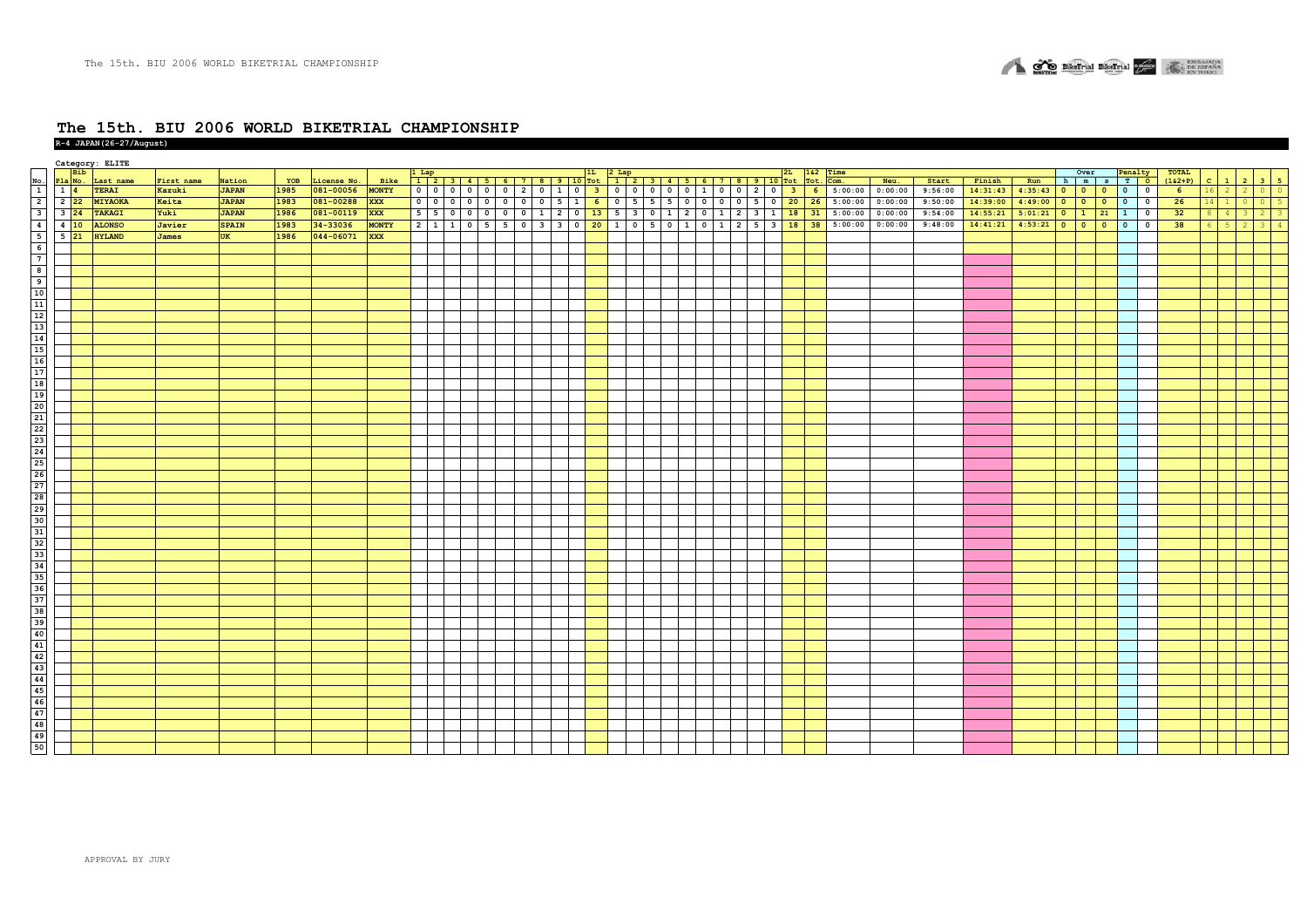

|                                      | <b>Bib</b> | Category: ELITE |              |              |      |             |              |                    |                          |           |  |  |                             |  |  |  |                                                                                                            |                |                                                           |                   |         |          |                  |                                   |                                         |                 |              |                        |            |
|--------------------------------------|------------|-----------------|--------------|--------------|------|-------------|--------------|--------------------|--------------------------|-----------|--|--|-----------------------------|--|--|--|------------------------------------------------------------------------------------------------------------|----------------|-----------------------------------------------------------|-------------------|---------|----------|------------------|-----------------------------------|-----------------------------------------|-----------------|--------------|------------------------|------------|
|                                      |            | Last name       | First name   | Nation       | YOB  | License No. | Bike         |                    |                          |           |  |  |                             |  |  |  |                                                                                                            |                | $\frac{162}{\text{Tot.}} \frac{\text{Time}}{\text{Com.}}$ | Neu.              | Start   | Finish   | Run              | Over Penalty<br>h   m   s   T   O |                                         | TOTAL $(162+P)$ | $\mathbf{c}$ |                        |            |
| Pla No.<br>14                        |            | <b>TERAI</b>    | Kazuki       | <b>JAPAN</b> | 1985 | 081-00056   | <b>MONTY</b> | $\overline{\circ}$ | $\overline{\phantom{a}}$ |           |  |  |                             |  |  |  | 0 0 0 2 0 1 0 <mark> 3</mark>  0 0 0 0 0 1 0 0 2 0 <mark> 3</mark>                                         | 6 <sup>6</sup> |                                                           | $5:00:00$ 0:00:00 | 9:56:00 | 14:31:43 | $4:35:43$ 0      |                                   | $\bullet$<br>$\overline{\phantom{a}}$   | $6^{\circ}$     |              | $\overline{2}$         | $0$ 0      |
| $2\overline{22}$                     |            | MIYAOKA         | Keita        | <b>JAPAN</b> | 1983 | 081-00288   | <b>XXX</b>   | $\overline{\circ}$ | $\circ$                  |           |  |  | 0 0 0 0 0 5 1 6 0 5 5 5 0 0 |  |  |  | 0 0 5 0 20                                                                                                 | 26             | 5:00:00                                                   | 0:00:00           | 9:50:00 | 14:39:00 | $4:49:00$ 0      | $0$ 0                             | $\bullet$<br>$\overline{\mathbf{0}}$    | 26              | $14 1$       |                        | $0 \mid 5$ |
| $3 \overline{24}$                    |            | <b>TAKAGI</b>   | Yuki         | <b>JAPAN</b> | 1986 | 081-00119   | <b>XXX</b>   | 55                 | $\overline{\mathbf{0}}$  | $\bullet$ |  |  |                             |  |  |  | $1 \t2 \t3 \t1 \t18$                                                                                       | 31             | 5:00:00                                                   | 0:00:00           | 9:54:00 | 14:55:21 | $5:01:21$ 0 1 21 |                                   | $\overline{\mathbf{0}}$<br>$\mathbf{1}$ | 32              |              |                        | $2 \mid 3$ |
| $4\overline{10}$<br>$5\overline{21}$ |            | <b>ALONSO</b>   | Javier       | <b>SPAIN</b> | 1983 | 34-33036    | <b>MONTY</b> |                    | $2 1 1 1$                |           |  |  |                             |  |  |  | 0   5   5   0   3   3   0   <mark>20  </mark> 1   0   5   0   1   0   1   2   5   3 <mark>  18   38</mark> |                | 5:00:00                                                   | 0:00:00           | 9:48:00 | 14:41:21 | $4:53:21$ 0      | $0$ 0                             | $\bullet$<br>$\overline{\mathbf{0}}$    | 38              | - 6          | $-5$<br>$\overline{2}$ | $3 \mid 4$ |
|                                      |            | <b>HYLAND</b>   | <b>James</b> | <b>UK</b>    | 1986 | 044-06071   | <b>XXX</b>   |                    |                          |           |  |  |                             |  |  |  |                                                                                                            |                |                                                           |                   |         |          |                  |                                   |                                         |                 |              |                        |            |
|                                      |            |                 |              |              |      |             |              |                    |                          |           |  |  |                             |  |  |  |                                                                                                            |                |                                                           |                   |         |          |                  |                                   |                                         |                 |              |                        |            |
|                                      |            |                 |              |              |      |             |              |                    |                          |           |  |  |                             |  |  |  |                                                                                                            |                |                                                           |                   |         |          |                  |                                   |                                         |                 |              |                        |            |
|                                      |            |                 |              |              |      |             |              |                    |                          |           |  |  |                             |  |  |  |                                                                                                            |                |                                                           |                   |         |          |                  |                                   |                                         |                 |              |                        |            |
|                                      |            |                 |              |              |      |             |              |                    |                          |           |  |  |                             |  |  |  |                                                                                                            |                |                                                           |                   |         |          |                  |                                   |                                         |                 |              |                        |            |
|                                      |            |                 |              |              |      |             |              |                    |                          |           |  |  |                             |  |  |  |                                                                                                            |                |                                                           |                   |         |          |                  |                                   |                                         |                 |              |                        |            |
|                                      |            |                 |              |              |      |             |              |                    |                          |           |  |  |                             |  |  |  |                                                                                                            |                |                                                           |                   |         |          |                  |                                   |                                         |                 |              |                        |            |
|                                      |            |                 |              |              |      |             |              |                    |                          |           |  |  |                             |  |  |  |                                                                                                            |                |                                                           |                   |         |          |                  |                                   |                                         |                 |              |                        |            |
|                                      |            |                 |              |              |      |             |              |                    |                          |           |  |  |                             |  |  |  |                                                                                                            |                |                                                           |                   |         |          |                  |                                   |                                         |                 |              |                        |            |
|                                      |            |                 |              |              |      |             |              |                    |                          |           |  |  |                             |  |  |  |                                                                                                            |                |                                                           |                   |         |          |                  |                                   |                                         |                 |              |                        |            |
|                                      |            |                 |              |              |      |             |              |                    |                          |           |  |  |                             |  |  |  |                                                                                                            |                |                                                           |                   |         |          |                  |                                   |                                         |                 |              |                        |            |
|                                      |            |                 |              |              |      |             |              |                    |                          |           |  |  |                             |  |  |  |                                                                                                            |                |                                                           |                   |         |          |                  |                                   |                                         |                 |              |                        |            |
|                                      |            |                 |              |              |      |             |              |                    |                          |           |  |  |                             |  |  |  |                                                                                                            |                |                                                           |                   |         |          |                  |                                   |                                         |                 |              |                        |            |
|                                      |            |                 |              |              |      |             |              |                    |                          |           |  |  |                             |  |  |  |                                                                                                            |                |                                                           |                   |         |          |                  |                                   |                                         |                 |              |                        |            |
|                                      |            |                 |              |              |      |             |              |                    |                          |           |  |  |                             |  |  |  |                                                                                                            |                |                                                           |                   |         |          |                  |                                   |                                         |                 |              |                        |            |
|                                      |            |                 |              |              |      |             |              |                    |                          |           |  |  |                             |  |  |  |                                                                                                            |                |                                                           |                   |         |          |                  |                                   |                                         |                 |              |                        |            |
|                                      |            |                 |              |              |      |             |              |                    |                          |           |  |  |                             |  |  |  |                                                                                                            |                |                                                           |                   |         |          |                  |                                   |                                         |                 |              |                        |            |
|                                      |            |                 |              |              |      |             |              |                    |                          |           |  |  |                             |  |  |  |                                                                                                            |                |                                                           |                   |         |          |                  |                                   |                                         |                 |              |                        |            |
|                                      |            |                 |              |              |      |             |              |                    |                          |           |  |  |                             |  |  |  |                                                                                                            |                |                                                           |                   |         |          |                  |                                   |                                         |                 |              |                        |            |
|                                      |            |                 |              |              |      |             |              |                    |                          |           |  |  |                             |  |  |  |                                                                                                            |                |                                                           |                   |         |          |                  |                                   |                                         |                 |              |                        |            |
|                                      |            |                 |              |              |      |             |              |                    |                          |           |  |  |                             |  |  |  |                                                                                                            |                |                                                           |                   |         |          |                  |                                   |                                         |                 |              |                        |            |
|                                      |            |                 |              |              |      |             |              |                    |                          |           |  |  |                             |  |  |  |                                                                                                            |                |                                                           |                   |         |          |                  |                                   |                                         |                 |              |                        |            |
|                                      |            |                 |              |              |      |             |              |                    |                          |           |  |  |                             |  |  |  |                                                                                                            |                |                                                           |                   |         |          |                  |                                   |                                         |                 |              |                        |            |
|                                      |            |                 |              |              |      |             |              |                    |                          |           |  |  |                             |  |  |  |                                                                                                            |                |                                                           |                   |         |          |                  |                                   |                                         |                 |              |                        |            |
|                                      |            |                 |              |              |      |             |              |                    |                          |           |  |  |                             |  |  |  |                                                                                                            |                |                                                           |                   |         |          |                  |                                   |                                         |                 |              |                        |            |
|                                      |            |                 |              |              |      |             |              |                    |                          |           |  |  |                             |  |  |  |                                                                                                            |                |                                                           |                   |         |          |                  |                                   |                                         |                 |              |                        |            |
|                                      |            |                 |              |              |      |             |              |                    |                          |           |  |  |                             |  |  |  |                                                                                                            |                |                                                           |                   |         |          |                  |                                   |                                         |                 |              |                        |            |
|                                      |            |                 |              |              |      |             |              |                    |                          |           |  |  |                             |  |  |  |                                                                                                            |                |                                                           |                   |         |          |                  |                                   |                                         |                 |              |                        |            |
|                                      |            |                 |              |              |      |             |              |                    |                          |           |  |  |                             |  |  |  |                                                                                                            |                |                                                           |                   |         |          |                  |                                   |                                         |                 |              |                        |            |
|                                      |            |                 |              |              |      |             |              |                    |                          |           |  |  |                             |  |  |  |                                                                                                            |                |                                                           |                   |         |          |                  |                                   |                                         |                 |              |                        |            |
|                                      |            |                 |              |              |      |             |              |                    |                          |           |  |  |                             |  |  |  |                                                                                                            |                |                                                           |                   |         |          |                  |                                   |                                         |                 |              |                        |            |
|                                      |            |                 |              |              |      |             |              |                    |                          |           |  |  |                             |  |  |  |                                                                                                            |                |                                                           |                   |         |          |                  |                                   |                                         |                 |              |                        |            |
|                                      |            |                 |              |              |      |             |              |                    |                          |           |  |  |                             |  |  |  |                                                                                                            |                |                                                           |                   |         |          |                  |                                   |                                         |                 |              |                        |            |
|                                      |            |                 |              |              |      |             |              |                    |                          |           |  |  |                             |  |  |  |                                                                                                            |                |                                                           |                   |         |          |                  |                                   |                                         |                 |              |                        |            |
|                                      |            |                 |              |              |      |             |              |                    |                          |           |  |  |                             |  |  |  |                                                                                                            |                |                                                           |                   |         |          |                  |                                   |                                         |                 |              |                        |            |
|                                      |            |                 |              |              |      |             |              |                    |                          |           |  |  |                             |  |  |  |                                                                                                            |                |                                                           |                   |         |          |                  |                                   |                                         |                 |              |                        |            |
|                                      |            |                 |              |              |      |             |              |                    |                          |           |  |  |                             |  |  |  |                                                                                                            |                |                                                           |                   |         |          |                  |                                   |                                         |                 |              |                        |            |
|                                      |            |                 |              |              |      |             |              |                    |                          |           |  |  |                             |  |  |  |                                                                                                            |                |                                                           |                   |         |          |                  |                                   |                                         |                 |              |                        |            |
|                                      |            |                 |              |              |      |             |              |                    |                          |           |  |  |                             |  |  |  |                                                                                                            |                |                                                           |                   |         |          |                  |                                   |                                         |                 |              |                        |            |
|                                      |            |                 |              |              |      |             |              |                    |                          |           |  |  |                             |  |  |  |                                                                                                            |                |                                                           |                   |         |          |                  |                                   |                                         |                 |              |                        |            |
|                                      |            |                 |              |              |      |             |              |                    |                          |           |  |  |                             |  |  |  |                                                                                                            |                |                                                           |                   |         |          |                  |                                   |                                         |                 |              |                        |            |
|                                      |            |                 |              |              |      |             |              |                    |                          |           |  |  |                             |  |  |  |                                                                                                            |                |                                                           |                   |         |          |                  |                                   |                                         |                 |              |                        |            |
|                                      |            |                 |              |              |      |             |              |                    |                          |           |  |  |                             |  |  |  |                                                                                                            |                |                                                           |                   |         |          |                  |                                   |                                         |                 |              |                        |            |
|                                      |            |                 |              |              |      |             |              |                    |                          |           |  |  |                             |  |  |  |                                                                                                            |                |                                                           |                   |         |          |                  |                                   |                                         |                 |              |                        |            |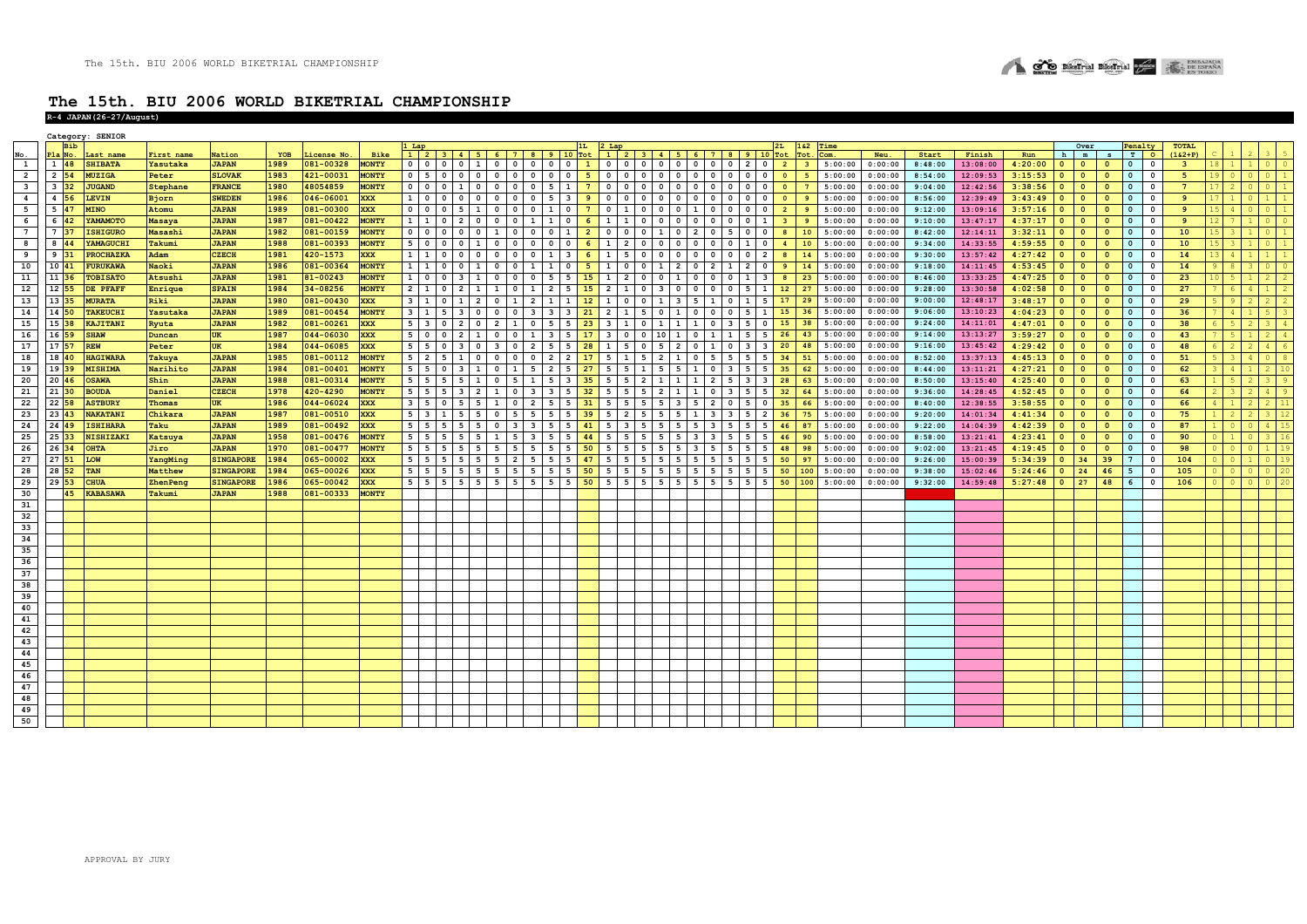

|                         |                            | Category: SENIOR |                 |                  |      |            |              |                     |                |                                                                         |                                 |                                                        |                         |                      |                |                     |                                                                                           |                         |                         |                     |                              |                                           |                |                 |         |         |         |          |             |                          |                         |                         |                          |              |                         |  |  |
|-------------------------|----------------------------|------------------|-----------------|------------------|------|------------|--------------|---------------------|----------------|-------------------------------------------------------------------------|---------------------------------|--------------------------------------------------------|-------------------------|----------------------|----------------|---------------------|-------------------------------------------------------------------------------------------|-------------------------|-------------------------|---------------------|------------------------------|-------------------------------------------|----------------|-----------------|---------|---------|---------|----------|-------------|--------------------------|-------------------------|-------------------------|--------------------------|--------------|-------------------------|--|--|
|                         | <b>Bib</b>                 |                  |                 |                  |      |            |              |                     |                |                                                                         |                                 |                                                        |                         |                      |                |                     | $2 L_{\text{ap}}$ $2 L_{\text{ap}}$ $2 L_{\text{ap}}$ $2 L_{\text{ap}}$ $2 L_{\text{ap}}$ |                         |                         |                     |                              |                                           |                | 1&2 Time        |         |         |         |          |             |                          | Over                    |                         | Penalty                  |              | <b>TOTAL</b>            |  |  |
|                         | la No.                     | Last name        | First name      | Nation           | YOB  | icense No. | Bike         |                     |                | $1 \mid 2 \mid 3 \mid 4 \mid 5 \mid 6 \mid 7 \mid 8 \mid 9 \mid 10$ Tot |                                 |                                                        |                         |                      |                |                     |                                                                                           |                         |                         |                     |                              |                                           |                | Tot. Com.       |         | Neu.    | Start   | Finish   | Run         | h                        | m                       | $S$ T                   |                          | $\circ$      | $(162+P)$               |  |  |
| $\overline{\mathbf{1}}$ | $1\overline{48}$           | <b>SHIBATA</b>   | <b>Yasutaka</b> | <b>JAPAN</b>     | 1989 | 081-00328  | <b>MONTY</b> | 0 0 0               |                | $0 \mid 1$                                                              | 0 0 0 0 0 1                     |                                                        |                         |                      |                |                     | 0 0 0 0 0 0 0 0 0 0 2 0                                                                   |                         |                         |                     |                              |                                           | $\overline{2}$ | 3 <sup>1</sup>  | 5:00:00 | 0:00:00 | 8:48:00 | 13:08:00 | $4:20:00$ 0 |                          | $\bullet$               | $\overline{0}$          | $\overline{\phantom{0}}$ | $\mathbf 0$  | $\overline{\mathbf{3}}$ |  |  |
| $\overline{2}$          | $2\overline{54}$           | <b>MUZIGA</b>    | Peter           | <b>SLOVAK</b>    | 1983 | 421-00031  | <b>MONTY</b> |                     |                | $0 \mid 5 \mid 0 \mid 0 \mid 0$                                         | 0 0 0 0 0 0 0                   |                                                        |                         |                      | 5              |                     |                                                                                           |                         |                         |                     |                              |                                           | $\overline{0}$ | 5               | 5:00:00 | 0:00:00 | 8:54:00 | 12:09:53 | $3:15:53$ 0 |                          | $\bullet$               | $\overline{\mathbf{0}}$ | $\overline{\phantom{0}}$ | $\circ$      | 5                       |  |  |
| $\overline{\mathbf{3}}$ | $3\overline{)32}$          | <b>JUGAND</b>    | Stephane        | <b>FRANCE</b>    | 1980 | 48054859   | <b>MONTY</b> |                     |                | 0 0 1 0                                                                 | $0 0 0 1 0 1 5 1 1 1$           |                                                        |                         |                      | 7 <sup>7</sup> |                     | 0 0 0 0 0                                                                                 | $\circ$                 |                         | $0 \t 0 \t 0$       |                              | $0$ 0                                     | $\bullet$      | 7 <sup>7</sup>  | 5:00:00 | 0:00:00 | 9:04:00 | 12:42:56 | 3:38:56     | $\bullet$                | $\bullet$               | $\overline{0}$          | $\mathbf 0$              | $\mathbf 0$  | $7^{\circ}$             |  |  |
| $\overline{\mathbf{4}}$ | 4 56                       | <b>LEVIN</b>     | Bjorn           | <b>SWEDEN</b>    | 1986 | 046-06001  | <b>XXX</b>   | $1 \quad 0$         |                | $0 \quad 0 \quad 0$                                                     |                                 | $0\quad 0\quad 0$                                      |                         | $5 \mid 3 \mid$      | 9              |                     | 0 0 0 0 0                                                                                 | $\circ$                 | $\circ$                 | $\circ$             | $\circ$                      | $\overline{0}$<br>$\overline{\mathbf{0}}$ | $\bullet$      | 9               | 5:00:00 | 0:00:00 | 8:56:00 | 12:39:49 | $3:43:49$ 0 |                          | $\bullet$               | $\Omega$                | $\mathbf 0$              | $^{\circ}$   | 9                       |  |  |
| 5                       | $5\overline{47}$           | <b>MINO</b>      | Atomu           | <b>JAPAN</b>     | 1989 | 081-00300  | <b>XXX</b>   | $0$ 0               | $\circ$        | $5 \mid 1$                                                              |                                 | 0 0 0                                                  |                         | $1 \vert 0 \vert$    | $7^{\circ}$    | $0 \mid 1 \mid$     | $0$ 0                                                                                     | $\Omega$                | 1 <sup>1</sup>          | $0$ 0               |                              | $0$ 0                                     | $\overline{2}$ | 9 <sup>°</sup>  | 5:00:00 | 0:00:00 | 9:12:00 | 13:09:16 | 3:57:16     | $\bullet$                | $\bullet$               | $\Omega$                | $\mathbf 0$              | $\mathbf 0$  | 9                       |  |  |
| 6                       | $6\overline{42}$           | YAMAMOTO         | <b>Masaya</b>   | <b>JAPAN</b>     | 1987 | 081-00422  | <b>MONTY</b> |                     |                | 1 1 0 2 0                                                               | $\overline{0}$                  | $0 \mid 1$                                             |                         | 1 0                  | - 6            |                     | $1 \quad 1 \quad 0 \quad 0$                                                               |                         | $\circ$ 1               | $0 \quad 0$         |                              | $0 \mid 1$                                |                | 9               | 5:00:00 | 0:00:00 | 9:10:00 | 13:47:17 | $4:37:17$ 0 |                          | $\bullet$               | $\overline{0}$          | $\circ$                  | $\mathbf 0$  | 9                       |  |  |
| $\overline{7}$          | 7 <sup>37</sup>            | <b>ISHIGURO</b>  | Masashi         | <b>JAPAN</b>     | 1982 | 081-00159  | <b>MONTY</b> | 0 0 0               |                | $0$ 0                                                                   | $\mathbf{1}$                    | $0$ 0                                                  |                         | $0 \quad 1$          | $\overline{2}$ | $0$ 0               | $0 \mid 1$                                                                                | $\overline{0}$          |                         | 2 0 5               |                              | $0$ 0                                     | 8              | 10              | 5:00:00 | 0:00:00 | 8:42:00 | 12:14:11 | 3:32:11     | $\bullet$                | $\bullet$               | $\overline{0}$          | $\circ$                  | $\mathbf{0}$ | 10                      |  |  |
|                         | 8 44                       | YAMAGUCHI        | Takumi          | <b>JAPAN</b>     | 1988 | 081-00393  | <b>MONTY</b> |                     |                |                                                                         |                                 | $0 \t 0 \t 0$                                          |                         | $0$ $0$ $1$          |                |                     | $0$ $0$                                                                                   | $\circ$                 |                         |                     |                              | 1 0                                       | $\overline{4}$ |                 | 5:00:00 | 0:00:00 | 9:34:00 | 14:33:55 |             |                          | $\bullet$               | $\overline{0}$          |                          | $\mathbf 0$  | 10                      |  |  |
| 8                       |                            |                  |                 |                  |      |            |              | 5 0 0               |                | $0\quad1$                                                               |                                 |                                                        |                         |                      | 6              | $1 \mid 2 \mid$     |                                                                                           |                         |                         | 0 0 0               |                              |                                           |                | 10              |         |         |         |          | $4:59:55$ 0 |                          |                         |                         | $\bullet$                |              |                         |  |  |
| $^{\circ}$              | $9 \overline{31}$          | <b>PROCHAZKA</b> | Adam            | <b>CZECH</b>     | 1981 | 420-1573   | <b>XXX</b>   | 1 1 0               |                | $0$ 0                                                                   |                                 | 0 0 0                                                  |                         | $1 \mid 3 \mid$      | 6              |                     | 1 5 0 0                                                                                   | $\circ$ 1               |                         | 0 0 0               |                              | $0 \mid 2$                                |                | 14              | 5:00:00 | 0:00:00 | 9:30:00 | 13:57:42 | $4:27:42$ 0 |                          | $\overline{\mathbf{0}}$ | $\overline{0}$          | $\overline{0}$           | $^{\circ}$   | 14                      |  |  |
| 10                      | 10 41                      | <b>FURUKAWA</b>  | Naoki           | <b>JAPAN</b>     | 1986 | 081-00364  | <b>MONTY</b> |                     |                | $1 1 0 0 1$                                                             |                                 | $0 \t 0 \t 1$                                          |                         | $1 \vert 0 \vert$    | 5              | $1 \mid$<br>$\circ$ | $0 \mid 1$                                                                                | $\overline{2}$          | $\circ$ 1               | $\overline{2}$      | $\mathbf{1}$                 | $2 \mid 0$                                |                | 14              | 5:00:00 | 0:00:00 | 9:18:00 | 14:11:45 | 4:53:45     | $\bullet$                | $\bullet$               | $\bullet$               | $\mathbf{0}$             | $\mathbf 0$  | 14                      |  |  |
| 11                      | 11 36                      | <b>TOBISATO</b>  | Atsushi         | <b>JAPAN</b>     | 1981 | 81-00243   | <b>MONTY</b> | $1 \vert 0$         |                | $0 \quad 3 \quad 1$                                                     |                                 | 0 0 0 1                                                |                         | 5 5                  | 15             |                     | 1200                                                                                      | 1 <sup>1</sup>          | $\overline{0}$          | $\mathbf{0}$        | $\overline{0}$               | $\mathbf{1}$<br>$\overline{\mathbf{3}}$   |                | 23              | 5:00:00 | 0:00:00 | 8:46:00 | 13:33:25 | 4:47:25     | $\bullet$                | $\bullet$               | $\Omega$                | $\mathbf{o}$             | $\mathbf{o}$ | 23                      |  |  |
| 12                      | $12$ 55                    | DE PFAFF         | Enrique         | <b>SPAIN</b>     | 1984 | 34-08256   | <b>MONTY</b> |                     |                | $2 1 0 2 1$                                                             | $1 0 1 2 5$                     |                                                        |                         |                      | 15             |                     | 2 1 0 3                                                                                   | $\circ$                 |                         | $0$ 0               | $\overline{\mathbf{0}}$      | $5 \mid 1 \mid$                           | 12             | 27              | 5:00:00 | 0:00:00 | 9:28:00 | 13:30:58 | 4:02:58     | $\bullet$                | $\bullet$               | $\overline{0}$          | $\circ$                  | $\mathbf 0$  | 27                      |  |  |
| 13                      | 13 35                      | <b>MURATA</b>    | Riki            | <b>JAPAN</b>     | 1980 | 081-00430  | <b>XXX</b>   |                     |                | $3 \mid 1 \mid 0 \mid 1 \mid 2$                                         | 0112                            |                                                        |                         | $1 \quad 1 \quad 12$ |                |                     | $1 0 0 1 1$                                                                               | $\overline{\mathbf{3}}$ |                         | 5 1 0               |                              | $1 \mid 5 \mid$                           | 17             | $\overline{29}$ | 5:00:00 | 0:00:00 | 9:00:00 | 12:48:17 | $3:48:17$ 0 |                          | $\bullet$               | $\overline{0}$          | $\overline{0}$           | $\Omega$     | 29                      |  |  |
| 14                      | 14 50                      | <b>TAKEUCHI</b>  | Yasutaka        | <b>JAPAN</b>     | 1989 | 081-00454  | <b>MONTY</b> | $3 \mid 1 \mid 5$   |                | $3 \mid 0$                                                              | $\overline{0}$                  | $0 \quad 3$                                            |                         | $3 \mid 3 \mid$      | 21             | $2 \mid 1 \mid$     | 5 0                                                                                       |                         | $\circ$                 | $\circ$             | $\overline{\mathbf{0}}$      | 5 1                                       | 15             | 36              | 5:00:00 | 0:00:00 | 9:06:00 | 13:10:23 | 4:04:23     | $\circ$                  | $\bullet$               | $\Omega$                | $\mathbf{0}$             | $\Omega$     | 36                      |  |  |
| 15                      | $15 \overline{\smash{38}}$ | KAJITANI         | Ryuta           | <b>JAPAN</b>     | 1982 | 081-00261  | <b>XXX</b>   |                     |                | 53020                                                                   | 2 1 0                           |                                                        |                         | $5 \quad 5 \quad 23$ |                |                     | 3   1   0   1   1   1   0   3   5   0                                                     |                         |                         |                     |                              |                                           | 15             | 38              | 5:00:00 | 0:00:00 | 9:24:00 | 14:11:01 | $4:47:01$ 0 |                          | $\overline{0}$          | $\circ$                 | $\circ$                  | $\mathbf 0$  | 38                      |  |  |
| 16                      |                            |                  |                 |                  |      |            |              |                     |                |                                                                         |                                 |                                                        |                         |                      |                |                     |                                                                                           |                         |                         |                     |                              |                                           |                |                 |         |         | 9:14:00 |          |             |                          |                         | $\Omega$                |                          |              |                         |  |  |
|                         | 16 59                      | <b>SHAW</b>      | Duncan          | UK               | 1987 | 044-06030  | <b>XXX</b>   | $5 \quad 0$         | $\mathbf{0}$   | $2 \mid 1$                                                              | $\mathbf 0$                     | 0 <sub>1</sub>                                         | $\overline{\mathbf{3}}$ | $\overline{5}$       | 17             | $3 \mid 0$          | $0 \mid 10$                                                                               | 1 <sup>1</sup>          | $\circ$                 | 1 <sup>1</sup>      | $\overline{1}$               | 5 <sup>1</sup><br>5                       | 26             | 43              | 5:00:00 | 0:00:00 |         | 13:13:27 | 3:59:27     | $\circ$                  | $\overline{0}$          |                         | $\circ$                  | $\mathbf 0$  | 43                      |  |  |
| 17                      | $17 \, 57$                 | <b>REW</b>       | Peter           | <b>UK</b>        | 1984 | 044-06085  | <b>XXX</b>   | 5 5 0               |                | $3 \mid 0$                                                              |                                 | $3 \t 0 \t 2$                                          |                         | $5 \quad 5 \quad 28$ |                |                     | 1 5 0 5                                                                                   |                         | $\circ$                 | 1 <sup>1</sup>      |                              | $0 \quad 3 \quad 3$                       | 20             | 48              | 5:00:00 | 0:00:00 | 9:16:00 | 13:45:42 | $4:29:42$ 0 |                          | $\overline{0}$          | $\overline{0}$          | $\circ$                  | $^{\circ}$   | 48                      |  |  |
| 18                      | $18 \vert 40$              | <b>HAGIWARA</b>  | Takuya          | <b>JAPAN</b>     | 1985 | 081-00112  | <b>MONTY</b> | $5 \mid 2$          | 5 <sub>1</sub> | $1 \vert 0$                                                             | $\circ$                         | $0$ 0                                                  |                         | $2 \mid 2 \mid$      | 17             |                     | $5 \mid 1 \mid 5 \mid 2$                                                                  |                         | $\circ$                 | 5                   | 5 <sub>1</sub>               | 5 <sup>1</sup><br>5                       | 34             | 51              | 5:00:00 | 0:00:00 | 8:52:00 | 13:37:13 | 4:45:13     | $\overline{\mathbf{0}}$  | $\bullet$               | $\overline{0}$          | $\overline{\mathbf{0}}$  | $\mathbf 0$  | 51                      |  |  |
| 19                      | 19 39                      | <b>MISHIMA</b>   | Narihito        | <b>JAPAN</b>     | 1984 | 081-00401  | <b>MONTY</b> |                     |                | $5 \mid 5 \mid 0 \mid 3 \mid 1$                                         | 0 1 5 2 5 27                    |                                                        |                         |                      |                |                     | $5 \mid 5 \mid 1 \mid 5 \mid 5 \mid 1 \mid 0 \mid 3 \mid 5 \mid 5 \mid 35$                |                         |                         |                     |                              |                                           |                | 62              | 5:00:00 | 0:00:00 | 8:44:00 | 13:11:21 | $4:27:21$ 0 |                          | $\bullet$               | $\bullet$               | $\overline{\mathbf{0}}$  | $\mathbf{0}$ | 62                      |  |  |
| 20                      | $20 \overline{46}$         | <b>OSAWA</b>     | Shin            | <b>JAPAN</b>     | 1988 | 081-00314  | <b>MONTY</b> |                     |                | $5 \mid 5 \mid 5 \mid 5 \mid 1$                                         | $0 \mid 5 \mid 1 \mid 5 \mid 3$ |                                                        |                         |                      | 35             |                     | 5 5 2 1                                                                                   | $\mathbf{1}$            |                         | $1 \quad 2 \quad 5$ | $\overline{\mathbf{3}}$      | <b>3</b>                                  | 28             | 63              | 5:00:00 | 0:00:00 | 8:50:00 | 13:15:40 | $4:25:40$ 0 |                          | $\bullet$               | $\overline{0}$          | $\circ$                  | $\mathbf 0$  | 63                      |  |  |
| 21                      | $21$ 30                    | <b>BOUDA</b>     | Daniel          | <b>CZECH</b>     | 1978 | 420-4290   | <b>MONTY</b> | $5 \mid 5 \mid 5$   |                | $3 \mid 2$                                                              |                                 | $0 \quad 3$                                            |                         |                      | 32             | $5 \mid 5 \mid$     | $5 \mid 2$                                                                                |                         | 1 <sup>1</sup>          |                     |                              | $0 \quad 3 \quad 5 \quad 5$               | 32             | 64              | 5:00:00 | 0:00:00 | 9:36:00 | 14:28:45 | $4:52:45$ 0 |                          | $\bullet$               | $\Omega$                | $\mathbf{0}$             | $\Omega$     | 64                      |  |  |
| 22                      | $22\overline{58}$          | <b>ASTBURY</b>   | Thomas          | <b>UK</b>        | 1986 | 044-06024  | <b>XXX</b>   | $3 \mid 5$          | $\circ$        | $5 \mid 5$                                                              |                                 | $\overline{\phantom{a}}$<br>$\overline{2}$             |                         |                      | 31             | 5<br>5 <sub>1</sub> | $5 \mid 5$                                                                                |                         |                         | $\overline{2}$      | $\overline{0}$               | 5<br>$\overline{0}$                       | 35             | 66              | 5:00:00 | 0:00:00 | 8:40:00 | 12:38:55 | 3:58:55     | $\bullet$                | $\overline{0}$          | $\Omega$                | $\circ$                  | $\Omega$     | 66                      |  |  |
| 23                      | $23 \, 43$                 | <b>NAKATANI</b>  | Chikara         | <b>JAPAN</b>     | 1987 | 081-00510  | <b>XXX</b>   | $5 \mid 3 \mid 1$   |                | $5 \mid 5$                                                              | $\overline{0}$                  | 5 5                                                    |                         | $5 \quad 5 \quad 39$ |                | $5 \mid 2 \mid$     | 5 5                                                                                       |                         | -11                     | 3                   | 5<br>$\overline{\mathbf{3}}$ | $\overline{2}$                            | 36             | 75              | 5:00:00 | 0:00:00 | 9:20:00 | 14:01:34 | 4:41:34     | $\overline{\phantom{a}}$ | $\bullet$               | $\Omega$                | $\overline{0}$           | $\mathbf 0$  | 75                      |  |  |
|                         |                            |                  |                 |                  |      |            |              |                     |                |                                                                         |                                 |                                                        |                         |                      |                |                     |                                                                                           |                         |                         |                     |                              |                                           |                |                 |         |         |         |          |             |                          |                         |                         |                          |              |                         |  |  |
| 24                      | 24 49                      | <b>ISHIHARA</b>  | Taku            | <b>JAPAN</b>     | 1989 | 081-00492  | <b>XXX</b>   | $5 \quad 5 \quad 5$ |                | $5 \mid 5$                                                              | $\overline{0}$                  | $\overline{\phantom{a}}$<br>$\overline{\phantom{a}}$ 3 | 5                       | 5 <sup>1</sup>       | 41             | 5 3 1               | 5 5                                                                                       |                         |                         | $5 \quad 3$         | 5 <sup>1</sup>               | $5 \mid 5 \mid$                           | 46             | 87              | 5:00:00 | 0:00:00 | 9:22:00 | 14:04:39 | 4:42:39     | $\overline{\mathbf{0}}$  | $\overline{0}$          | $\Omega$                | $\overline{\mathbf{0}}$  | $\Omega$     | 87                      |  |  |
| 25                      | 25 33                      | <b>NISHIZAKI</b> | Katsuya         | <b>JAPAN</b>     | 1958 | 081-00476  | <b>MONTY</b> |                     |                | $5 \mid 5 \mid 5 \mid 5 \mid 5$                                         | <sup>1</sup>                    | $5 \quad 3$                                            |                         | 55                   | 44             |                     | $5 \mid 5 \mid 5 \mid 5$                                                                  |                         |                         | 33                  | 5                            | 5<br>5                                    | 46             | 90              | 5:00:00 | 0:00:00 | 8:58:00 | 13:21:41 | $4:23:41$ 0 |                          | $\bullet$               | $\overline{\mathbf{0}}$ | $\overline{0}$           | $^{\circ}$   | 90                      |  |  |
| 26                      | 26 34                      | <b>OHTA</b>      | Jiro            | <b>JAPAN</b>     | 1970 | 081-00477  | <b>MONTY</b> |                     |                | $5 \mid 5 \mid 5 \mid 5 \mid 5$                                         | 5                               | l 5<br>5 <sup>5</sup>                                  |                         | 5                    | 50             | 5                   | $5 \mid 5 \mid 5$                                                                         |                         | $\overline{\mathbf{3}}$ | 5                   | 5 <sub>1</sub>               | 5<br>5                                    | 48             | 98              | 5:00:00 | 0:00:00 | 9:02:00 | 13:21:45 | 4:19:45     | $\overline{0}$           | $\bullet$               | $\overline{0}$          | $\mathbf{0}$             | $\mathbf 0$  | 98                      |  |  |
| 27                      | $27$ 51                    | LOW              | YangMing        | <b>SINGAPORE</b> | 1984 | 065-00002  | <b>XXX</b>   | $5 \mid 5$          | 5 <sub>1</sub> | 55                                                                      | 5                               | $\overline{2}$<br>$\overline{5}$                       |                         | 5                    | 47             |                     | 5 5 5 5                                                                                   |                         | 5                       | 5                   | 5<br>5                       | 5                                         | 50             | 97              | 5:00:00 | 0:00:00 | 9:26:00 | 15:00:39 | 5:34:39     | $\overline{\mathbf{0}}$  | 34                      | 39                      | $7\phantom{.0}$          | $\Omega$     | 104                     |  |  |
| 28                      | 28 52                      | TAN              | Matthew         | <b>SINGAPORE</b> | 1984 | 065-00026  | <b>XXX</b>   | $5 \mid 5$          | - 5 I          | 55                                                                      | 5                               | $5 \mid 5 \mid$                                        |                         |                      | 50             |                     | 5 5 5 5                                                                                   |                         |                         | $5 \mid 5 \mid 5$   |                              | $5 \mid 5 \mid$                           | 50             | 100             | 5:00:00 | 0:00:00 | 9:38:00 | 15:02:46 | 5:24:46     | $\overline{0}$           | 24                      | 46                      | 5                        | $\Omega$     | 105                     |  |  |
| 29                      | 29 53                      | <b>CHUA</b>      | ZhenPeng        | <b>SINGAPORE</b> | 1986 | 065-00042  | <b>XXX</b>   | $5 \mid 5 \mid 5$   |                | $5 \quad 5$                                                             | 5                               |                                                        | 5 5 5 5 5 50            |                      |                |                     | 5 5 5 5 5 5 5 5 5 5 5 5 5 6                                                               |                         |                         |                     |                              |                                           |                | 100             | 5:00:00 | 0:00:00 | 9:32:00 | 14:59:48 | $5:27:48$ 0 |                          | 27                      | 48                      | $6\overline{6}$          | $^{\circ}$   | 106                     |  |  |
| 30                      | 45                         | <b>KABASAWA</b>  | Takumi          | <b>JAPAN</b>     | 1988 | 081-00333  | <b>MONTY</b> |                     |                |                                                                         |                                 |                                                        |                         |                      |                |                     |                                                                                           |                         |                         |                     |                              |                                           |                |                 |         |         |         |          |             |                          |                         |                         |                          |              |                         |  |  |
| 31                      |                            |                  |                 |                  |      |            |              |                     |                |                                                                         |                                 |                                                        |                         |                      |                |                     |                                                                                           |                         |                         |                     |                              |                                           |                |                 |         |         |         |          |             |                          |                         |                         |                          |              |                         |  |  |
| 32                      |                            |                  |                 |                  |      |            |              |                     |                |                                                                         |                                 |                                                        |                         |                      |                |                     |                                                                                           |                         |                         |                     |                              |                                           |                |                 |         |         |         |          |             |                          |                         |                         |                          |              |                         |  |  |
|                         |                            |                  |                 |                  |      |            |              |                     |                |                                                                         |                                 |                                                        |                         |                      |                |                     |                                                                                           |                         |                         |                     |                              |                                           |                |                 |         |         |         |          |             |                          |                         |                         |                          |              |                         |  |  |
| 33                      |                            |                  |                 |                  |      |            |              |                     |                |                                                                         |                                 |                                                        |                         |                      |                |                     |                                                                                           |                         |                         |                     |                              |                                           |                |                 |         |         |         |          |             |                          |                         |                         |                          |              |                         |  |  |
| 34                      |                            |                  |                 |                  |      |            |              |                     |                |                                                                         |                                 |                                                        |                         |                      |                |                     |                                                                                           |                         |                         |                     |                              |                                           |                |                 |         |         |         |          |             |                          |                         |                         |                          |              |                         |  |  |
| 35                      |                            |                  |                 |                  |      |            |              |                     |                |                                                                         |                                 |                                                        |                         |                      |                |                     |                                                                                           |                         |                         |                     |                              |                                           |                |                 |         |         |         |          |             |                          |                         |                         |                          |              |                         |  |  |
| 36                      |                            |                  |                 |                  |      |            |              |                     |                |                                                                         |                                 |                                                        |                         |                      |                |                     |                                                                                           |                         |                         |                     |                              |                                           |                |                 |         |         |         |          |             |                          |                         |                         |                          |              |                         |  |  |
| 37                      |                            |                  |                 |                  |      |            |              |                     |                |                                                                         |                                 |                                                        |                         |                      |                |                     |                                                                                           |                         |                         |                     |                              |                                           |                |                 |         |         |         |          |             |                          |                         |                         |                          |              |                         |  |  |
| 38                      |                            |                  |                 |                  |      |            |              |                     |                |                                                                         |                                 |                                                        |                         |                      |                |                     |                                                                                           |                         |                         |                     |                              |                                           |                |                 |         |         |         |          |             |                          |                         |                         |                          |              |                         |  |  |
| 39                      |                            |                  |                 |                  |      |            |              |                     |                |                                                                         |                                 |                                                        |                         |                      |                |                     |                                                                                           |                         |                         |                     |                              |                                           |                |                 |         |         |         |          |             |                          |                         |                         |                          |              |                         |  |  |
| 40                      |                            |                  |                 |                  |      |            |              |                     |                |                                                                         |                                 |                                                        |                         |                      |                |                     |                                                                                           |                         |                         |                     |                              |                                           |                |                 |         |         |         |          |             |                          |                         |                         |                          |              |                         |  |  |
|                         |                            |                  |                 |                  |      |            |              |                     |                |                                                                         |                                 |                                                        |                         |                      |                |                     |                                                                                           |                         |                         |                     |                              |                                           |                |                 |         |         |         |          |             |                          |                         |                         |                          |              |                         |  |  |
| 41                      |                            |                  |                 |                  |      |            |              |                     |                |                                                                         |                                 |                                                        |                         |                      |                |                     |                                                                                           |                         |                         |                     |                              |                                           |                |                 |         |         |         |          |             |                          |                         |                         |                          |              |                         |  |  |
| 42                      |                            |                  |                 |                  |      |            |              |                     |                |                                                                         |                                 |                                                        |                         |                      |                |                     |                                                                                           |                         |                         |                     |                              |                                           |                |                 |         |         |         |          |             |                          |                         |                         |                          |              |                         |  |  |
| 43                      |                            |                  |                 |                  |      |            |              |                     |                |                                                                         |                                 |                                                        |                         |                      |                |                     |                                                                                           |                         |                         |                     |                              |                                           |                |                 |         |         |         |          |             |                          |                         |                         |                          |              |                         |  |  |
| 44                      |                            |                  |                 |                  |      |            |              |                     |                |                                                                         |                                 |                                                        |                         |                      |                |                     |                                                                                           |                         |                         |                     |                              |                                           |                |                 |         |         |         |          |             |                          |                         |                         |                          |              |                         |  |  |
| 45                      |                            |                  |                 |                  |      |            |              |                     |                |                                                                         |                                 |                                                        |                         |                      |                |                     |                                                                                           |                         |                         |                     |                              |                                           |                |                 |         |         |         |          |             |                          |                         |                         |                          |              |                         |  |  |
| 46                      |                            |                  |                 |                  |      |            |              |                     |                |                                                                         |                                 |                                                        |                         |                      |                |                     |                                                                                           |                         |                         |                     |                              |                                           |                |                 |         |         |         |          |             |                          |                         |                         |                          |              |                         |  |  |
| 47                      |                            |                  |                 |                  |      |            |              |                     |                |                                                                         |                                 |                                                        |                         |                      |                |                     |                                                                                           |                         |                         |                     |                              |                                           |                |                 |         |         |         |          |             |                          |                         |                         |                          |              |                         |  |  |
| 48                      |                            |                  |                 |                  |      |            |              |                     |                |                                                                         |                                 |                                                        |                         |                      |                |                     |                                                                                           |                         |                         |                     |                              |                                           |                |                 |         |         |         |          |             |                          |                         |                         |                          |              |                         |  |  |
|                         |                            |                  |                 |                  |      |            |              |                     |                |                                                                         |                                 |                                                        |                         |                      |                |                     |                                                                                           |                         |                         |                     |                              |                                           |                |                 |         |         |         |          |             |                          |                         |                         |                          |              |                         |  |  |
| 49                      |                            |                  |                 |                  |      |            |              |                     |                |                                                                         |                                 |                                                        |                         |                      |                |                     |                                                                                           |                         |                         |                     |                              |                                           |                |                 |         |         |         |          |             |                          |                         |                         |                          |              |                         |  |  |
| 50                      |                            |                  |                 |                  |      |            |              |                     |                |                                                                         |                                 |                                                        |                         |                      |                |                     |                                                                                           |                         |                         |                     |                              |                                           |                |                 |         |         |         |          |             |                          |                         |                         |                          |              |                         |  |  |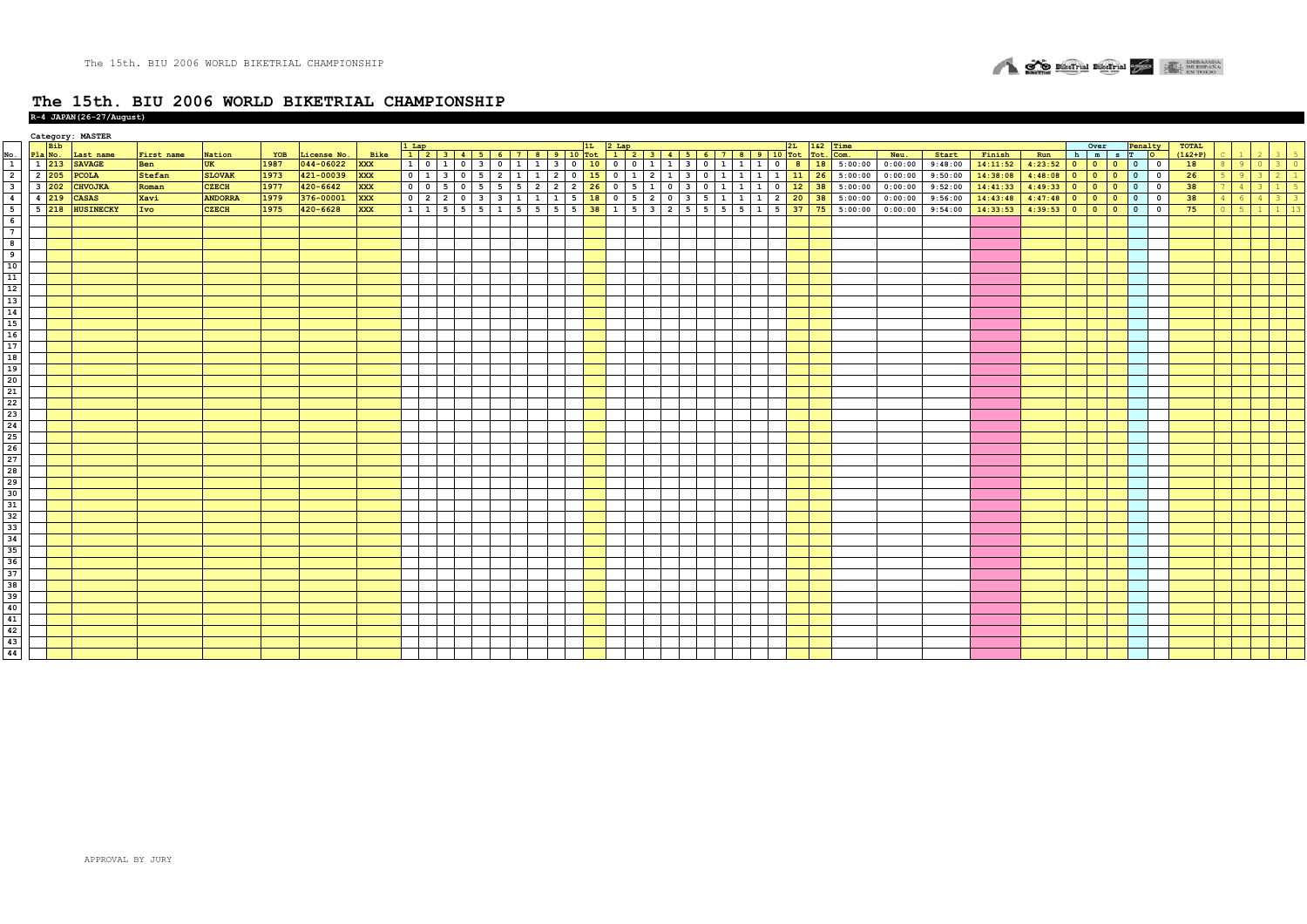

| Over<br><b>Bib</b><br>1&2 Time<br>Penalty<br>Pla No.<br>License No.<br>Bike<br>Tot. Com.<br>Neu.<br>Start<br>$(162+P)$<br>Last name<br>First name<br>Nation<br>YOB<br>Finish<br>Run<br>h m s T O<br>$\frac{\text{No}}{1}$<br>1 213 SAVAGE<br><b>XXX</b><br>1 0 1 0 3 0 1 1 3 0 10 0 0 1 1 3 0 1 1 3 0 1 1 1 0 8 18 5:00:00 0:00:00<br>1987<br>044-06022<br>9:48:00<br>$4:23:52$ 0 0<br>18<br>14:11:52<br>Ben<br><b>UK</b><br>$\bullet$<br>$0-1$<br>300<br>$8 \mid 9$<br>$\overline{2}$<br>0 1 3 0 5 2 1 1 2 0 15 0 1 2 1 3 0 1 1 1 1 1 1 2 6 5:00:00<br>421-00039<br>0:00:00<br>2 205 PCOLA<br><b>Stefan</b><br><b>SLOVAK</b><br>1973<br><b>XXX</b><br>9:50:00<br>14:38:08<br>$4:48:08$ 0 0<br>26<br>$\bullet$<br>$5 \t9 \t3 \t2 \t1$<br>0 0 5 0 5 5 5 7 2 2 2 2 0 5 1 0 3 0 1 1 1 0 12 38 5:00:00<br>0:00:00<br>38<br>$3\overline{202}$<br>$4:49:33$ 0 0<br><b>CZECH</b><br>1977<br>420-6642<br><b>XXX</b><br>9:52:00<br>14:41:33<br>$\bullet$<br>$\overline{\mathbf{3}}$<br><b>CHVOJKA</b><br>Roman<br>$1 \mid 5$<br>$\vert 4 \vert$<br>$3-1$<br>0 2 2 0 3 3 1 1 1 5 18 0 5 2 0 3 5 1 1 1 2 20 38 5:00:00<br>376-00001<br>0:00:00<br>4:47:48 0 0 0 0 0<br>4 219 CASAS<br><b>ANDORRA</b><br><b>XXX</b><br>9:56:00<br>14:43:48<br>38<br>Xavi<br>1979<br>$4 \quad 3 \quad 3$<br>$\overline{4}$<br>$4 \quad 6$<br>1 1 1 5 5 5 6 7 5 6 5 6 7 8 7 8 7 8 7 8 7 8 7 8 9 70 7 8 9 70 71 8 72 73 8 9 00:00<br><b>XXX</b><br>$4:39:53$ 0 0 0 0 0 0<br>5 218 HUSINECKY<br>Ivo<br>420-6628<br>0:00:00<br>75<br><b>CZECH</b><br>1975<br>9:54:00<br>14:33:53<br>$1 \mid 13$<br>5<br>$0 \t 5$<br>1 <sup>1</sup><br>$-6$<br>$\overline{7}$<br>$\overline{\mathbf{8}}$<br>$\overline{9}$<br>10<br>11<br>$12\,$<br>13<br>14<br>15<br>16<br>17<br>18<br>19<br>20<br>$\overline{21}$<br>$\frac{1}{22}$<br>$\frac{23}{24}$<br>25<br>$\frac{26}{27}$<br>28<br>29<br>30<br>$\begin{array}{r} 31 \\ 32 \\ 33 \\ 34 \end{array}$<br>$\frac{1}{35}$<br>$\frac{36}{37}$<br>38<br>$\frac{39}{40}$<br>41<br>42<br>$\frac{43}{44}$ |  | Category: MASTER |  |  |  |  |  |  |  |  |  |  |  |  |  |  |  |  |              |  |  |
|-------------------------------------------------------------------------------------------------------------------------------------------------------------------------------------------------------------------------------------------------------------------------------------------------------------------------------------------------------------------------------------------------------------------------------------------------------------------------------------------------------------------------------------------------------------------------------------------------------------------------------------------------------------------------------------------------------------------------------------------------------------------------------------------------------------------------------------------------------------------------------------------------------------------------------------------------------------------------------------------------------------------------------------------------------------------------------------------------------------------------------------------------------------------------------------------------------------------------------------------------------------------------------------------------------------------------------------------------------------------------------------------------------------------------------------------------------------------------------------------------------------------------------------------------------------------------------------------------------------------------------------------------------------------------------------------------------------------------------------------------------------------------------------------------------------------------------------------------------------------------------------------------------------------------------------------------------------------------------------------------------|--|------------------|--|--|--|--|--|--|--|--|--|--|--|--|--|--|--|--|--------------|--|--|
|                                                                                                                                                                                                                                                                                                                                                                                                                                                                                                                                                                                                                                                                                                                                                                                                                                                                                                                                                                                                                                                                                                                                                                                                                                                                                                                                                                                                                                                                                                                                                                                                                                                                                                                                                                                                                                                                                                                                                                                                       |  |                  |  |  |  |  |  |  |  |  |  |  |  |  |  |  |  |  | <b>TOTAL</b> |  |  |
|                                                                                                                                                                                                                                                                                                                                                                                                                                                                                                                                                                                                                                                                                                                                                                                                                                                                                                                                                                                                                                                                                                                                                                                                                                                                                                                                                                                                                                                                                                                                                                                                                                                                                                                                                                                                                                                                                                                                                                                                       |  |                  |  |  |  |  |  |  |  |  |  |  |  |  |  |  |  |  |              |  |  |
|                                                                                                                                                                                                                                                                                                                                                                                                                                                                                                                                                                                                                                                                                                                                                                                                                                                                                                                                                                                                                                                                                                                                                                                                                                                                                                                                                                                                                                                                                                                                                                                                                                                                                                                                                                                                                                                                                                                                                                                                       |  |                  |  |  |  |  |  |  |  |  |  |  |  |  |  |  |  |  |              |  |  |
|                                                                                                                                                                                                                                                                                                                                                                                                                                                                                                                                                                                                                                                                                                                                                                                                                                                                                                                                                                                                                                                                                                                                                                                                                                                                                                                                                                                                                                                                                                                                                                                                                                                                                                                                                                                                                                                                                                                                                                                                       |  |                  |  |  |  |  |  |  |  |  |  |  |  |  |  |  |  |  |              |  |  |
|                                                                                                                                                                                                                                                                                                                                                                                                                                                                                                                                                                                                                                                                                                                                                                                                                                                                                                                                                                                                                                                                                                                                                                                                                                                                                                                                                                                                                                                                                                                                                                                                                                                                                                                                                                                                                                                                                                                                                                                                       |  |                  |  |  |  |  |  |  |  |  |  |  |  |  |  |  |  |  |              |  |  |
|                                                                                                                                                                                                                                                                                                                                                                                                                                                                                                                                                                                                                                                                                                                                                                                                                                                                                                                                                                                                                                                                                                                                                                                                                                                                                                                                                                                                                                                                                                                                                                                                                                                                                                                                                                                                                                                                                                                                                                                                       |  |                  |  |  |  |  |  |  |  |  |  |  |  |  |  |  |  |  |              |  |  |
|                                                                                                                                                                                                                                                                                                                                                                                                                                                                                                                                                                                                                                                                                                                                                                                                                                                                                                                                                                                                                                                                                                                                                                                                                                                                                                                                                                                                                                                                                                                                                                                                                                                                                                                                                                                                                                                                                                                                                                                                       |  |                  |  |  |  |  |  |  |  |  |  |  |  |  |  |  |  |  |              |  |  |
|                                                                                                                                                                                                                                                                                                                                                                                                                                                                                                                                                                                                                                                                                                                                                                                                                                                                                                                                                                                                                                                                                                                                                                                                                                                                                                                                                                                                                                                                                                                                                                                                                                                                                                                                                                                                                                                                                                                                                                                                       |  |                  |  |  |  |  |  |  |  |  |  |  |  |  |  |  |  |  |              |  |  |
|                                                                                                                                                                                                                                                                                                                                                                                                                                                                                                                                                                                                                                                                                                                                                                                                                                                                                                                                                                                                                                                                                                                                                                                                                                                                                                                                                                                                                                                                                                                                                                                                                                                                                                                                                                                                                                                                                                                                                                                                       |  |                  |  |  |  |  |  |  |  |  |  |  |  |  |  |  |  |  |              |  |  |
|                                                                                                                                                                                                                                                                                                                                                                                                                                                                                                                                                                                                                                                                                                                                                                                                                                                                                                                                                                                                                                                                                                                                                                                                                                                                                                                                                                                                                                                                                                                                                                                                                                                                                                                                                                                                                                                                                                                                                                                                       |  |                  |  |  |  |  |  |  |  |  |  |  |  |  |  |  |  |  |              |  |  |
|                                                                                                                                                                                                                                                                                                                                                                                                                                                                                                                                                                                                                                                                                                                                                                                                                                                                                                                                                                                                                                                                                                                                                                                                                                                                                                                                                                                                                                                                                                                                                                                                                                                                                                                                                                                                                                                                                                                                                                                                       |  |                  |  |  |  |  |  |  |  |  |  |  |  |  |  |  |  |  |              |  |  |
|                                                                                                                                                                                                                                                                                                                                                                                                                                                                                                                                                                                                                                                                                                                                                                                                                                                                                                                                                                                                                                                                                                                                                                                                                                                                                                                                                                                                                                                                                                                                                                                                                                                                                                                                                                                                                                                                                                                                                                                                       |  |                  |  |  |  |  |  |  |  |  |  |  |  |  |  |  |  |  |              |  |  |
|                                                                                                                                                                                                                                                                                                                                                                                                                                                                                                                                                                                                                                                                                                                                                                                                                                                                                                                                                                                                                                                                                                                                                                                                                                                                                                                                                                                                                                                                                                                                                                                                                                                                                                                                                                                                                                                                                                                                                                                                       |  |                  |  |  |  |  |  |  |  |  |  |  |  |  |  |  |  |  |              |  |  |
|                                                                                                                                                                                                                                                                                                                                                                                                                                                                                                                                                                                                                                                                                                                                                                                                                                                                                                                                                                                                                                                                                                                                                                                                                                                                                                                                                                                                                                                                                                                                                                                                                                                                                                                                                                                                                                                                                                                                                                                                       |  |                  |  |  |  |  |  |  |  |  |  |  |  |  |  |  |  |  |              |  |  |
|                                                                                                                                                                                                                                                                                                                                                                                                                                                                                                                                                                                                                                                                                                                                                                                                                                                                                                                                                                                                                                                                                                                                                                                                                                                                                                                                                                                                                                                                                                                                                                                                                                                                                                                                                                                                                                                                                                                                                                                                       |  |                  |  |  |  |  |  |  |  |  |  |  |  |  |  |  |  |  |              |  |  |
|                                                                                                                                                                                                                                                                                                                                                                                                                                                                                                                                                                                                                                                                                                                                                                                                                                                                                                                                                                                                                                                                                                                                                                                                                                                                                                                                                                                                                                                                                                                                                                                                                                                                                                                                                                                                                                                                                                                                                                                                       |  |                  |  |  |  |  |  |  |  |  |  |  |  |  |  |  |  |  |              |  |  |
|                                                                                                                                                                                                                                                                                                                                                                                                                                                                                                                                                                                                                                                                                                                                                                                                                                                                                                                                                                                                                                                                                                                                                                                                                                                                                                                                                                                                                                                                                                                                                                                                                                                                                                                                                                                                                                                                                                                                                                                                       |  |                  |  |  |  |  |  |  |  |  |  |  |  |  |  |  |  |  |              |  |  |
|                                                                                                                                                                                                                                                                                                                                                                                                                                                                                                                                                                                                                                                                                                                                                                                                                                                                                                                                                                                                                                                                                                                                                                                                                                                                                                                                                                                                                                                                                                                                                                                                                                                                                                                                                                                                                                                                                                                                                                                                       |  |                  |  |  |  |  |  |  |  |  |  |  |  |  |  |  |  |  |              |  |  |
|                                                                                                                                                                                                                                                                                                                                                                                                                                                                                                                                                                                                                                                                                                                                                                                                                                                                                                                                                                                                                                                                                                                                                                                                                                                                                                                                                                                                                                                                                                                                                                                                                                                                                                                                                                                                                                                                                                                                                                                                       |  |                  |  |  |  |  |  |  |  |  |  |  |  |  |  |  |  |  |              |  |  |
|                                                                                                                                                                                                                                                                                                                                                                                                                                                                                                                                                                                                                                                                                                                                                                                                                                                                                                                                                                                                                                                                                                                                                                                                                                                                                                                                                                                                                                                                                                                                                                                                                                                                                                                                                                                                                                                                                                                                                                                                       |  |                  |  |  |  |  |  |  |  |  |  |  |  |  |  |  |  |  |              |  |  |
|                                                                                                                                                                                                                                                                                                                                                                                                                                                                                                                                                                                                                                                                                                                                                                                                                                                                                                                                                                                                                                                                                                                                                                                                                                                                                                                                                                                                                                                                                                                                                                                                                                                                                                                                                                                                                                                                                                                                                                                                       |  |                  |  |  |  |  |  |  |  |  |  |  |  |  |  |  |  |  |              |  |  |
|                                                                                                                                                                                                                                                                                                                                                                                                                                                                                                                                                                                                                                                                                                                                                                                                                                                                                                                                                                                                                                                                                                                                                                                                                                                                                                                                                                                                                                                                                                                                                                                                                                                                                                                                                                                                                                                                                                                                                                                                       |  |                  |  |  |  |  |  |  |  |  |  |  |  |  |  |  |  |  |              |  |  |
|                                                                                                                                                                                                                                                                                                                                                                                                                                                                                                                                                                                                                                                                                                                                                                                                                                                                                                                                                                                                                                                                                                                                                                                                                                                                                                                                                                                                                                                                                                                                                                                                                                                                                                                                                                                                                                                                                                                                                                                                       |  |                  |  |  |  |  |  |  |  |  |  |  |  |  |  |  |  |  |              |  |  |
|                                                                                                                                                                                                                                                                                                                                                                                                                                                                                                                                                                                                                                                                                                                                                                                                                                                                                                                                                                                                                                                                                                                                                                                                                                                                                                                                                                                                                                                                                                                                                                                                                                                                                                                                                                                                                                                                                                                                                                                                       |  |                  |  |  |  |  |  |  |  |  |  |  |  |  |  |  |  |  |              |  |  |
|                                                                                                                                                                                                                                                                                                                                                                                                                                                                                                                                                                                                                                                                                                                                                                                                                                                                                                                                                                                                                                                                                                                                                                                                                                                                                                                                                                                                                                                                                                                                                                                                                                                                                                                                                                                                                                                                                                                                                                                                       |  |                  |  |  |  |  |  |  |  |  |  |  |  |  |  |  |  |  |              |  |  |
|                                                                                                                                                                                                                                                                                                                                                                                                                                                                                                                                                                                                                                                                                                                                                                                                                                                                                                                                                                                                                                                                                                                                                                                                                                                                                                                                                                                                                                                                                                                                                                                                                                                                                                                                                                                                                                                                                                                                                                                                       |  |                  |  |  |  |  |  |  |  |  |  |  |  |  |  |  |  |  |              |  |  |
|                                                                                                                                                                                                                                                                                                                                                                                                                                                                                                                                                                                                                                                                                                                                                                                                                                                                                                                                                                                                                                                                                                                                                                                                                                                                                                                                                                                                                                                                                                                                                                                                                                                                                                                                                                                                                                                                                                                                                                                                       |  |                  |  |  |  |  |  |  |  |  |  |  |  |  |  |  |  |  |              |  |  |
|                                                                                                                                                                                                                                                                                                                                                                                                                                                                                                                                                                                                                                                                                                                                                                                                                                                                                                                                                                                                                                                                                                                                                                                                                                                                                                                                                                                                                                                                                                                                                                                                                                                                                                                                                                                                                                                                                                                                                                                                       |  |                  |  |  |  |  |  |  |  |  |  |  |  |  |  |  |  |  |              |  |  |
|                                                                                                                                                                                                                                                                                                                                                                                                                                                                                                                                                                                                                                                                                                                                                                                                                                                                                                                                                                                                                                                                                                                                                                                                                                                                                                                                                                                                                                                                                                                                                                                                                                                                                                                                                                                                                                                                                                                                                                                                       |  |                  |  |  |  |  |  |  |  |  |  |  |  |  |  |  |  |  |              |  |  |
|                                                                                                                                                                                                                                                                                                                                                                                                                                                                                                                                                                                                                                                                                                                                                                                                                                                                                                                                                                                                                                                                                                                                                                                                                                                                                                                                                                                                                                                                                                                                                                                                                                                                                                                                                                                                                                                                                                                                                                                                       |  |                  |  |  |  |  |  |  |  |  |  |  |  |  |  |  |  |  |              |  |  |
|                                                                                                                                                                                                                                                                                                                                                                                                                                                                                                                                                                                                                                                                                                                                                                                                                                                                                                                                                                                                                                                                                                                                                                                                                                                                                                                                                                                                                                                                                                                                                                                                                                                                                                                                                                                                                                                                                                                                                                                                       |  |                  |  |  |  |  |  |  |  |  |  |  |  |  |  |  |  |  |              |  |  |
|                                                                                                                                                                                                                                                                                                                                                                                                                                                                                                                                                                                                                                                                                                                                                                                                                                                                                                                                                                                                                                                                                                                                                                                                                                                                                                                                                                                                                                                                                                                                                                                                                                                                                                                                                                                                                                                                                                                                                                                                       |  |                  |  |  |  |  |  |  |  |  |  |  |  |  |  |  |  |  |              |  |  |
|                                                                                                                                                                                                                                                                                                                                                                                                                                                                                                                                                                                                                                                                                                                                                                                                                                                                                                                                                                                                                                                                                                                                                                                                                                                                                                                                                                                                                                                                                                                                                                                                                                                                                                                                                                                                                                                                                                                                                                                                       |  |                  |  |  |  |  |  |  |  |  |  |  |  |  |  |  |  |  |              |  |  |
|                                                                                                                                                                                                                                                                                                                                                                                                                                                                                                                                                                                                                                                                                                                                                                                                                                                                                                                                                                                                                                                                                                                                                                                                                                                                                                                                                                                                                                                                                                                                                                                                                                                                                                                                                                                                                                                                                                                                                                                                       |  |                  |  |  |  |  |  |  |  |  |  |  |  |  |  |  |  |  |              |  |  |
|                                                                                                                                                                                                                                                                                                                                                                                                                                                                                                                                                                                                                                                                                                                                                                                                                                                                                                                                                                                                                                                                                                                                                                                                                                                                                                                                                                                                                                                                                                                                                                                                                                                                                                                                                                                                                                                                                                                                                                                                       |  |                  |  |  |  |  |  |  |  |  |  |  |  |  |  |  |  |  |              |  |  |
|                                                                                                                                                                                                                                                                                                                                                                                                                                                                                                                                                                                                                                                                                                                                                                                                                                                                                                                                                                                                                                                                                                                                                                                                                                                                                                                                                                                                                                                                                                                                                                                                                                                                                                                                                                                                                                                                                                                                                                                                       |  |                  |  |  |  |  |  |  |  |  |  |  |  |  |  |  |  |  |              |  |  |
|                                                                                                                                                                                                                                                                                                                                                                                                                                                                                                                                                                                                                                                                                                                                                                                                                                                                                                                                                                                                                                                                                                                                                                                                                                                                                                                                                                                                                                                                                                                                                                                                                                                                                                                                                                                                                                                                                                                                                                                                       |  |                  |  |  |  |  |  |  |  |  |  |  |  |  |  |  |  |  |              |  |  |
|                                                                                                                                                                                                                                                                                                                                                                                                                                                                                                                                                                                                                                                                                                                                                                                                                                                                                                                                                                                                                                                                                                                                                                                                                                                                                                                                                                                                                                                                                                                                                                                                                                                                                                                                                                                                                                                                                                                                                                                                       |  |                  |  |  |  |  |  |  |  |  |  |  |  |  |  |  |  |  |              |  |  |
|                                                                                                                                                                                                                                                                                                                                                                                                                                                                                                                                                                                                                                                                                                                                                                                                                                                                                                                                                                                                                                                                                                                                                                                                                                                                                                                                                                                                                                                                                                                                                                                                                                                                                                                                                                                                                                                                                                                                                                                                       |  |                  |  |  |  |  |  |  |  |  |  |  |  |  |  |  |  |  |              |  |  |
|                                                                                                                                                                                                                                                                                                                                                                                                                                                                                                                                                                                                                                                                                                                                                                                                                                                                                                                                                                                                                                                                                                                                                                                                                                                                                                                                                                                                                                                                                                                                                                                                                                                                                                                                                                                                                                                                                                                                                                                                       |  |                  |  |  |  |  |  |  |  |  |  |  |  |  |  |  |  |  |              |  |  |
|                                                                                                                                                                                                                                                                                                                                                                                                                                                                                                                                                                                                                                                                                                                                                                                                                                                                                                                                                                                                                                                                                                                                                                                                                                                                                                                                                                                                                                                                                                                                                                                                                                                                                                                                                                                                                                                                                                                                                                                                       |  |                  |  |  |  |  |  |  |  |  |  |  |  |  |  |  |  |  |              |  |  |
|                                                                                                                                                                                                                                                                                                                                                                                                                                                                                                                                                                                                                                                                                                                                                                                                                                                                                                                                                                                                                                                                                                                                                                                                                                                                                                                                                                                                                                                                                                                                                                                                                                                                                                                                                                                                                                                                                                                                                                                                       |  |                  |  |  |  |  |  |  |  |  |  |  |  |  |  |  |  |  |              |  |  |
|                                                                                                                                                                                                                                                                                                                                                                                                                                                                                                                                                                                                                                                                                                                                                                                                                                                                                                                                                                                                                                                                                                                                                                                                                                                                                                                                                                                                                                                                                                                                                                                                                                                                                                                                                                                                                                                                                                                                                                                                       |  |                  |  |  |  |  |  |  |  |  |  |  |  |  |  |  |  |  |              |  |  |
|                                                                                                                                                                                                                                                                                                                                                                                                                                                                                                                                                                                                                                                                                                                                                                                                                                                                                                                                                                                                                                                                                                                                                                                                                                                                                                                                                                                                                                                                                                                                                                                                                                                                                                                                                                                                                                                                                                                                                                                                       |  |                  |  |  |  |  |  |  |  |  |  |  |  |  |  |  |  |  |              |  |  |
|                                                                                                                                                                                                                                                                                                                                                                                                                                                                                                                                                                                                                                                                                                                                                                                                                                                                                                                                                                                                                                                                                                                                                                                                                                                                                                                                                                                                                                                                                                                                                                                                                                                                                                                                                                                                                                                                                                                                                                                                       |  |                  |  |  |  |  |  |  |  |  |  |  |  |  |  |  |  |  |              |  |  |
|                                                                                                                                                                                                                                                                                                                                                                                                                                                                                                                                                                                                                                                                                                                                                                                                                                                                                                                                                                                                                                                                                                                                                                                                                                                                                                                                                                                                                                                                                                                                                                                                                                                                                                                                                                                                                                                                                                                                                                                                       |  |                  |  |  |  |  |  |  |  |  |  |  |  |  |  |  |  |  |              |  |  |
|                                                                                                                                                                                                                                                                                                                                                                                                                                                                                                                                                                                                                                                                                                                                                                                                                                                                                                                                                                                                                                                                                                                                                                                                                                                                                                                                                                                                                                                                                                                                                                                                                                                                                                                                                                                                                                                                                                                                                                                                       |  |                  |  |  |  |  |  |  |  |  |  |  |  |  |  |  |  |  |              |  |  |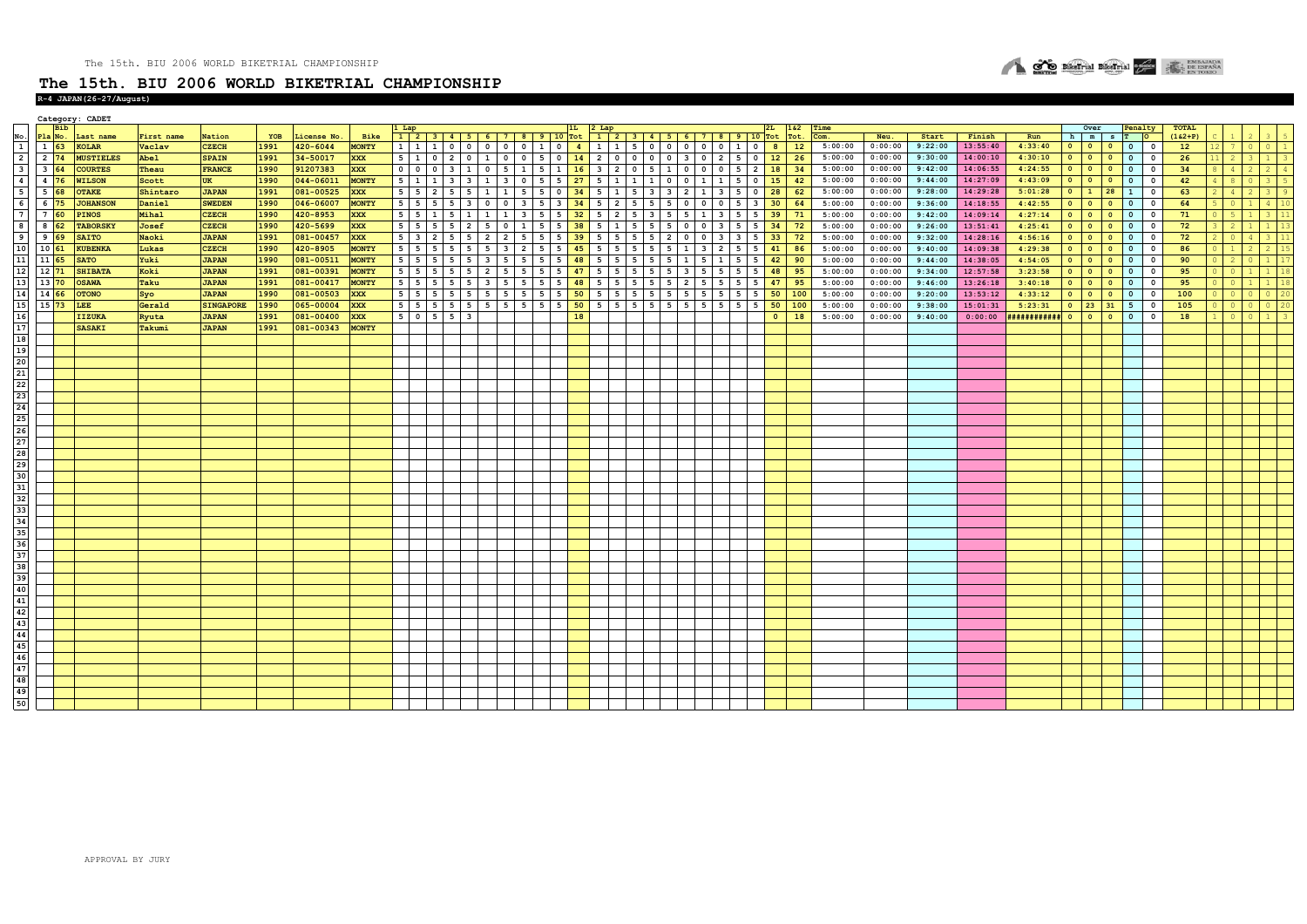### **R-4 JAPAN(26-27/August)**

|                                                                       |                    |            | Category: CADET   |                      |                  |      |              |              |                 |                    |                                        |                                              |                 |                      |                      |                 |                 |                         |                        |                         |                                          |                         |                |         |         |         |          |                       |           |                                            |                                      |                          |              |                             |             |  |
|-----------------------------------------------------------------------|--------------------|------------|-------------------|----------------------|------------------|------|--------------|--------------|-----------------|--------------------|----------------------------------------|----------------------------------------------|-----------------|----------------------|----------------------|-----------------|-----------------|-------------------------|------------------------|-------------------------|------------------------------------------|-------------------------|----------------|---------|---------|---------|----------|-----------------------|-----------|--------------------------------------------|--------------------------------------|--------------------------|--------------|-----------------------------|-------------|--|
|                                                                       |                    | <b>Bib</b> |                   |                      |                  |      |              |              | l Lap           |                    |                                        |                                              |                 |                      | 1L                   |                 |                 |                         |                        |                         | $2 \text{ Lap}$ 1 2 3 4 5 6 7 8 9 10 Tot |                         | 162            | Time    |         |         |          |                       |           | Over                                       |                                      | Penalty                  | <b>TOTAL</b> |                             |             |  |
|                                                                       |                    |            | Pla No. Last name | First name<br>Vaclav | Nation           | YOB  | License No.  | Bike         |                 |                    |                                        | $1 \ 2 \ 3 \ 4 \ 5 \ 6 \ 7 \ 8 \ 9 \ 10$ Tot |                 |                      |                      |                 |                 |                         |                        |                         |                                          |                         | Tot.           | Com.    | Neu.    | Start   | Finish   | Run                   | h         | $m$ s $T$                                  |                                      | <b>DO</b>                | $(162+P)$    |                             |             |  |
|                                                                       | $1\overline{63}$   |            | <b>KOLAR</b>      |                      | <b>CZECH</b>     | 1991 | $420 - 6044$ | <b>MONTY</b> |                 |                    |                                        | 1 1 1 0 0 0 0 0 1 0 4                        |                 |                      |                      |                 |                 |                         |                        |                         | 1   1   5   0   0   0   0   0   1   0    |                         | 8<br>12        | 5:00:00 | 0:00:00 | 9:22:00 | 13:55:40 | 4:33:40               | $\bullet$ | $\circ$                                    | $0 \t 0 \t 0$                        |                          | 12           | $\circ$                     |             |  |
| $\overline{2}$                                                        | $2\overline{74}$   |            | <b>MUSTIELES</b>  | Abel                 | <b>SPAIN</b>     | 1991 | 34-50017     | <b>XXX</b>   | 5 1             |                    |                                        | $0$ 2 0 1 0 0 5 0 14                         |                 |                      |                      |                 |                 |                         |                        |                         | 2   0   0   0   0   3   0   2   5   0    |                         | 12<br>26       | 5:00:00 | 0:00:00 | 9:30:00 | 14:00:10 | 4:30:10               |           | $0$ 0 0                                    |                                      |                          | 26           | 2<br>3 <sup>1</sup>         | $1 \mid 3$  |  |
|                                                                       | $3\overline{64}$   |            | <b>COURTES</b>    | Theau                | <b>FRANCE</b>    | 1990 | 91207383     | XXX          |                 |                    |                                        | 0 0 0 0 3 1 0 5 1 5 1 1 16                   |                 |                      |                      |                 |                 |                         |                        |                         | 3 2 0 5 1 0 0 0 5 2                      |                         | 18<br>34       | 5:00:00 | 0:00:00 | 9:42:00 | 14:06:55 | 4:24:55               |           | $0$ 0 0                                    |                                      | $0$ 0                    | 34           | $\overline{2}$<br>4         | $2 \mid 4$  |  |
|                                                                       | $4\overline{76}$   |            | <b>WILSON</b>     | Scott                | UK               | 1990 | 044-06011    | <b>MONTY</b> |                 |                    |                                        | $5$ 1 1 3 3 1 3 0 5 5 27                     |                 |                      |                      |                 | 5 1 1 1 0       |                         | $0 \quad 1 \quad 1$    |                         | 5                                        | $\overline{\mathbf{0}}$ | 15<br>42       | 5:00:00 | 0:00:00 | 9:44:00 | 14:27:09 | 4:43:09               | $\circ$   |                                            | $\overline{\phantom{a}}$             | $\overline{\mathbf{0}}$  | 42           | 8<br>$\circ$                | $3 \mid 5$  |  |
|                                                                       | $5\overline{68}$   |            | <b>OTAKE</b>      | Shintaro             | <b>JAPAN</b>     | 1991 | 081-00525    | <b>XXX</b>   |                 |                    | 5 5 2 5 5                              | $1 \mid 1 \mid 5 \mid 5 \mid 0 \mid 34$      |                 |                      |                      |                 | 5 1 5 3         | $\overline{\mathbf{3}}$ |                        |                         | 2 1 3 5 0                                |                         | 28<br>62       | 5:00:00 | 0:00:00 | 9:28:00 | 14:29:28 | 5:01:28               |           |                                            | $0 \mid 1 \mid 28 \mid 1$            | $\overline{\mathbf{0}}$  | 63           | 4<br>$2^{\circ}$            |             |  |
|                                                                       | 6 75               |            | <b>JOHANSON</b>   | Daniel               | <b>SWEDEN</b>    | 1990 | 046-06007    | <b>MONTY</b> | $5 \mid 5$      |                    | $5 \quad 5$<br>$\overline{\mathbf{3}}$ | $\circ$                                      | $0 \quad 3$     |                      | $5 \quad 3 \quad 34$ | $5 \mid 2 \mid$ | 55              |                         | $\circ$                | 0 <sub>0</sub>          | 5                                        | $\overline{\mathbf{3}}$ | 30<br>64       | 5:00:00 | 0:00:00 | 9:36:00 | 14:18:55 | 4:42:55               | $\bullet$ | $\bullet$<br>$\overline{\phantom{a}}$      | $\overline{\mathbf{0}}$              | $\Omega$                 | 64           |                             | $4 \mid 10$ |  |
|                                                                       | 7 60               |            | <b>PINOS</b>      | Mihal                | <b>CZECH</b>     | 1990 | 420-8953     | <b>XXX</b>   | $5 \mid 5$      |                    | $1 \mid 5$<br>$\mathbf{1}$             | $\mathbf{1}$                                 | $1 \mid 3 \mid$ | $5 \quad 5 \quad 32$ |                      |                 | 5 2 5 3         |                         | 5 1                    | $\overline{\mathbf{3}}$ | 5 <sub>1</sub>                           | 5                       | 39<br>71       | 5:00:00 | 0:00:00 | 9:42:00 | 14:09:14 | 4:27:14               | $\bullet$ | $\bullet$                                  | $\bullet$<br>$\overline{0}$          | $\mathbf{0}$             | 71           |                             |             |  |
|                                                                       | $8\overline{62}$   |            | <b>TABORSKY</b>   | Josef                | <b>CZECH</b>     | 1990 | 420-5699     | <b>XXX</b>   | $5 \mid 5 \mid$ |                    | $5 \quad 5 \quad 2$                    | 5 0 1 5 5 38                                 |                 |                      |                      |                 | 5 1 5 5         | 51                      |                        |                         | $0 \mid 0 \mid 3 \mid 5 \mid 5$          |                         | 34<br>72       | 5:00:00 | 0:00:00 | 9:26:00 | 13:51:41 | 4:25:41               | $\bullet$ | $\overline{0}$<br>$\overline{\phantom{a}}$ | $\bullet$                            | l o                      | 72           | $2^{\circ}$<br>$\mathbf{1}$ | $1 \mid 1$  |  |
|                                                                       | 9 <sup>69</sup>    |            | <b>SAITO</b>      | Naoki                | <b>JAPAN</b>     | 1991 | 081-00457    | XXX          | $5 \mid 3 \mid$ |                    | $2 \mid 5$<br>5                        | 2 2 5 5 5 39                                 |                 |                      |                      |                 | 5 5 5 5 5       | l 2 l                   |                        |                         | $0 \mid 0 \mid 3 \mid 3 \mid 5$          |                         | 33<br>72       | 5:00:00 | 0:00:00 | 9:32:00 | 14:28:16 | 4:56:16               | $\bullet$ | $\bullet$                                  | $\bullet$<br>$\bullet$               | $\overline{\phantom{a}}$ | 72           | 4<br>$\Omega$               |             |  |
| 10                                                                    | 10 61              |            | <b>KUBENKA</b>    | Lukas                | <b>CZECH</b>     | 1990 | 420-8905     | <b>MONTY</b> |                 |                    | $5 \ 5 \ 5 \ 5 \ 5$                    | 5 3 2 5 5 45                                 |                 |                      |                      |                 | 5 5 5 5 5       |                         | $1 \mid 3 \mid 2 \mid$ |                         | $5 \mid 5 \mid$                          |                         | 41<br>86       | 5:00:00 | 0:00:00 | 9:40:00 | 14:09:38 | 4:29:38               |           | $0$ 0 0                                    | $\circ$                              | $\overline{\mathbf{0}}$  | 86           | 2<br>1                      | $2 \mid 1!$ |  |
| 11                                                                    | $11\overline{65}$  |            | <b>SATO</b>       | Yuki                 | <b>JAPAN</b>     | 1990 | 081-00511    | <b>MONTY</b> |                 |                    | 5 5 5 5 5                              | 3 5 5 5 5 48                                 |                 |                      |                      |                 | 5 5 5 5         | 5                       | $1 \mid 5 \mid$        | $\mathbf{1}$            | 5 <sub>1</sub>                           | 5                       | 42<br>90       | 5:00:00 | 0:00:00 | 9:44:00 | 14:38:05 | 4:54:05               | $\circ$   | $0$ 0                                      | $\overline{\mathbf{0}}$              | $\overline{\mathbf{0}}$  | 90           |                             | $1\quad1$   |  |
|                                                                       | $12 \overline{71}$ |            | <b>SHIBATA</b>    | Koki                 | <b>JAPAN</b>     | 1991 | 081-00391    | <b>MONTY</b> |                 |                    | 5 5 5 5 5 5                            | 2 5 5 5 5 47                                 |                 |                      |                      |                 | 5 5 5 5         |                         | $3 \mid 5 \mid$        | 5 <sub>5</sub>          | 5 <sup>1</sup>                           | $-5$                    | 48<br>95       | 5:00:00 | 0:00:00 | 9:34:00 | 12:57:58 | 3:23:58               | $\bullet$ | $0$ 0                                      | $\overline{\mathbf{0}}$              | $\overline{\mathbf{0}}$  | 95           | $\circ$<br>$\mathbf{1}$     |             |  |
|                                                                       |                    |            | <b>OSAWA</b>      |                      |                  |      |              |              |                 |                    |                                        |                                              |                 |                      |                      |                 |                 |                         |                        |                         |                                          |                         |                |         |         |         |          |                       |           |                                            |                                      |                          |              |                             |             |  |
| 13                                                                    | $13 70$            |            |                   | Taku                 | <b>JAPAN</b>     | 1991 | 081-00417    | <b>MONTY</b> |                 |                    | $5 \mid 5 \mid 5 \mid 5 \mid 5$        | $3 \mid 5 \mid 5$                            |                 | $5 \quad 5 \quad 48$ |                      |                 | 5 5 5 5         |                         | 2 5                    | 5 <sub>1</sub>          | 5                                        | 5                       | 47<br>95       | 5:00:00 | 0:00:00 | 9:46:00 | 13:26:18 | 3:40:18               | $\bullet$ | $\bullet$                                  | $\bullet$<br>$\bullet$               | $\mathbf 0$              | 95           | $\Omega$                    |             |  |
| 14                                                                    | 14 66              |            | <b>OTONO</b>      | Syo                  | <b>JAPAN</b>     | 1990 | 081-00503    | <b>XXX</b>   | $5 \mid 5$      |                    | $5 \mid 5$                             | 5<br>l 5 l                                   | 5               | $5 \quad 5 \quad 50$ |                      |                 | $5 \t5 \t5 \t5$ |                         | $5 \quad 5$            | 5                       | 5                                        | 5                       | 50<br>100      | 5:00:00 | 0:00:00 | 9:20:00 | 13:53:12 | 4:33:12               | $\bullet$ | $\overline{0}$                             | $\overline{\mathbf{0}}$<br>$\bullet$ | $\mathbf{0}$             | 100          |                             |             |  |
| 15                                                                    | $15 \overline{73}$ |            | LEE               | Gerald               | <b>SINGAPORE</b> | 1990 | 065-00004    | <b>XXX</b>   |                 |                    | $5 \mid 5 \mid 5 \mid 5 \mid 5$        | 5 5 5 5 5 5 5 5 6                            |                 |                      |                      |                 |                 |                         |                        |                         | 5 5 5 5 5 5 5 5 5 5 5 5                  |                         | 50<br>100      | 5:00:00 | 0:00:00 | 9:38:00 | 15:01:31 | 5:23:31               | $\bullet$ | $23 \mid 31$                               | 5                                    | $\overline{\mathbf{0}}$  | 105          | $\circ$<br>$\Omega$         |             |  |
| 16                                                                    |                    |            | <b>IIZUKA</b>     | Ryuta                | <b>JAPAN</b>     | 1991 | 081-00400    | <b>XXX</b>   |                 | $5 \t 0 \t 5 \t 5$ | $\overline{\mathbf{3}}$                |                                              |                 |                      | 18                   |                 |                 |                         |                        |                         |                                          |                         | $\Omega$<br>18 | 5:00:00 | 0:00:00 | 9:40:00 | 0:00:00  | 0 <b>************</b> |           | $\bullet$                                  | $\bullet$<br>$\bullet$               | $\overline{\mathbf{0}}$  | 18           | $\circ$<br>$\Omega$         |             |  |
| 17                                                                    |                    |            | <b>SASAKI</b>     | Takumi               | <b>JAPAN</b>     | 1991 | 081-00343    | <b>MONTY</b> |                 |                    |                                        |                                              |                 |                      |                      |                 |                 |                         |                        |                         |                                          |                         |                |         |         |         |          |                       |           |                                            |                                      |                          |              |                             |             |  |
| 18                                                                    |                    |            |                   |                      |                  |      |              |              |                 |                    |                                        |                                              |                 |                      |                      |                 |                 |                         |                        |                         |                                          |                         |                |         |         |         |          |                       |           |                                            |                                      |                          |              |                             |             |  |
| 19                                                                    |                    |            |                   |                      |                  |      |              |              |                 |                    |                                        |                                              |                 |                      |                      |                 |                 |                         |                        |                         |                                          |                         |                |         |         |         |          |                       |           |                                            |                                      |                          |              |                             |             |  |
|                                                                       |                    |            |                   |                      |                  |      |              |              |                 |                    |                                        |                                              |                 |                      |                      |                 |                 |                         |                        |                         |                                          |                         |                |         |         |         |          |                       |           |                                            |                                      |                          |              |                             |             |  |
| $\frac{20}{21}$                                                       |                    |            |                   |                      |                  |      |              |              |                 |                    |                                        |                                              |                 |                      |                      |                 |                 |                         |                        |                         |                                          |                         |                |         |         |         |          |                       |           |                                            |                                      |                          |              |                             |             |  |
| $\begin{array}{c}\n 22 \\  \hline\n 23 \\  \hline\n 24\n \end{array}$ |                    |            |                   |                      |                  |      |              |              |                 |                    |                                        |                                              |                 |                      |                      |                 |                 |                         |                        |                         |                                          |                         |                |         |         |         |          |                       |           |                                            |                                      |                          |              |                             |             |  |
|                                                                       |                    |            |                   |                      |                  |      |              |              |                 |                    |                                        |                                              |                 |                      |                      |                 |                 |                         |                        |                         |                                          |                         |                |         |         |         |          |                       |           |                                            |                                      |                          |              |                             |             |  |
|                                                                       |                    |            |                   |                      |                  |      |              |              |                 |                    |                                        |                                              |                 |                      |                      |                 |                 |                         |                        |                         |                                          |                         |                |         |         |         |          |                       |           |                                            |                                      |                          |              |                             |             |  |
|                                                                       |                    |            |                   |                      |                  |      |              |              |                 |                    |                                        |                                              |                 |                      |                      |                 |                 |                         |                        |                         |                                          |                         |                |         |         |         |          |                       |           |                                            |                                      |                          |              |                             |             |  |
| $\frac{25}{32}$ $\frac{25}{32}$ $\frac{25}{32}$ $\frac{25}{32}$       |                    |            |                   |                      |                  |      |              |              |                 |                    |                                        |                                              |                 |                      |                      |                 |                 |                         |                        |                         |                                          |                         |                |         |         |         |          |                       |           |                                            |                                      |                          |              |                             |             |  |
|                                                                       |                    |            |                   |                      |                  |      |              |              |                 |                    |                                        |                                              |                 |                      |                      |                 |                 |                         |                        |                         |                                          |                         |                |         |         |         |          |                       |           |                                            |                                      |                          |              |                             |             |  |
|                                                                       |                    |            |                   |                      |                  |      |              |              |                 |                    |                                        |                                              |                 |                      |                      |                 |                 |                         |                        |                         |                                          |                         |                |         |         |         |          |                       |           |                                            |                                      |                          |              |                             |             |  |
|                                                                       |                    |            |                   |                      |                  |      |              |              |                 |                    |                                        |                                              |                 |                      |                      |                 |                 |                         |                        |                         |                                          |                         |                |         |         |         |          |                       |           |                                            |                                      |                          |              |                             |             |  |
|                                                                       |                    |            |                   |                      |                  |      |              |              |                 |                    |                                        |                                              |                 |                      |                      |                 |                 |                         |                        |                         |                                          |                         |                |         |         |         |          |                       |           |                                            |                                      |                          |              |                             |             |  |
|                                                                       |                    |            |                   |                      |                  |      |              |              |                 |                    |                                        |                                              |                 |                      |                      |                 |                 |                         |                        |                         |                                          |                         |                |         |         |         |          |                       |           |                                            |                                      |                          |              |                             |             |  |
|                                                                       |                    |            |                   |                      |                  |      |              |              |                 |                    |                                        |                                              |                 |                      |                      |                 |                 |                         |                        |                         |                                          |                         |                |         |         |         |          |                       |           |                                            |                                      |                          |              |                             |             |  |
|                                                                       |                    |            |                   |                      |                  |      |              |              |                 |                    |                                        |                                              |                 |                      |                      |                 |                 |                         |                        |                         |                                          |                         |                |         |         |         |          |                       |           |                                            |                                      |                          |              |                             |             |  |
| 33                                                                    |                    |            |                   |                      |                  |      |              |              |                 |                    |                                        |                                              |                 |                      |                      |                 |                 |                         |                        |                         |                                          |                         |                |         |         |         |          |                       |           |                                            |                                      |                          |              |                             |             |  |
| $\begin{array}{c}\n 34 \\  35 \\  \hline\n 36\n \end{array}$          |                    |            |                   |                      |                  |      |              |              |                 |                    |                                        |                                              |                 |                      |                      |                 |                 |                         |                        |                         |                                          |                         |                |         |         |         |          |                       |           |                                            |                                      |                          |              |                             |             |  |
|                                                                       |                    |            |                   |                      |                  |      |              |              |                 |                    |                                        |                                              |                 |                      |                      |                 |                 |                         |                        |                         |                                          |                         |                |         |         |         |          |                       |           |                                            |                                      |                          |              |                             |             |  |
|                                                                       |                    |            |                   |                      |                  |      |              |              |                 |                    |                                        |                                              |                 |                      |                      |                 |                 |                         |                        |                         |                                          |                         |                |         |         |         |          |                       |           |                                            |                                      |                          |              |                             |             |  |
| 37                                                                    |                    |            |                   |                      |                  |      |              |              |                 |                    |                                        |                                              |                 |                      |                      |                 |                 |                         |                        |                         |                                          |                         |                |         |         |         |          |                       |           |                                            |                                      |                          |              |                             |             |  |
|                                                                       |                    |            |                   |                      |                  |      |              |              |                 |                    |                                        |                                              |                 |                      |                      |                 |                 |                         |                        |                         |                                          |                         |                |         |         |         |          |                       |           |                                            |                                      |                          |              |                             |             |  |
| 38<br>39                                                              |                    |            |                   |                      |                  |      |              |              |                 |                    |                                        |                                              |                 |                      |                      |                 |                 |                         |                        |                         |                                          |                         |                |         |         |         |          |                       |           |                                            |                                      |                          |              |                             |             |  |
| 40                                                                    |                    |            |                   |                      |                  |      |              |              |                 |                    |                                        |                                              |                 |                      |                      |                 |                 |                         |                        |                         |                                          |                         |                |         |         |         |          |                       |           |                                            |                                      |                          |              |                             |             |  |
| 41                                                                    |                    |            |                   |                      |                  |      |              |              |                 |                    |                                        |                                              |                 |                      |                      |                 |                 |                         |                        |                         |                                          |                         |                |         |         |         |          |                       |           |                                            |                                      |                          |              |                             |             |  |
| 42                                                                    |                    |            |                   |                      |                  |      |              |              |                 |                    |                                        |                                              |                 |                      |                      |                 |                 |                         |                        |                         |                                          |                         |                |         |         |         |          |                       |           |                                            |                                      |                          |              |                             |             |  |
| $\frac{1}{43}$                                                        |                    |            |                   |                      |                  |      |              |              |                 |                    |                                        |                                              |                 |                      |                      |                 |                 |                         |                        |                         |                                          |                         |                |         |         |         |          |                       |           |                                            |                                      |                          |              |                             |             |  |
|                                                                       |                    |            |                   |                      |                  |      |              |              |                 |                    |                                        |                                              |                 |                      |                      |                 |                 |                         |                        |                         |                                          |                         |                |         |         |         |          |                       |           |                                            |                                      |                          |              |                             |             |  |
| 44                                                                    |                    |            |                   |                      |                  |      |              |              |                 |                    |                                        |                                              |                 |                      |                      |                 |                 |                         |                        |                         |                                          |                         |                |         |         |         |          |                       |           |                                            |                                      |                          |              |                             |             |  |
| $\frac{45}{46}$                                                       |                    |            |                   |                      |                  |      |              |              |                 |                    |                                        |                                              |                 |                      |                      |                 |                 |                         |                        |                         |                                          |                         |                |         |         |         |          |                       |           |                                            |                                      |                          |              |                             |             |  |
|                                                                       |                    |            |                   |                      |                  |      |              |              |                 |                    |                                        |                                              |                 |                      |                      |                 |                 |                         |                        |                         |                                          |                         |                |         |         |         |          |                       |           |                                            |                                      |                          |              |                             |             |  |
| 47                                                                    |                    |            |                   |                      |                  |      |              |              |                 |                    |                                        |                                              |                 |                      |                      |                 |                 |                         |                        |                         |                                          |                         |                |         |         |         |          |                       |           |                                            |                                      |                          |              |                             |             |  |
| 48                                                                    |                    |            |                   |                      |                  |      |              |              |                 |                    |                                        |                                              |                 |                      |                      |                 |                 |                         |                        |                         |                                          |                         |                |         |         |         |          |                       |           |                                            |                                      |                          |              |                             |             |  |
| 49                                                                    |                    |            |                   |                      |                  |      |              |              |                 |                    |                                        |                                              |                 |                      |                      |                 |                 |                         |                        |                         |                                          |                         |                |         |         |         |          |                       |           |                                            |                                      |                          |              |                             |             |  |
| 50                                                                    |                    |            |                   |                      |                  |      |              |              |                 |                    |                                        |                                              |                 |                      |                      |                 |                 |                         |                        |                         |                                          |                         |                |         |         |         |          |                       |           |                                            |                                      |                          |              |                             |             |  |
|                                                                       |                    |            |                   |                      |                  |      |              |              |                 |                    |                                        |                                              |                 |                      |                      |                 |                 |                         |                        |                         |                                          |                         |                |         |         |         |          |                       |           |                                            |                                      |                          |              |                             |             |  |

**CONTRACTED PARTIES OF RESERVANCE**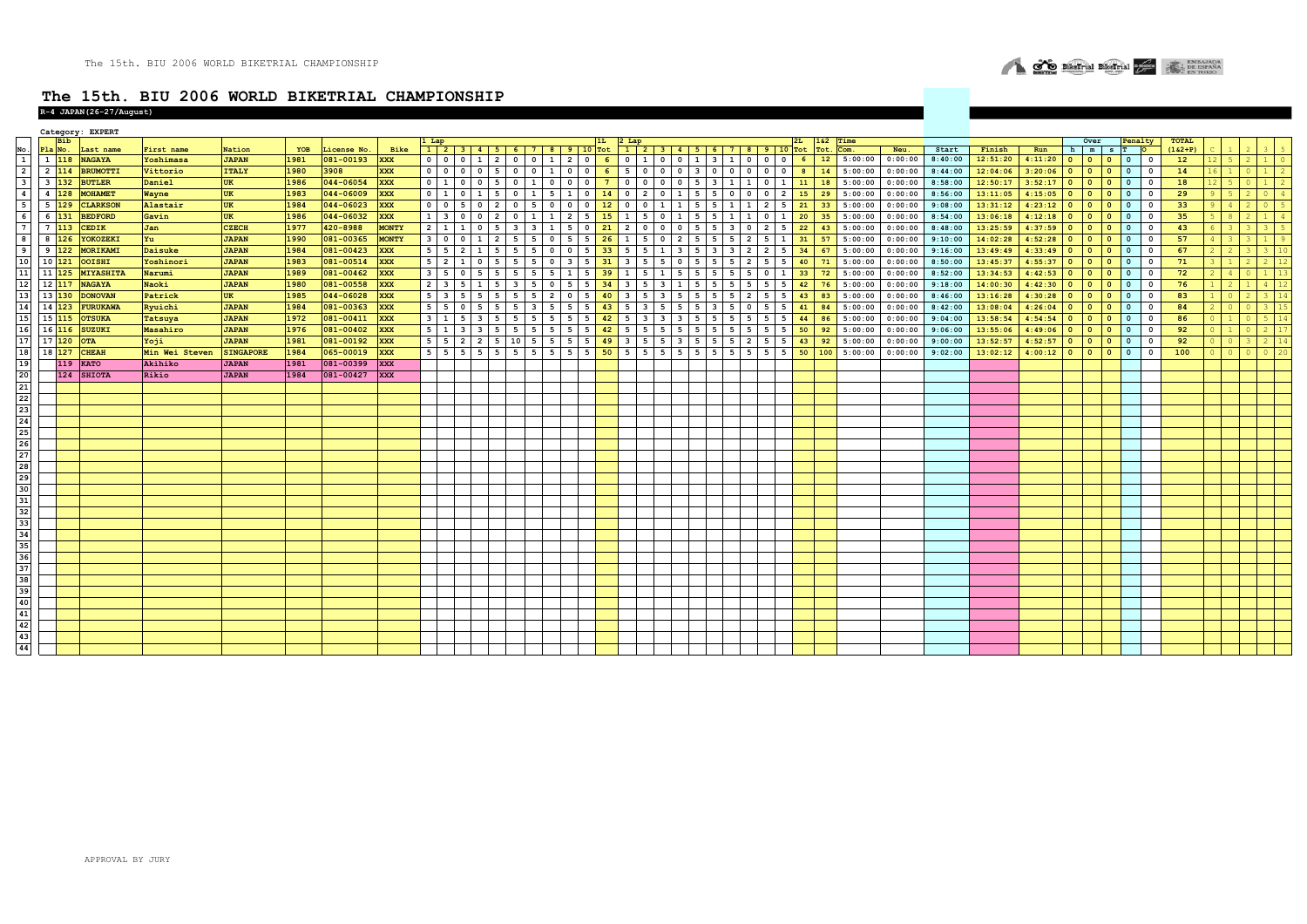

|                                         |                     |                     | Category: EXPERT           |                         |                        |      |                          |              |                         |                         |                         |                         |                         |                                                             |                |                                |                         |                                                             |                          |                                           |                         |                         |                          |                          |                 |            |                 |                 |                  |                    |                |                  |                                                                     |                          |                     |                           |                     |  |
|-----------------------------------------|---------------------|---------------------|----------------------------|-------------------------|------------------------|------|--------------------------|--------------|-------------------------|-------------------------|-------------------------|-------------------------|-------------------------|-------------------------------------------------------------|----------------|--------------------------------|-------------------------|-------------------------------------------------------------|--------------------------|-------------------------------------------|-------------------------|-------------------------|--------------------------|--------------------------|-----------------|------------|-----------------|-----------------|------------------|--------------------|----------------|------------------|---------------------------------------------------------------------|--------------------------|---------------------|---------------------------|---------------------|--|
|                                         |                     | <b>Bib</b>          |                            |                         |                        | YOB  |                          | Bike         |                         | 1 Lap                   |                         |                         |                         |                                                             |                | 1L                             | $2$ Lap                 |                                                             |                          |                                           |                         |                         |                          |                          |                 | 182<br>Tot | Time            |                 |                  |                    |                |                  | Over                                                                |                          | enalty<br><b>IO</b> | <b>TOTAL</b><br>$(162+P)$ |                     |  |
|                                         | Pla No.             | 1 118               | Last name<br><b>NAGAYA</b> | First name<br>Yoshimasa | Nation<br><b>JAPAN</b> | 1981 | License No.<br>081-00193 | <b>XXX</b>   | $\circ$                 | 0 <sub>0</sub>          |                         | $1 \mid 2 \mid$         |                         | $1$   2   3   4   5   6   7   8   9   10 Tot<br>0 0 1 2 0 6 |                |                                |                         | $1$   2   3   4   5   6   7   8   9   10 Tot<br>$0 \quad 1$ | $\overline{\phantom{0}}$ | $0 \quad 1$                               |                         | $3 \mid 1 \mid 0$       | $\overline{\mathbf{0}}$  | $\overline{\phantom{0}}$ | 6 <sup>6</sup>  | 12         | Com.<br>5:00:00 | Neu.<br>0:00:00 | Start<br>8:40:00 | Finish<br>12:51:20 | Run<br>4:11:20 | h m<br>$\bullet$ | $\mathbf{s}$<br>$\overline{\phantom{a}}$<br>$\overline{\mathbf{0}}$ | $\overline{\phantom{0}}$ | $\mathbf{0}$        | 12                        | 2<br>5 <sup>1</sup> |  |
|                                         |                     | $2 \quad 114$       | <b>BRUMOTTI</b>            | Vittorio                | <b>ITALY</b>           | 1980 | 3908                     | <b>XXX</b>   | $\overline{0}$          | 0 <sub>0</sub>          |                         | $0$ 5                   | $\overline{\mathbf{0}}$ | $0 \mid 1$                                                  | $\overline{0}$ | $\mathbf{0}$                   | 6                       | 5 0                                                         | $\mathbf{0}$             | $\overline{0}$<br>$\overline{\mathbf{3}}$ | $\mathbf 0$             | $\mathbf{0}$            | $\mathbf 0$<br>$\Omega$  | $\circ$                  |                 | 14         | 5:00:00         | 0:00:00         | 8:44:00          | 12:04:06           | 3:20:06        | $\mathbf{0}$     | l o<br>$\circ$                                                      | $\overline{\mathbf{0}}$  | $^{\circ}$          | 14                        |                     |  |
|                                         |                     | $3 \quad 132$       | <b>BUTLER</b>              | Daniel                  | UK                     | 1986 | 044-06054                | <b>XXX</b>   | $\overline{0}$          | $1 \quad 0$             | $\Omega$                |                         | $\Omega$                | $\mathbf{o}$<br>$\mathbf{1}$                                | $\mathbf{0}$   | $\mathbf{0}$<br>$\overline{7}$ | $\mathbf{0}$            | $\Omega$                                                    | $\Omega$                 | $\mathbf 0$<br>5                          | $\overline{\mathbf{3}}$ | <sup>1</sup>            | $\mathbf{1}$<br>$\Omega$ |                          | 11              | 18         | 5:00:00         | 0:00:00         | 8:58:00          | 12:50:17           | 3:52:17        | $\Omega$         | $\Omega$<br>$\Omega$                                                | $\mathbf{0}$             | $^{\circ}$          | 18                        |                     |  |
|                                         |                     | $4\overline{128}$   | <b>MOHAMET</b>             | Wayne                   | <b>UK</b>              | 1983 | 044-06009                | <b>XXX</b>   | $\overline{\mathbf{0}}$ | 1 0                     |                         | 1 5                     | $\Omega$                | 5<br>$\mathbf{1}$                                           | $\mathbf{1}$   | $\mathbf 0$<br>14              | $\circ$                 | $\overline{2}$                                              |                          | $\mathbf{1}$<br>5                         | 5                       | $\Omega$                |                          | $\overline{2}$           | 15              | 29         | 5:00:00         | 0:00:00         | 8:56:00          | 13:11:05           | 4:15:05        | $\circ$          | $\bullet$<br>$\Omega$                                               | $\overline{\mathbf{0}}$  | $\Omega$            | 29                        |                     |  |
|                                         | $5\overline{129}$   |                     |                            |                         |                        |      |                          |              |                         |                         | $\Omega$                |                         |                         |                                                             | $\Omega$       |                                | $\mathbf{0}$            |                                                             |                          |                                           |                         |                         | $\overline{2}$           |                          |                 |            |                 |                 |                  |                    |                | $\Omega$         | $\Omega$                                                            | $\mathbf{0}$             | $\Omega$            |                           |                     |  |
|                                         |                     |                     | <b>CLARKSON</b>            | Alastair                | UK                     | 1984 | 044-06023                | <b>XXX</b>   | $\mathbf 0$             | $0 \mid 5$              |                         | $\overline{\mathbf{2}}$ | $^{\circ}$              | - 5<br>$\Omega$                                             |                | $\mathbf{0}$<br>12             |                         | $\Omega$                                                    |                          | 5                                         | 5                       |                         |                          | 5                        | 21              | 33         | 5:00:00         | 0:00:00         | 9:08:00          | 13:31:12           | 4:23:12        |                  | $\bullet$                                                           |                          |                     | 33                        |                     |  |
|                                         | $6 \overline{)131}$ |                     | <b>BEDFORD</b>             | Gavin                   | <b>UK</b>              | 1986 | 044-06032                | <b>XXX</b>   | $\mathbf{1}$            | $\overline{\mathbf{3}}$ | ΙO<br>$\Omega$          | $\overline{2}$          |                         | $\mathbf{1}$<br>$\mathbf{1}$                                | $\overline{2}$ | 5<br>15                        | $\mathbf{1}$            | 5                                                           |                          | $\mathbf{1}$<br>5                         | 5                       | 1                       | $\mathbf{1}$<br>$\Omega$ |                          | 20              | 35         | 5:00:00         | 0:00:00         | 8:54:00          | 13:06:18           | 4:12:18        | $\bullet$        | $\overline{\mathbf{0}}$<br>$\Omega$                                 | $\overline{\mathbf{0}}$  | $^{\circ}$          | 35                        |                     |  |
|                                         |                     | $7 \quad 113$       | <b>CEDIK</b>               | Jan                     | <b>CZECH</b>           | 1977 | 420-8988                 | <b>MONTY</b> | $\overline{2}$          | 111                     | $\Omega$                |                         |                         | $\mathbf{3}$                                                | 5              | $\mathbf{0}$<br>21             | $\overline{2}$          | $\Omega$                                                    |                          | $\Omega$<br>5                             | 5                       | $\overline{\mathbf{3}}$ | $\overline{\phantom{a}}$ | 5                        | 22              | 43         | 5:00:00         | 0:00:00         | 8:48:00          | 13:25:59           | 4:37:59        | $\circ$          | $\Omega$<br>$\overline{\mathbf{0}}$                                 | $\circ$                  | $\Omega$            | 43                        |                     |  |
|                                         |                     | $8 \quad 126$       | YOKOZEKI                   | Yu                      | <b>JAPAN</b>           | 1990 | 081-00365                | <b>MONTY</b> | $\overline{\mathbf{3}}$ | $0$ 0                   | 1                       | $\overline{2}$          | 5                       | - 5<br>$\mathbf 0$                                          | 5              | 5<br>26                        | $\mathbf{1}$            | 5                                                           | $\Omega$                 | $\overline{2}$<br>5                       | 5                       | 5                       | $\overline{2}$           |                          | 31              | 57         | 5:00:00         | 0:00:00         | 9:10:00          | 14:02:28           | 4:52:28        | $\circ$          | $\overline{\mathbf{0}}$<br>$\bullet$                                | $\mathbf 0$              | $\Omega$            | 57                        |                     |  |
|                                         |                     | $9 \overline{122}$  | <b>MORIKAMI</b>            | Daisuke                 | <b>JAPAN</b>           | 1984 | 081-00423                | <b>XXX</b>   | 5                       | $5 \mid 2$              |                         |                         |                         | $\Omega$                                                    | $\Omega$       | 5<br>33                        | 5                       |                                                             |                          |                                           | $\overline{\mathbf{3}}$ |                         |                          |                          | 34              | 67         | 5:00:00         | 0:00:00         | 9:16:00          | 13:49:49           | 4:33:49        | $\circ$          | $\Omega$<br>$\bullet$                                               | $\overline{\mathbf{0}}$  |                     | 67                        |                     |  |
|                                         |                     | $10 \overline{121}$ | <b>OOISHI</b>              | Yoshinori               | <b>JAPAN</b>           | 1983 | 081-00514                | <b>XXX</b>   | 5                       | $2 \mid 1$              |                         | $\mathbf 0$<br>I 5      | 5                       | 5<br>$^{\circ}$                                             | 3              | 5<br>31                        | $\overline{\mathbf{3}}$ | 5                                                           |                          | $\mathbf{o}$<br>5                         | 5                       | 5                       | -5                       | 5                        | 40              | 71         | 5:00:00         | 0:00:00         | 8:50:00          | 13:45:37           | 4:55:37        | $\circ$          | $\Omega$<br>$\circ$                                                 | $\mathbf 0$              | $\Omega$            | 71                        |                     |  |
|                                         |                     | $11 \overline{125}$ | <b>MIYASHITA</b>           | Narumi                  | <b>JAPAN</b>           | 1989 | 081-00462                | <b>XXX</b>   | $\overline{\mathbf{3}}$ | 5 <sub>0</sub>          | $-5$                    | 5                       | 5                       | 5<br>5                                                      | $\mathbf{1}$   | 5<br>39                        | $\mathbf{1}$            | 5                                                           |                          | 5<br>5                                    | 5                       | 5                       | - 5<br>$\mathbf 0$       | $\mathbf{1}$             | 33 <sup>°</sup> | 72         | 5:00:00         | 0:00:00         | 8:52:00          | 13:34:53           | 4:42:53        | $\bullet$        | $\overline{\phantom{a}}$<br>$\bullet$                               | $\overline{\mathbf{0}}$  | $\mathbf 0$         | 72                        | $\Delta$            |  |
|                                         | 12 117              |                     | <b>NAGAYA</b>              | Naoki                   | <b>JAPAN</b>           | 1980 | 081-00558                | <b>XXX</b>   | $\overline{2}$          | $3 \mid 5$              | <sup>1</sup>            |                         | -3                      | - 5<br>$\circ$                                              | 5              | 5<br>34                        | $\overline{\mathbf{3}}$ | 5                                                           | 3                        | $\mathbf{1}$<br>5                         | 5                       | 5                       | 5                        | 5                        | 42              | 76         | 5:00:00         | 0:00:00         | 9:18:00          | 14:00:30           | 4:42:30        | $\mathbf{0}$     | $\bullet$<br>$\overline{\mathbf{0}}$                                | $\overline{\mathbf{0}}$  | $\Omega$            | 76                        |                     |  |
|                                         | 13 130              |                     | <b>DONOVAN</b>             | Patrick                 | <b>UK</b>              | 1985 | 044-06028                | <b>XXX</b>   | 5                       | $3 \mid 5$              | - 5                     |                         |                         | - 5<br>$\overline{2}$                                       | $\mathbf{0}$   | 5<br>40                        | $\overline{\mathbf{3}}$ | 5                                                           | 3                        | -5<br>5                                   | 5                       | - 5                     | $\overline{2}$           | - 5                      | 43              | 83         | 5:00:00         | 0:00:00         | 8:46:00          | 13:16:28           | 4:30:28        | $\circ$          | $\Omega$<br>$\circ$                                                 | $\mathbf{0}$             | $\Omega$            | 83                        |                     |  |
|                                         | 14 123              |                     | <b>FURUKAWA</b>            | Ryuichi                 | <b>JAPAN</b>           | 1984 | 081-00363                | <b>XXX</b>   | 5                       | 50                      |                         |                         |                         |                                                             |                | 5                              | 5                       |                                                             |                          |                                           | $\overline{\mathbf{3}}$ |                         |                          |                          | 41              | 84         | 5:00:00         | 0:00:00         | 8:42:00          | 13:08:04           | 4:26:04        | $\circ$          | $\Omega$<br>$\bullet$                                               | $\overline{\mathbf{0}}$  |                     | 84                        |                     |  |
|                                         | 15 115              |                     | <b>OTSUKA</b>              | Tatsuya                 | <b>JAPAN</b>           | 1972 | 081-00411                | <b>XXX</b>   | $\overline{\mathbf{3}}$ | $1 \mid 5$              |                         | $3 \mid 5$              | 5                       | 5<br>$\cdot$ 5 $\cdot$                                      | 5              | 5<br>42                        | 5                       | $\overline{\mathbf{3}}$                                     | 3                        | $\overline{\mathbf{3}}$<br>5              | 5                       | 5                       | - 5<br>5                 | 5                        | 44              | 86         | 5:00:00         | 0:00:00         | 9:04:00          | 13:58:54           | 4:54:54        | $\circ$          | $\overline{\mathbf{0}}$<br>$\overline{0}$                           | $\mathbf{0}$             | $\Omega$            | 86                        |                     |  |
|                                         |                     | 16 116              | SUZUKI                     | Masahiro                | <b>JAPAN</b>           | 1976 | 081-00402                | <b>XXX</b>   | 5 <sub>5</sub>          | $1 \mid 3$              | $\overline{\mathbf{3}}$ |                         | 5                       | 5<br>5                                                      | 5              | $5\overline{5}$<br>42          | 5                       | 5                                                           |                          | 5<br>5                                    | 5                       | 5                       | 5<br>5                   | 5                        | 50              | 92         | 5:00:00         | 0:00:00         | 9:06:00          | 13:55:06           | 4:49:06        | $\bullet$        | l o<br>$\bullet$                                                    | $\bullet$                | $^{\circ}$          | 92                        |                     |  |
|                                         |                     | 17120               | <b>OTA</b>                 | Yoji                    | <b>JAPAN</b>           | 1981 | 081-00192                | <b>XXX</b>   | 5                       | 52                      | $\overline{2}$          |                         | 10                      | . 5 L<br>5                                                  | 5              | 5<br>49                        | $\overline{\mathbf{3}}$ | -5                                                          |                          | $\mathbf{3}$<br>5                         | 5                       | 5                       | $\overline{2}$           |                          | 43              | 92         | 5:00:00         | 0:00:00         | 9:00:00          | 13:52:57           | 4:52:57        | $\Omega$         | $\overline{\mathbf{0}}$<br>$\circ$                                  | $\Omega$                 | $\Omega$            | 92                        |                     |  |
|                                         |                     | 18 127              | <b>CHEAH</b>               | Min Wei Steven          | <b>SINGAPORE</b>       | 1984 | 065-00019                | <b>XXX</b>   | 5                       | $5 \mid 5$              | -5                      |                         | -5                      | 5<br>$5\overline{5}$                                        | 5              | 5<br>50                        | 5                       | 5                                                           | 5                        | $5\overline{5}$<br>5                      | 5                       | 5                       | -5                       | 5                        | 50              | 100        | 5:00:00         | 0:00:00         | 9:02:00          | 13:02:12           | 4:00:12        | $\circ$          | $\overline{0}$<br>$\Omega$                                          | $\Omega$                 | $\Omega$            | 100                       |                     |  |
| 19                                      |                     | 119                 | <b>KATO</b>                | Akihiko                 | <b>JAPAN</b>           | 1981 | 081-00399                | <b>XXX</b>   |                         |                         |                         |                         |                         |                                                             |                |                                |                         |                                                             |                          |                                           |                         |                         |                          |                          |                 |            |                 |                 |                  |                    |                |                  |                                                                     |                          |                     |                           |                     |  |
| 20                                      |                     |                     | 124 SHIOTA                 | Rikio                   | <b>JAPAN</b>           | 1984 | 081-00427                | <b>XXX</b>   |                         |                         |                         |                         |                         |                                                             |                |                                |                         |                                                             |                          |                                           |                         |                         |                          |                          |                 |            |                 |                 |                  |                    |                |                  |                                                                     |                          |                     |                           |                     |  |
| 21                                      |                     |                     |                            |                         |                        |      |                          |              |                         |                         |                         |                         |                         |                                                             |                |                                |                         |                                                             |                          |                                           |                         |                         |                          |                          |                 |            |                 |                 |                  |                    |                |                  |                                                                     |                          |                     |                           |                     |  |
| 22                                      |                     |                     |                            |                         |                        |      |                          |              |                         |                         |                         |                         |                         |                                                             |                |                                |                         |                                                             |                          |                                           |                         |                         |                          |                          |                 |            |                 |                 |                  |                    |                |                  |                                                                     |                          |                     |                           |                     |  |
| 23                                      |                     |                     |                            |                         |                        |      |                          |              |                         |                         |                         |                         |                         |                                                             |                |                                |                         |                                                             |                          |                                           |                         |                         |                          |                          |                 |            |                 |                 |                  |                    |                |                  |                                                                     |                          |                     |                           |                     |  |
| 24                                      |                     |                     |                            |                         |                        |      |                          |              |                         |                         |                         |                         |                         |                                                             |                |                                |                         |                                                             |                          |                                           |                         |                         |                          |                          |                 |            |                 |                 |                  |                    |                |                  |                                                                     |                          |                     |                           |                     |  |
| 25                                      |                     |                     |                            |                         |                        |      |                          |              |                         |                         |                         |                         |                         |                                                             |                |                                |                         |                                                             |                          |                                           |                         |                         |                          |                          |                 |            |                 |                 |                  |                    |                |                  |                                                                     |                          |                     |                           |                     |  |
| 26                                      |                     |                     |                            |                         |                        |      |                          |              |                         |                         |                         |                         |                         |                                                             |                |                                |                         |                                                             |                          |                                           |                         |                         |                          |                          |                 |            |                 |                 |                  |                    |                |                  |                                                                     |                          |                     |                           |                     |  |
| 27                                      |                     |                     |                            |                         |                        |      |                          |              |                         |                         |                         |                         |                         |                                                             |                |                                |                         |                                                             |                          |                                           |                         |                         |                          |                          |                 |            |                 |                 |                  |                    |                |                  |                                                                     |                          |                     |                           |                     |  |
| 28                                      |                     |                     |                            |                         |                        |      |                          |              |                         |                         |                         |                         |                         |                                                             |                |                                |                         |                                                             |                          |                                           |                         |                         |                          |                          |                 |            |                 |                 |                  |                    |                |                  |                                                                     |                          |                     |                           |                     |  |
|                                         |                     |                     |                            |                         |                        |      |                          |              |                         |                         |                         |                         |                         |                                                             |                |                                |                         |                                                             |                          |                                           |                         |                         |                          |                          |                 |            |                 |                 |                  |                    |                |                  |                                                                     |                          |                     |                           |                     |  |
| $\begin{array}{c} 29 \\ 30 \end{array}$ |                     |                     |                            |                         |                        |      |                          |              |                         |                         |                         |                         |                         |                                                             |                |                                |                         |                                                             |                          |                                           |                         |                         |                          |                          |                 |            |                 |                 |                  |                    |                |                  |                                                                     |                          |                     |                           |                     |  |
| 31                                      |                     |                     |                            |                         |                        |      |                          |              |                         |                         |                         |                         |                         |                                                             |                |                                |                         |                                                             |                          |                                           |                         |                         |                          |                          |                 |            |                 |                 |                  |                    |                |                  |                                                                     |                          |                     |                           |                     |  |
|                                         |                     |                     |                            |                         |                        |      |                          |              |                         |                         |                         |                         |                         |                                                             |                |                                |                         |                                                             |                          |                                           |                         |                         |                          |                          |                 |            |                 |                 |                  |                    |                |                  |                                                                     |                          |                     |                           |                     |  |
| 32                                      |                     |                     |                            |                         |                        |      |                          |              |                         |                         |                         |                         |                         |                                                             |                |                                |                         |                                                             |                          |                                           |                         |                         |                          |                          |                 |            |                 |                 |                  |                    |                |                  |                                                                     |                          |                     |                           |                     |  |
| 33                                      |                     |                     |                            |                         |                        |      |                          |              |                         |                         |                         |                         |                         |                                                             |                |                                |                         |                                                             |                          |                                           |                         |                         |                          |                          |                 |            |                 |                 |                  |                    |                |                  |                                                                     |                          |                     |                           |                     |  |
| 34                                      |                     |                     |                            |                         |                        |      |                          |              |                         |                         |                         |                         |                         |                                                             |                |                                |                         |                                                             |                          |                                           |                         |                         |                          |                          |                 |            |                 |                 |                  |                    |                |                  |                                                                     |                          |                     |                           |                     |  |
| 35                                      |                     |                     |                            |                         |                        |      |                          |              |                         |                         |                         |                         |                         |                                                             |                |                                |                         |                                                             |                          |                                           |                         |                         |                          |                          |                 |            |                 |                 |                  |                    |                |                  |                                                                     |                          |                     |                           |                     |  |
| 36                                      |                     |                     |                            |                         |                        |      |                          |              |                         |                         |                         |                         |                         |                                                             |                |                                |                         |                                                             |                          |                                           |                         |                         |                          |                          |                 |            |                 |                 |                  |                    |                |                  |                                                                     |                          |                     |                           |                     |  |
| 37                                      |                     |                     |                            |                         |                        |      |                          |              |                         |                         |                         |                         |                         |                                                             |                |                                |                         |                                                             |                          |                                           |                         |                         |                          |                          |                 |            |                 |                 |                  |                    |                |                  |                                                                     |                          |                     |                           |                     |  |
| 38                                      |                     |                     |                            |                         |                        |      |                          |              |                         |                         |                         |                         |                         |                                                             |                |                                |                         |                                                             |                          |                                           |                         |                         |                          |                          |                 |            |                 |                 |                  |                    |                |                  |                                                                     |                          |                     |                           |                     |  |
| 39                                      |                     |                     |                            |                         |                        |      |                          |              |                         |                         |                         |                         |                         |                                                             |                |                                |                         |                                                             |                          |                                           |                         |                         |                          |                          |                 |            |                 |                 |                  |                    |                |                  |                                                                     |                          |                     |                           |                     |  |
| 40                                      |                     |                     |                            |                         |                        |      |                          |              |                         |                         |                         |                         |                         |                                                             |                |                                |                         |                                                             |                          |                                           |                         |                         |                          |                          |                 |            |                 |                 |                  |                    |                |                  |                                                                     |                          |                     |                           |                     |  |
| 41                                      |                     |                     |                            |                         |                        |      |                          |              |                         |                         |                         |                         |                         |                                                             |                |                                |                         |                                                             |                          |                                           |                         |                         |                          |                          |                 |            |                 |                 |                  |                    |                |                  |                                                                     |                          |                     |                           |                     |  |
| 42                                      |                     |                     |                            |                         |                        |      |                          |              |                         |                         |                         |                         |                         |                                                             |                |                                |                         |                                                             |                          |                                           |                         |                         |                          |                          |                 |            |                 |                 |                  |                    |                |                  |                                                                     |                          |                     |                           |                     |  |
| 43                                      |                     |                     |                            |                         |                        |      |                          |              |                         |                         |                         |                         |                         |                                                             |                |                                |                         |                                                             |                          |                                           |                         |                         |                          |                          |                 |            |                 |                 |                  |                    |                |                  |                                                                     |                          |                     |                           |                     |  |
| 44                                      |                     |                     |                            |                         |                        |      |                          |              |                         |                         |                         |                         |                         |                                                             |                |                                |                         |                                                             |                          |                                           |                         |                         |                          |                          |                 |            |                 |                 |                  |                    |                |                  |                                                                     |                          |                     |                           |                     |  |
|                                         |                     |                     |                            |                         |                        |      |                          |              |                         |                         |                         |                         |                         |                                                             |                |                                |                         |                                                             |                          |                                           |                         |                         |                          |                          |                 |            |                 |                 |                  |                    |                |                  |                                                                     |                          |                     |                           |                     |  |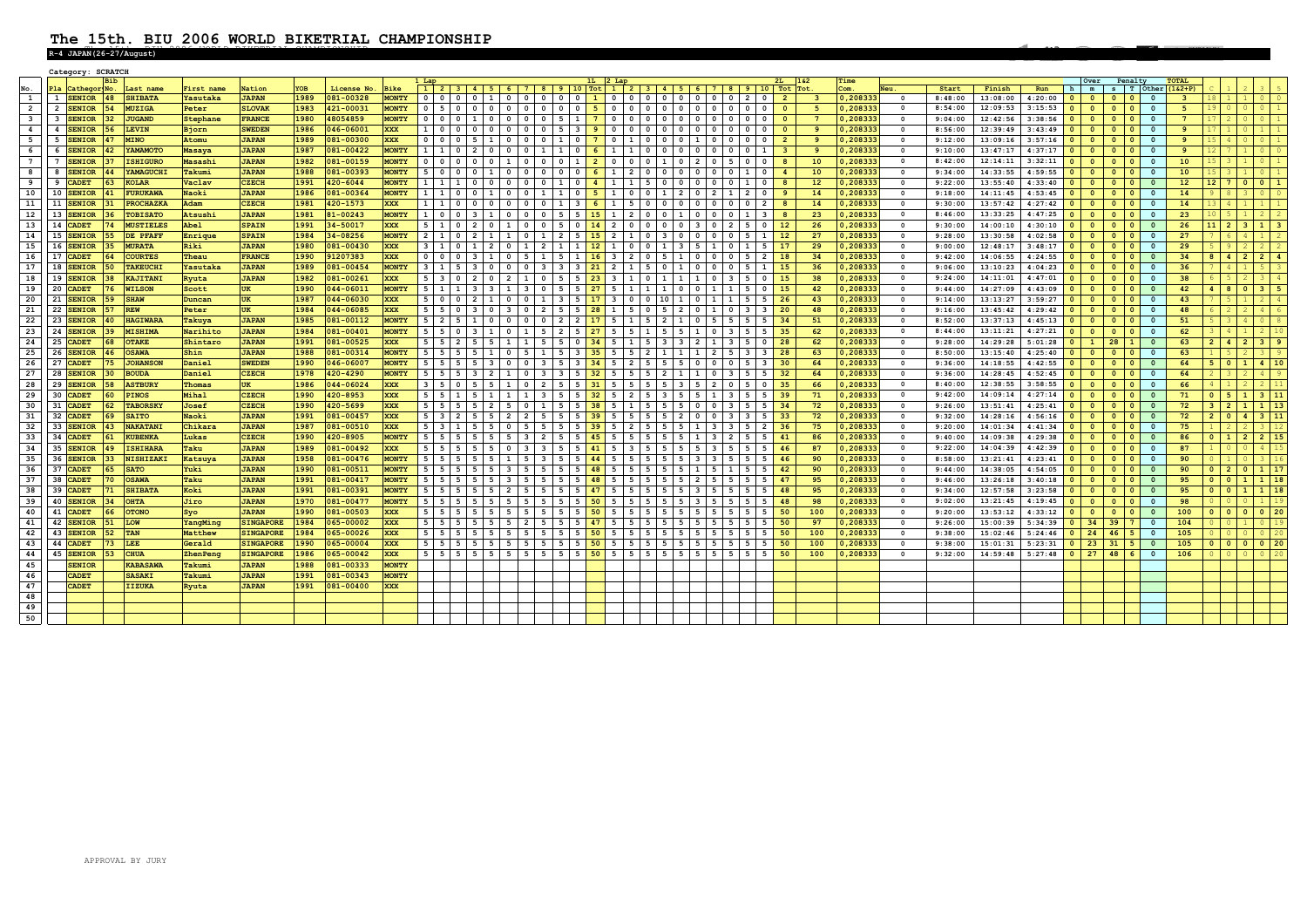# The 15th. BIU 2006 WORLD BIKETRIAL CHAMPIONSHIP **The 15th. BIU 2006 WORLD BIKETRIAL CHAMPIONSHIP R-4 JAPAN(26-27/August)**

|                         |    |               | Category: SCRATC |                       |            |                  |      |                |              |                |                                                                        |                 |                |                          |                          |                                         |            |                          |                                                                                           |                                                    |                                                |                               |                 |           |                         |         |          |                       |                         |                                                    |                    |              |                       |                                  |                    |                    |
|-------------------------|----|---------------|------------------|-----------------------|------------|------------------|------|----------------|--------------|----------------|------------------------------------------------------------------------|-----------------|----------------|--------------------------|--------------------------|-----------------------------------------|------------|--------------------------|-------------------------------------------------------------------------------------------|----------------------------------------------------|------------------------------------------------|-------------------------------|-----------------|-----------|-------------------------|---------|----------|-----------------------|-------------------------|----------------------------------------------------|--------------------|--------------|-----------------------|----------------------------------|--------------------|--------------------|
|                         |    |               |                  |                       |            |                  |      |                |              |                |                                                                        |                 |                |                          |                          |                                         |            |                          |                                                                                           |                                                    |                                                |                               |                 | Time      |                         |         |          |                       |                         | Over                                               | Penalty            |              | <b>TOTAL</b>          |                                  |                    |                    |
|                         |    |               | Pla Cathegor No. | Last name             | First name | Nation           | YOB  | License No.    | <b>Bike</b>  | $\overline{1}$ | $3   4   5   6   7$                                                    |                 |                | $8 \mid 9 \mid 10$ Tot   |                          | $-1$                                    |            |                          |                                                                                           |                                                    | $2$   3   4   5   6   7   8   9   10   Tot Tot |                               |                 | Com.      |                         | Start   | Finish   | Run                   |                         | m                                                  |                    |              | $s$ T Other $(162+P)$ |                                  |                    |                    |
| $\mathbf{1}$            |    | 1 SENIOR      | $ 48\rangle$     | <b>SHIBATA</b>        | Yasutaka   | <b>JAPAN</b>     | 1989 | 081-00328      | <b>MONTY</b> |                | $0$ 0<br> 0 01 00                                                      |                 |                | 0 0 0 1                  |                          |                                         |            |                          |                                                                                           |                                                    | $0$ 0 2<br>$\circ$ 1                           | $\overline{2}$                |                 | 0, 208333 | $\overline{0}$          | 8:48:00 | 13:08:00 | 4:20:00               | $\sim$                  | $\overline{\mathbf{0}}$<br>$\Omega$                | $\circ$            | $\Omega$     | ્વ                    | 18                               |                    | 1 0 0              |
| $\overline{2}$          |    | 2 SENIOR      | 54               | <b>MUZIGA</b>         | Peter      | <b>SLOVAK</b>    | 1983 | 421-00031      | <b>MONTY</b> |                | 0 5 0 1 0 1 0 1 0 1 0 1                                                |                 |                | $0$ 0 0 5                |                          |                                         |            |                          | 0 0 0 0 0 0 0 0                                                                           | $\circ$                                            | $\circ$<br>$\mathbf{0}$<br>$\mathbf{0}$        | $\bullet$                     | -5.             | 0,208333  | $\bullet$               | 8:54:00 | 12:09:53 | 3:15:53               |                         | $\mathbf{0}$<br>$\Omega$                           | $\Omega$           | $\Omega$     | 5                     | 19 <sup>1</sup><br>$\Omega$      |                    | $0 \mid 1$         |
| $\overline{\mathbf{3}}$ |    | 3 SENIOR      | 32 <sup>2</sup>  | <b>JUGAND</b>         | Stephane   | <b>FRANCE</b>    | 1980 | 48054859       | <b>MONTY</b> |                | 0 0 0 1 1 1 0 0 0 0                                                    |                 |                |                          |                          |                                         |            |                          | 0 5 1 7 0 0 0 0 0 0                                                                       | $\circ$                                            | $0$ 0<br>$\circ$                               | - 0                           | $7^{\circ}$     | 0,208333  | $\circ$                 | 9:04:00 | 12:42:56 | 3:38:56               | $\overline{0}$          | $\mathbf{0}$<br>$\overline{\mathbf{0}}$            | $\circ$ 1          | $\Omega$     | $\overline{7}$        |                                  |                    |                    |
| $\overline{\mathbf{4}}$ |    | 4 SENIOR      | 56               | LEVIN                 | Bjorn      | <b>SWEDEN</b>    | 1986 | 046-06001      | <b>XXX</b>   |                | 1 0 0 0 0 0                                                            | $0$ 0           |                |                          |                          |                                         |            |                          | 0 5 3 9 0 0 0 0 0 0                                                                       | $\overline{0}$                                     | $0$ 0<br>$\mathbf 0$                           | - 0                           | 9               | 0,208333  | $\bullet$               | 8:56:00 | 12:39:49 | 3:43:49               | $\bullet$               | $\bullet$<br>$\bullet$                             | $\circ$            | $\mathbf{0}$ | 9                     |                                  |                    | $1 \mid 1$         |
| 5                       |    | 5 SENIOR      | 47               | <b>MINO</b>           | Atomu      | <b>JAPAN</b>     | 1989 | 081-00300      | <b>XXX</b>   |                | $0 0 0 5 1 0 0$                                                        |                 |                |                          |                          |                                         |            |                          | 0  1  0   7  0  1  0  0  0  1                                                             | $\circ$                                            | 0 0 0                                          | $\overline{2}$                | -9              | 0,208333  | $\circ$                 | 9:12:00 | 13:09:16 | 3:57:16               | $\overline{\mathbf{0}}$ | $\bullet$<br>$\overline{\mathbf{0}}$               | $\circ$            | $\mathbf{0}$ | 9                     |                                  |                    |                    |
| 6                       |    | 6 SENIOR      | 42               | <b><i>YAMAMOT</i></b> | Masaya     | <b>JAPAN</b>     | 1987 | 081-00422      | <b>MONTY</b> |                | $1 \mid 1 \mid 0 \mid 2$<br>$\circ$                                    | $0$ 0           | 1              | -1                       |                          | $0 \big  6 \big  1$                     | $\vert$ 1  | $\overline{\phantom{a}}$ | 0 0 0                                                                                     | $\circ$                                            | $\circ$<br>$^{\circ}$<br>$\mathbf{1}$          | $\overline{\mathbf{3}}$       | -9              | 0,208333  | $\circ$                 | 9:10:00 | 13:47:17 | 4:37:17               | - 0                     | $\overline{\mathbf{0}}$<br>$\mathbf{0}$            | $\circ$            | $\Omega$     | -9                    |                                  |                    |                    |
| $7^{\circ}$             |    | 7 SENIOR      |                  | <b>ISHIGURO</b>       | Masashi    | <b>JAPAN</b>     | 1982 | 081-00159      | <b>MONTY</b> |                | 0 0 0 0 0 0 0                                                          | $1 \quad 0$     | $\mathbf{0}$   | $\overline{0}$           | $1\vert 2$               | $\overline{\mathbf{0}}$                 | $0\quad 0$ |                          | 1 0 2                                                                                     | $\circ$                                            | 5<br>$^{\circ}$<br>$\circ$                     |                               | 10 <sup>°</sup> | 0,208333  | $\circ$                 | 8:42:00 | 12:14:11 | 3:32:11               |                         | $\overline{0}$<br>$\overline{\mathbf{0}}$          | $\circ$            | $\mathbf{o}$ | 10 <sup>1</sup>       |                                  |                    |                    |
| 8                       |    | 8 SENIOR      | 44               | <b>YAMAGUCHI</b>      | Takumi     | <b>JAPAN</b>     | 1988 | 081-00393      | <b>MONTY</b> |                | 5000<br>1 <sup>1</sup>                                                 | $0$ 0           | $\circ$        | $\circ$                  | $\overline{\phantom{0}}$ | 6 <sup>6</sup><br>$\mathbf{1}$          | 2 0        |                          | 0 0 0                                                                                     | $\circ$                                            | $0 \mid 1$<br>$\mathbf 0$                      |                               | 10 <sup>°</sup> | 0,20833   | $\overline{\mathbf{0}}$ | 9:34:00 | 14:33:55 | 4:59:55               | $\Omega$                | $\bullet$<br>$\overline{0}$                        | $\circ$            | $\mathbf{0}$ | 10 <sub>1</sub>       | 15                               |                    |                    |
| 9                       |    | 9 CADET       | 63               | <b>KOLAR</b>          | Vaclav     | <b>CZECH</b>     | 1991 | 420-6044       | <b>MONTY</b> |                | $1 \mid 1 \mid$<br>1 0 1<br>$\circ$ 1                                  | $0$ 0           |                | $0$   1   0   4          |                          | $\mathbf{1}$                            |            |                          | 115000                                                                                    | $^{\circ}$                                         | $0 \quad 1$<br>$^{\circ}$                      |                               | 12 <sup>2</sup> | 0,208333  | $\overline{0}$          | 9:22:00 | 13:55:40 | 4:33:40               |                         | $\overline{\mathbf{0}}$<br>$\Omega$                | $\sim$             | $\Omega$     | 12 <sup>7</sup>       |                                  | 1270011            |                    |
|                         |    | 10 SENIOR     |                  |                       | Naoki      | <b>JAPAN</b>     | 1986 | 081-00364      | <b>MONTY</b> |                |                                                                        |                 |                |                          |                          |                                         |            |                          | 1   1   0   5   1   0   0   1   2   0                                                     | $\overline{2}$                                     |                                                |                               | 14              | 0,208333  |                         |         | 14:11:45 |                       |                         |                                                    |                    |              |                       |                                  |                    |                    |
| 10                      |    |               | 41               | <b>FURUKAWA</b>       |            |                  |      |                |              |                | 1   1   0   0   1   0   0                                              |                 |                |                          |                          |                                         |            |                          |                                                                                           |                                                    | $1 \vert 2 \vert$<br>$^{\circ}$                | - 9                           |                 |           | $\circ$                 | 9:18:00 |          | 4:53:45               | - 0                     | $\overline{\mathbf{0}}$<br>$\bullet$               | $\circ$ 1          | $\mathbf{o}$ | 14                    | -9.                              | 3.                 | 0 0                |
| 11                      |    | 11 SENIOR     |                  | <b>PROCHAZKA</b>      | Adam       | <b>CZECH</b>     | 1981 | 420-1573       | <b>XXX</b>   |                | 1 1 0 0 0 0 0 0                                                        |                 |                | $0 \mid 1 \mid 3 \mid 6$ |                          | $\mathbf{1}$                            |            |                          | 500000                                                                                    | $\circ$                                            | $\mathbf{0}$<br>$^{\circ}$<br>$\overline{2}$   | - 8                           | 14              | 0,208333  | $\overline{\mathbf{0}}$ | 9:30:00 | 13:57:42 | 4:27:42               | $\bullet$               | $\overline{0}$<br>$\bullet$                        | $\circ$            | $\mathbf{0}$ | 14                    | $13 \quad 4$                     |                    | $1 \mid 1 \mid 1$  |
| 12                      |    | 13 SENIOR     | 36.              | <b>TOBISATO</b>       | Atsushi    | <b>JAPAN</b>     | 1981 | 81-00243       | <b>MONTY</b> |                | 1 0 0 3 1 0 0                                                          |                 |                |                          |                          |                                         |            |                          | $0$ 5 5 15 1 2 0 0 1 0                                                                    | $\circ$                                            | $0 \mid 1$<br>$\overline{\mathbf{3}}$          |                               | 23              | 0,208333  | $\circ$                 | 8:46:00 | 13:33:25 | 4:47:25               | - 0                     | $\bullet$<br>$\bullet$                             | $\circ$            | $\Omega$     | 23 <sup>°</sup>       |                                  |                    |                    |
| 13                      |    | 14 CADET      | 74               | <b>MUSTIELE:</b>      | Abel       | <b>SPAIN</b>     | 1991 | 34-50017       | <b>XXX</b>   |                | 5   1   0   2   0   1   0                                              |                 |                |                          |                          |                                         |            |                          | $0$ 5 0 14 2 0 0 0 0 3                                                                    | $\circ$<br>$\overline{2}$                          | 5<br>$\mathbf{0}$                              | 12                            | 26              | 0,208333  | $\circ$                 | 9:30:00 | 14:00:10 | 4:30:10               |                         | $\overline{0}$<br>$\Omega$                         | $\circ$            | $\Omega$     | 26                    | 11 2 3 1 3                       |                    |                    |
| 14                      |    | 15 SENIOR     | 55               | DE PFAFI              | Enrique    | <b>SPAIN</b>     | 1984 | 34-08256       | <b>MONTY</b> |                | 2   1   0   2   1   1   0                                              |                 |                |                          |                          | $1 \mid 2 \mid 5 \mid 15 \mid 2 \mid 1$ |            |                          | $0 3 0 0$                                                                                 | $\circ$                                            | $\circ$<br>5<br>$\mathbf{1}$                   | 12                            | 27              | 0,208333  | $\circ$                 | 9:28:00 | 13:30:58 | 4:02:58               |                         | $\overline{0}$<br>$\overline{\mathbf{0}}$          | $\circ$            | $\mathbf{o}$ | 27                    |                                  |                    |                    |
| 15                      |    | 16 SENIOR     | 35               | <b>MURATA</b>         | Riki       | <b>JAPAN</b>     | 1980 | 081-00430      | <b>XXX</b>   |                | $3 \mid 1 \mid 0 \mid 1 \mid 2$                                        | $0 \quad 1$     | $\overline{2}$ |                          |                          | $1 \mid 1 \mid 12 \mid 1$               |            |                          | 0 0 1 3 5                                                                                 | $\mathbf{1}$<br>$\mathbf 0$                        | 5<br>1                                         | 17                            | 29              | 0,208333  | $\overline{\mathbf{0}}$ | 9:00:00 | 12:48:17 | 3:48:17               | $\sqrt{2}$              | $\overline{0}$<br>$\overline{0}$                   | $\circ$            | $\mathbf{0}$ | 29                    | $5 -$                            |                    | $2 \mid 2$         |
| 16                      |    | 17 CADET      | 64               | <b>COURTES</b>        | Theau      | <b>FRANCE</b>    | 1990 | 91207383       | <b>XXX</b>   |                | $0$ 0 0 3 1 0 5                                                        |                 |                |                          |                          |                                         |            |                          | $1 \mid 5 \mid 1 \mid 16 \mid 3 \mid 2 \mid 0 \mid 5 \mid 1 \mid 0$                       | $\circ$<br>$\mathbf 0$                             | 5<br>$\overline{2}$                            | 18                            | 34              | 0,208333  | $\overline{\mathbf{0}}$ | 9:42:00 | 14:06:55 | 4:24:55               | $\Omega$                | $\bullet$<br>$\overline{0}$                        | $\circ$            | $\mathbf{0}$ | 34                    |                                  | 84224              |                    |
| 17                      |    | 18 SENIOR     | 50               | <b>TAKEUCH</b>        | Yasutaka   | <b>JAPAN</b>     | 1989 | 081-00454      | <b>MONTY</b> |                | 3 1 5 3 0 0 0                                                          |                 |                |                          |                          | 3 3 3 21 2 1                            |            |                          | 5010                                                                                      | $^{\circ}$<br>$^{\circ}$                           | 5<br>$\mathbf{1}$                              | 15                            | 36              | 0,208333  | $\overline{0}$          | 9:06:00 | 13:10:23 | 4:04:23               |                         | $\overline{0}$<br>$\overline{\mathbf{0}}$          | $\Omega$           | $\Omega$     | 36 <sup>°</sup>       | 7                                |                    | $5 \mid 3$         |
| 18                      |    | 19 SENIOR     | 38               | <b>KAJITANI</b>       | Ryuta      | <b>JAPAN</b>     | 1982 | 081-00261      | <b>XXX</b>   |                | 5 3 0 2 0 2 1                                                          |                 | $\circ$        |                          |                          |                                         |            |                          | $5 \mid 5 \mid 23 \mid 3 \mid 1 \mid 0 \mid 1 \mid 1 \mid 1$                              | $\circ$<br>$\overline{\mathbf{3}}$                 | 5<br>$\circ$                                   | <b>15</b>                     | 38              | 0,208333  | $\bullet$               | 9:24:00 | 14:11:01 | 4:47:01               | - 0                     | $\overline{0}$                                     | $\circ$<br>$\circ$ | $\mathbf{o}$ | 38                    |                                  |                    |                    |
| 19                      |    | 20 CADET      | 76               | <b>WILSON</b>         | Scott      | <b>UK</b>        | 1990 | 044-06011      | <b>MONTY</b> |                | 5 1 1 1 3 3 1 1 3                                                      |                 |                |                          |                          |                                         |            |                          | 0 5 5 27 5 1 1 1 0 0                                                                      | $\mathbf{1}$                                       | $1 \mid 5$<br>$\mathbf{0}$                     | 15                            | 42              | 0,208333  | $\overline{\mathbf{0}}$ | 9:44:00 | 14:27:09 | 4:43:09               |                         | $\circ$<br>$\overline{0}$                          | $\circ$            | $\mathbf{0}$ | 42                    |                                  | 4 8 0 3 5          |                    |
| 20                      |    | 21 SENIOR     | 59               | <b>SHAW</b>           | Duncan     | <b>UK</b>        | 1987 | 044-06030      | <b>XXX</b>   |                | 5 0 0 2 1 0 0                                                          |                 |                |                          |                          |                                         |            |                          | $1 \mid 3 \mid 5 \mid 17 \mid 3 \mid 0 \mid 0 \mid 10 \mid 1 \mid 0 \mid 1 \mid 1 \mid 5$ |                                                    |                                                | $5 \mid 26$                   | 43              | 0,208333  | $\overline{\mathbf{0}}$ | 9:14:00 | 13:13:27 | 3:59:27               | $\overline{\mathbf{0}}$ | $\bullet$<br>$\bullet$                             | $\circ$            | $\mathbf{0}$ | 43                    |                                  |                    | $2 \mid 4$         |
|                         |    | 22 SENIOR     | 57               | <b>REW</b>            | Peter      | UK               | 1984 | 044-06085      | <b>XXX</b>   |                | 5 5 0 3 0 3 0                                                          |                 |                |                          |                          |                                         |            |                          | 2 5 5 28 1 5 0 5 2 0                                                                      | 1<br>$^{\circ}$                                    | $\overline{\mathbf{3}}$                        | $3 \mid 20$                   | 48              | 0,208333  | $\circ$                 |         | 13:45:42 | 4:29:42               |                         | $\bullet$<br>$\overline{\mathbf{0}}$               | $\Omega$           | $\Omega$     | 48                    |                                  |                    | $4 \mid 6$         |
| 21<br>22                |    | 23 SENIOR     |                  | <b>HAGIWARI</b>       |            | <b>JAPAN</b>     | 1985 | 081-00112      | <b>MONTY</b> |                | $5 \t2 \t5 \t1$                                                        | $0$ 0           |                |                          |                          | $2$   2   17   5   1                    |            |                          | 52110                                                                                     | 5                                                  |                                                |                               | 51              | 0,208333  | $\circ$                 | 9:16:00 | 13:37:13 | 4:45:13               |                         |                                                    |                    |              |                       |                                  |                    |                    |
|                         |    |               | 40               |                       | Takuya     |                  |      |                |              |                | $\circ$                                                                |                 | $\circ$        |                          |                          |                                         |            |                          |                                                                                           | 5                                                  | 5                                              | $5 \mid 34$                   |                 |           |                         | 8:52:00 |          |                       | - 0                     | $\overline{\mathbf{0}}$<br>$\overline{\mathbf{0}}$ | $\circ$            | $\mathbf{0}$ | 51                    | $5 -$                            |                    |                    |
| 23                      |    | 24 SENIOR     | 39               | <b>MISHIMA</b>        | Narihito   | <b>JAPAN</b>     | 1984 | 081-00401      | <b>MONTY</b> |                | $5 \mid 5 \mid 0 \mid 3$<br>$\mathbf{1}$                               | $0 \quad 1$     | 5 <sub>1</sub> | $\overline{2}$           | $5 \mid 27 \mid$         | 5                                       | 5 1        |                          | $5 \mid 5 \mid 1$                                                                         | $\circ$                                            | $\overline{\mathbf{3}}$<br>$5\overline{5}$     | $5\vert 35$                   | 62              | 0,208333  | $\overline{\mathbf{0}}$ | 8:44:00 | 13:11:21 | 4:27:21               |                         | $\overline{0}$<br>$\Omega$                         | $\Omega$           | $\mathbf{0}$ | 62                    |                                  |                    | $2 \mid 10$        |
| 24                      |    | 25 CADET      | 68               | <b>OTAKE</b>          | Shintaro   | <b>JAPAN</b>     | 1991 | 081-00525      | <b>XXX</b>   |                | 5 5 2 5 5 1 1                                                          |                 |                |                          |                          | 5 5 0 34 5 1                            |            |                          | 5 3 3 2                                                                                   | 1                                                  | $3 \mid 5 \mid$                                | $\circ$<br>28                 | 62              | 0,20833   | $\circ$                 | 9:28:00 | 14:29:28 | 5:01:28               | $\Omega$                | $\mathbf{1}$                                       | 28<br>$\sim$       | $\mathbf{o}$ | 63                    |                                  | 2   4   2   3   9  |                    |
| 25                      |    | 26 SENIOR     | 46               | <b>OSAWA</b>          | Shin       | <b>JAPAN</b>     | 1988 | 081-00314      | <b>MONTY</b> |                | $5 \mid 5 \mid 5 \mid 5 \mid 1 \mid$                                   | $0 \quad 5$     |                |                          |                          |                                         |            |                          | $1 \mid 5 \mid 3 \mid 35 \mid 5 \mid 5 \mid 2 \mid 1 \mid 1 \mid 1$                       | $\overline{2}$                                     | $5 \mid 3$                                     | 28<br>$\overline{\mathbf{3}}$ | 63              | 0,208333  | $\overline{0}$          | 8:50:00 | 13:15:40 | 4:25:40               | $\Omega$                | $\overline{\mathbf{0}}$<br>$\bullet$               | $\circ$            | $\Omega$     | 63                    | $\mathbf{1}$                     | $\mathcal{L}$      | $3 \mid 9$         |
| 26                      |    | 27 CADET      | 75               | <b>JOHANSON</b>       | Daniel     | <b>SWEDEN</b>    | 1990 | 046-06007      | <b>MONTY</b> |                | $5 \mid 5 \mid 5 \mid 5 \mid 3 \mid 0 \mid 0$                          |                 |                |                          |                          |                                         |            |                          | $3 \mid 5 \mid 3 \mid 34 \mid 5 \mid 2 \mid 5 \mid 5 \mid 5$ 0                            | $\mathbf 0$                                        | $0 \t 5 \t 3 \t 30$                            |                               | 64              | 0,208333  | $\circ$                 | 9:36:00 | 14:18:55 | 4:42:55               | - 0                     | $\bullet$<br>$\bullet$                             | $\circ$            | $\mathbf{0}$ | 64                    | 5011410                          |                    |                    |
| 27                      |    | 28 SENIOR     | 30               | <b>BOUDA</b>          | Daniel     | <b>CZECH</b>     | 1978 | 420-4290       | <b>MONTY</b> |                | $5 \mid 5 \mid 5 \mid 3 \mid 2 \mid 1 \mid 0$                          |                 |                |                          |                          |                                         |            |                          | $3 \mid 3 \mid 5 \mid 32 \mid 5 \mid 5 \mid 5 \mid 2 \mid 1 \mid 1$                       | $\circ$                                            | 3 <sup>1</sup><br>$-5 -$                       | $5 \mid 32$                   | 64              | 0,208333  | $\bullet$               | 9:36:00 | 14:28:45 | 4:52:45               | <b>0</b>                | $\bullet$<br>$\bullet$                             | $\circ$            | $\mathbf{0}$ | 64                    | $\overline{2}$<br>$\mathcal{R}$  | 2 <sup>1</sup>     | $4 \mid 9$         |
| 28                      |    | 29 SENIOR     | 58               | <b>ASTBUR</b>         | Thomas     | UK               | 1986 | 044-06024      | <b>XXX</b>   |                | 3   5   0   5   5   1   0   2   5   5   31   5   5   5   5   5   3   5 |                 |                |                          |                          |                                         |            |                          |                                                                                           | $\overline{2}$                                     | $0 \quad 5$                                    | $0$ 35                        | 66              | 0,208333  | $\circ$                 | 8:40:00 | 12:38:55 | 3:58:55               | $\overline{0}$          | $\bullet$<br>$\bullet$                             | $\Omega$           | $\Omega$     | 66                    | $\overline{4}$                   |                    | 2 11               |
| 29                      |    | 30 CADET      | 60               | <b>PINOS</b>          | Mihal      | <b>CZECH</b>     | 1990 | 420-8953       | <b>XXX</b>   |                | $5 \mid 5 \mid 1 \mid 5 \mid 1 \mid 1 \mid 1 \mid 3 \mid$              |                 |                |                          |                          |                                         |            |                          | 5 5 32 5 2 5 3 55                                                                         | 1                                                  | 3 <sup>1</sup><br>5                            | 5 I<br>39                     | 71              | 0,208333  | $\circ$                 | 9:42:00 | 14:09:14 | 4:27:14               | $\Omega$                | $\overline{\mathbf{0}}$<br>$\overline{0}$          | 0 <sup>1</sup>     | $\mathbf{0}$ | 71                    |                                  | 0 5 1 3 11         |                    |
| 30                      |    | 31 CADET      | 62               | <b>TABORSK</b>        | Josef      | <b>CZECH</b>     | 1990 | 420-5699       | <b>XXX</b>   |                | $5 \mid 5 \mid 5 \mid 5 \mid 2 \mid 5 \mid 0$                          |                 |                |                          |                          |                                         |            |                          | $1 \mid 5 \mid 5 \mid 38 \mid 5 \mid 1 \mid 5 \mid 5 \mid 5 \mid 0$                       | $\circ$                                            | $3 \mid 5 \mid$                                | $5 \mid 34$                   | 72              | 0,208333  | $\overline{\mathbf{0}}$ | 9:26:00 | 13:51:41 | 4:25:41               |                         | $\bullet$<br>$\overline{\mathbf{0}}$               | $\circ$            | $\mathbf{0}$ | 72                    |                                  |                    |                    |
| 31                      |    | 32 CADET      | 69               | <b>SAITO</b>          | Naoki      | <b>JAPAN</b>     | 1991 | 081-00457      | <b>XXX</b>   |                | $5 \mid 3 \mid 2 \mid 5 \mid 5 \mid$                                   | $2 \mid 2 \mid$ | 5 <sub>1</sub> |                          |                          |                                         |            |                          | 5 5 39 5 55 5 52 0                                                                        | $\circ$                                            | $3 \mid 3 \mid$                                | $5 \mid 33$                   | 72              | 0,20833   | $\bullet$               | 9:32:00 | 14:28:16 | 4:56:16               | $\sqrt{2}$              | $\bullet$<br>$\overline{0}$                        | $\circ$            | $\mathbf{0}$ | 72                    | $2$ 0                            |                    | $4 \mid 3 \mid 11$ |
| 32                      | 33 | <b>SENIOR</b> | 43               | <b>NAKATAN</b>        | Chikara    | <b>JAPAN</b>     | 1987 | 081-00510      | <b>XXX</b>   |                | $5 \mid 3 \mid 1 \mid 5 \mid 5 \mid 0 \mid 5$                          |                 | 51             |                          |                          |                                         |            |                          | 5 5 39 5 2 5 5 5 1                                                                        | $\overline{\mathbf{3}}$<br>$\overline{\mathbf{3}}$ | $\overline{2}$<br>5                            | 36                            | 75              | 0,208333  | $\overline{0}$          | 9:20:00 | 14:01:34 | 4:41:34               |                         | $\overline{\mathbf{0}}$<br>$\Omega$                | $\circ$            | $\Omega$     | 75                    |                                  |                    | $3 \mid 12$        |
| 33                      | 34 | <b>CADET</b>  | 61               | <b>KUBENKA</b>        | Lukas      | <b>CZECH</b>     | 1990 | 420-8905       | <b>MONTY</b> |                | 5 5 5 5 5 5 5 5 3                                                      |                 | $\overline{2}$ |                          |                          |                                         |            |                          | 5   5   45   5   5   5   5   5   1                                                        | $\overline{\mathbf{3}}$<br>$\overline{2}$          | 5<br>5                                         | 41                            | 86              | 0,208333  | $\circ$                 | 9:40:00 | 14:09:38 | 4:29:38               | $\Omega$                | $\bullet$<br>$\bullet$                             | $\circ$            | $\mathbf{0}$ | 86                    |                                  | 0   1   2   2   15 |                    |
| 34                      | 35 | <b>SENIOR</b> | 49               | <b>ISHIHARA</b>       | Taku       | <b>JAPAN</b>     | 1989 | 081-00492      | <b>XXX</b>   |                | $5 \mid 5 \mid 5 \mid 5 \mid 5 \mid 0 \mid 3$                          |                 | 3 <sup>1</sup> |                          |                          | $5 \t 5 \t 41 \t 5$                     |            |                          | 3 5 5 5 5 5                                                                               | $\overline{\mathbf{3}}$<br>5                       | 5 <sub>5</sub><br>5                            | 46                            | 87              | 0,208333  | $\overline{\mathbf{0}}$ | 9:22:00 | 14:04:39 | 4:42:39               |                         | $\bullet$<br>$\overline{0}$                        | $\circ$            | $\mathbf{o}$ | 87                    |                                  |                    | $4 \mid 15$        |
| 35                      |    | 36 SENIOR     | 33               | <b>NISHIZAKI</b>      | Katsuya    | <b>JAPAN</b>     | 1958 | 081-00476      | <b>MONTY</b> |                | $5 \mid 5 \mid 5 \mid 5 \mid 5 \mid 1 \mid 5 \mid$                     |                 |                |                          |                          |                                         |            |                          | 3 5 5 44 5 5 5 5 5 6 3                                                                    | $\overline{\mathbf{3}}$                            | 5 <sup>1</sup><br>5<br>5                       | 46                            | 90              | 0,208333  | $\bullet$               | 8:58:00 | 13:21:41 | 4:23:41               | - 0                     | $\bullet$<br>$\bullet$                             | $\circ$            | $\Omega$     | 90                    |                                  |                    | 3   16             |
|                         |    |               |                  |                       |            |                  |      |                |              |                |                                                                        |                 |                |                          |                          |                                         |            |                          |                                                                                           |                                                    |                                                |                               |                 |           | $\circ$                 |         | 14:38:05 | 4:54:05               |                         |                                                    |                    |              |                       |                                  |                    |                    |
| 36                      |    | 37 CADET      | 65               | <b>SATO</b>           | Yuki       | <b>JAPAN</b>     | 1990 | 081-00511      | <b>MONTY</b> |                | $5 \mid 5 \mid 5 \mid 5 \mid 5 \mid 3 \mid 5$                          |                 |                |                          |                          |                                         |            |                          | 5 5 5 48 5 5 5 5 5 1                                                                      | 5<br>$\mathbf{1}$                                  | 5<br>5                                         | 42                            | 90              | 0,208333  |                         | 9:44:00 |          |                       | $\overline{0}$          | $\bullet$<br>$\overline{0}$                        | $\circ$            | $\mathbf{0}$ | 90                    | $\overline{0}$<br>$\overline{2}$ |                    | $0 \mid 1 \mid 17$ |
| 37                      |    | 38 CADET      | 70               | <b>OSAWA</b>          | Taku       | <b>JAPAN</b>     | 1991 | 081-00417      | <b>MONTY</b> |                | 5 5 5 5 5 3 5                                                          |                 | 5 <sub>1</sub> |                          |                          |                                         |            |                          | $5 \mid 5 \mid 48 \mid 5 \mid 5 \mid 5 \mid 5 \mid 2$                                     | 5                                                  | $5 \mid 5$                                     | 5 I<br>47                     | 95              | 0,208333  | $\circ$                 | 9:46:00 | 13:26:18 | 3:40:18               |                         | $\bullet$<br>$\overline{\mathbf{0}}$               | $\circ$            | $\mathbf{0}$ | 95                    | $\bullet$<br>$\overline{0}$      |                    | $1 \mid 1 \mid 18$ |
| 38                      | 39 | <b>CADET</b>  | 71               | <b>SHIBATI</b>        | Koki       | <b>JAPAN</b>     | 1991 | 081-00391      | <b>MONTY</b> |                | $5 \mid 5 \mid 5 \mid 5 \mid 5$                                        | 2 5             | 5 <sup>1</sup> |                          |                          | $5 \t 5 \t 47 \t 5$                     |            |                          | 5 5 5 5 5 3                                                                               | 5                                                  | 5<br>$5\overline{5}$<br>5                      | 48                            | 95              | 0,208333  | $\overline{\mathbf{0}}$ | 9:34:00 | 12:57:58 | 3:23:58               |                         | $\bullet$<br>$\Omega$                              | $\Omega$           | $\mathbf{o}$ | 95                    | $\circ$<br>$\bullet$             |                    | $1 \mid 1 \mid 18$ |
| 39                      | 40 | <b>SENIOF</b> |                  | <b>OHTA</b>           | Jiro       | <b>JAPAN</b>     | 1970 | 081-00477      | <b>MONTY</b> |                | $5 \mid 5 \mid 5 \mid 5$<br>- 5                                        | 5 5             | 5 <sub>1</sub> | 5                        | $5\vert 50$              | 5                                       | 5          | 5                        | 55<br>$\overline{\mathbf{3}}$                                                             | 5<br>5                                             | 5<br>5                                         | 48                            | 98              | 0,20833   | $\bullet$               | 9:02:00 | 13:21:45 | 4:19:45               |                         | $\bullet$<br>$\Omega$                              | $\Omega$           | $\mathbf{0}$ | 98                    |                                  |                    | $1 \mid 19$        |
| 40                      | 41 | <b>CADET</b>  | 66.              | OTONO                 | Syo        | <b>JAPAN</b>     | 1990 | 081-00503      | <b>XXX</b>   |                | 5 5 5 5 5 5 5 5 5                                                      |                 |                |                          |                          |                                         |            |                          | 5 5 5 5 5 6 5 5 5 5 5 5 6                                                                 | 5                                                  | 5 I<br>5                                       | $5\vert 50$                   | 100             | 0,20833   | $\circ$                 | 9:20:00 | 13:53:12 | 4:33:12               | $\Omega$                | $\overline{\mathbf{0}}$<br>$\Omega$                | $\circ$            | $\Omega$     | 100                   |                                  |                    |                    |
| 41                      |    | 42 SENIOR     | 51               | <b>LOW</b>            | YangMing   | <b>SINGAPORE</b> | 1984 | 065-00002      | <b>XXX</b>   |                | $5 \ 5 \ 5 \ 5$<br>5                                                   | $5 \mid 2$      | 5 <sub>1</sub> | 5                        |                          | $5 \vert 47 \vert 5$                    |            |                          | 5 5 5 5 5 5                                                                               | 5<br>5                                             | 5<br>5                                         | 50                            | 97              | 0,208333  | $\circ$                 | 9:26:00 | 15:00:39 | 5:34:39               |                         | 34<br>39                                           | 7 <sup>1</sup>     | $\Omega$     | 104                   |                                  |                    | $0 \mid 19$        |
| 42                      |    | 43 SENIOR     | 52               | <b>TAN</b>            | Matthew    | <b>SINGAPORE</b> | 1984 | 065-00026      | <b>XXX</b>   |                | $5 \mid 5 \mid 5 \mid 5 \mid 5 \mid 5 \mid 5$                          |                 |                |                          |                          |                                         |            |                          | 5 5 5 5 5 6 5 5 5 5 5 5 6                                                                 | 5                                                  | 5<br>5<br>5                                    | 50                            | 100             | 0,208333  | $\circ$                 | 9:38:00 | 15:02:46 | 5:24:46               |                         | 24                                                 | 46<br>- 5 L        |              | 105                   |                                  |                    |                    |
| 43                      |    | 44 CADET      | 73               | LEE.                  | Gerald     | <b>SINGAPORE</b> | 1990 | 065-00004      | <b>XXX</b>   |                |                                                                        |                 |                |                          |                          |                                         |            |                          |                                                                                           |                                                    | 51                                             | 50                            | 100             | 0,208333  | $\circ$                 | 9:38:00 | 15:01:31 | 5:23:31               | - 0                     | $\vert$ 23                                         | $31 \mid 5 \mid$   | $\Omega$     | 105                   |                                  | $0 0 0 0 0 20$     |                    |
| 44                      |    | 45 SENIOR     |                  | <b>CHUA</b>           | ZhenPeng   | <b>SINGAPORE</b> | 1986 | 065-00042      | <b>XXX</b>   |                |                                                                        |                 |                |                          |                          |                                         |            |                          |                                                                                           |                                                    |                                                |                               | 100             | 0,208333  | $\circ$                 | 9:32:00 | 14:59:48 | $5:27:48$ 0 27 48 6 0 |                         |                                                    |                    |              | 106                   |                                  |                    |                    |
| 45                      |    | <b>SENIOR</b> |                  | <b>KABASAW</b>        | Takumi     | <b>JAPAN</b>     | 1988 | 081-00333      | <b>MONTY</b> |                |                                                                        |                 |                |                          |                          |                                         |            |                          |                                                                                           |                                                    |                                                |                               |                 |           |                         |         |          |                       |                         |                                                    |                    |              |                       |                                  |                    |                    |
| 46                      |    | <b>CADET</b>  |                  | <b>SASAKI</b>         | Takumi     | <b>JAPAN</b>     | 1991 | 081-00343      | <b>MONTY</b> |                |                                                                        |                 |                |                          |                          |                                         |            |                          |                                                                                           |                                                    |                                                |                               |                 |           |                         |         |          |                       |                         |                                                    |                    |              |                       |                                  |                    |                    |
| 47                      |    | <b>CADET</b>  |                  | <b>IIZUKA</b>         | Rvuta      | <b>JAPAN</b>     | 1991 | $ 081 - 00400$ | <b>XXX</b>   |                |                                                                        |                 |                |                          |                          |                                         |            |                          |                                                                                           |                                                    |                                                |                               |                 |           |                         |         |          |                       |                         |                                                    |                    |              |                       |                                  |                    |                    |
| 48                      |    |               |                  |                       |            |                  |      |                |              |                |                                                                        |                 |                |                          |                          |                                         |            |                          |                                                                                           |                                                    |                                                |                               |                 |           |                         |         |          |                       |                         |                                                    |                    |              |                       |                                  |                    |                    |
| 49                      |    |               |                  |                       |            |                  |      |                |              |                |                                                                        |                 |                |                          |                          |                                         |            |                          |                                                                                           |                                                    |                                                |                               |                 |           |                         |         |          |                       |                         |                                                    |                    |              |                       |                                  |                    |                    |
|                         |    |               |                  |                       |            |                  |      |                |              |                |                                                                        |                 |                |                          |                          |                                         |            |                          |                                                                                           |                                                    |                                                |                               |                 |           |                         |         |          |                       |                         |                                                    |                    |              |                       |                                  |                    |                    |
| 50                      |    |               |                  |                       |            |                  |      |                |              |                |                                                                        |                 |                |                          |                          |                                         |            |                          |                                                                                           |                                                    |                                                |                               |                 |           |                         |         |          |                       |                         |                                                    |                    |              |                       |                                  |                    |                    |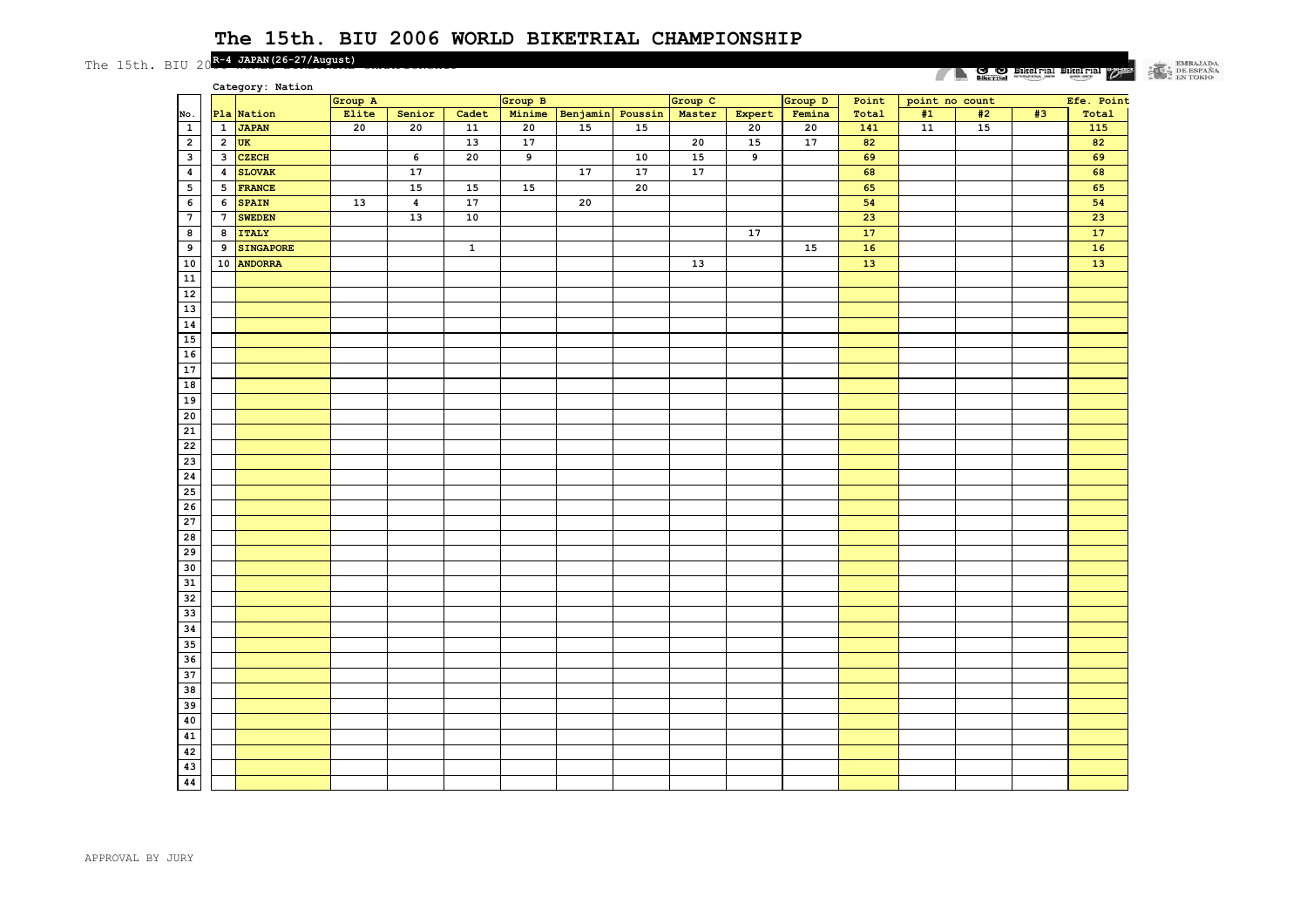The 15th. BIU 20<sup>R-4</sup> JAPAN(26-27/August)

#### $\begin{tabular}{|c|c|} \hline & EMBAIADA \\ \hline & DE ESPAÑA \\ \hline & EN TOKIO \\ \hline \end{tabular}$ **EXECUTE DESCRIPTION OF STRAIGHTEN CARGO**

|                          |                  | Category: Nation |         |                  |                 |         |          |            |         |        |         |       |                | $\frac{1}{2}$ sext <b>MINITIAL</b> |    | ممشاشف               |
|--------------------------|------------------|------------------|---------|------------------|-----------------|---------|----------|------------|---------|--------|---------|-------|----------------|------------------------------------|----|----------------------|
|                          |                  |                  | Group A |                  |                 | Group B |          |            | Group C |        | Group D | Point | point no count |                                    |    | Efe. Point           |
| No.                      |                  | Pla Nation       | Elite   | Senior           | Cadet           | Minime  | Benjamin | Poussin    | Master  | Expert | Femina  | Total | #1             | #2                                 | #3 | $\text{{\tt Total}}$ |
| $\mathbf{1}$             | $\mathbf{1}$     | <b>JAPAN</b>     | 20      | 20               | $\overline{11}$ | 20      | 15       | 15         |         | 20     | 20      | 141   | ${\bf 11}$     | 15                                 |    | 115                  |
| $\mathbf 2$              | $\overline{2}$   | <b>UK</b>        |         |                  | 13              | 17      |          |            | 20      | 15     | 17      | 82    |                |                                    |    | 82                   |
| $\overline{\mathbf{3}}$  | 3                | <b>CZECH</b>     |         | 6                | 20              | 9       |          | ${\bf 10}$ | 15      | 9      |         | 69    |                |                                    |    | 69                   |
| $\pmb{4}$                | $\boldsymbol{4}$ | <b>SLOVAK</b>    |         | 17               |                 |         | 17       | 17         | 17      |        |         | 68    |                |                                    |    | 68                   |
| $\overline{\phantom{a}}$ | $5\phantom{.0}$  | <b>FRANCE</b>    |         | 15               | 15              | 15      |          | 20         |         |        |         | 65    |                |                                    |    | 65                   |
| 6                        | 6                | <b>SPAIN</b>     | 13      | $\boldsymbol{4}$ | 17              |         | 20       |            |         |        |         | 54    |                |                                    |    | 54                   |
| $\overline{7}$           | $7\phantom{.0}$  | <b>SWEDEN</b>    |         | 13               | 10              |         |          |            |         |        |         | 23    |                |                                    |    | 23                   |
| $\bf{8}$                 | 8                | <b>ITALY</b>     |         |                  |                 |         |          |            |         | 17     |         | 17    |                |                                    |    | 17                   |
| 9                        | 9                | <b>SINGAPORE</b> |         |                  | $\mathbf 1$     |         |          |            |         |        | 15      | 16    |                |                                    |    | 16                   |
| 10                       |                  | 10 ANDORRA       |         |                  |                 |         |          |            | 13      |        |         | 13    |                |                                    |    | 13                   |
| 11                       |                  |                  |         |                  |                 |         |          |            |         |        |         |       |                |                                    |    |                      |
| 12                       |                  |                  |         |                  |                 |         |          |            |         |        |         |       |                |                                    |    |                      |
| 13                       |                  |                  |         |                  |                 |         |          |            |         |        |         |       |                |                                    |    |                      |
| 14                       |                  |                  |         |                  |                 |         |          |            |         |        |         |       |                |                                    |    |                      |
| 15                       |                  |                  |         |                  |                 |         |          |            |         |        |         |       |                |                                    |    |                      |
| 16                       |                  |                  |         |                  |                 |         |          |            |         |        |         |       |                |                                    |    |                      |
| 17                       |                  |                  |         |                  |                 |         |          |            |         |        |         |       |                |                                    |    |                      |
| 18                       |                  |                  |         |                  |                 |         |          |            |         |        |         |       |                |                                    |    |                      |
| 19                       |                  |                  |         |                  |                 |         |          |            |         |        |         |       |                |                                    |    |                      |
| 20                       |                  |                  |         |                  |                 |         |          |            |         |        |         |       |                |                                    |    |                      |
| 21                       |                  |                  |         |                  |                 |         |          |            |         |        |         |       |                |                                    |    |                      |
| 22                       |                  |                  |         |                  |                 |         |          |            |         |        |         |       |                |                                    |    |                      |
| 23                       |                  |                  |         |                  |                 |         |          |            |         |        |         |       |                |                                    |    |                      |
| 24                       |                  |                  |         |                  |                 |         |          |            |         |        |         |       |                |                                    |    |                      |
| 25                       |                  |                  |         |                  |                 |         |          |            |         |        |         |       |                |                                    |    |                      |
| 26                       |                  |                  |         |                  |                 |         |          |            |         |        |         |       |                |                                    |    |                      |
| 27                       |                  |                  |         |                  |                 |         |          |            |         |        |         |       |                |                                    |    |                      |
| 28                       |                  |                  |         |                  |                 |         |          |            |         |        |         |       |                |                                    |    |                      |
| $\overline{29}$          |                  |                  |         |                  |                 |         |          |            |         |        |         |       |                |                                    |    |                      |
| 30                       |                  |                  |         |                  |                 |         |          |            |         |        |         |       |                |                                    |    |                      |
| 31                       |                  |                  |         |                  |                 |         |          |            |         |        |         |       |                |                                    |    |                      |
| 32                       |                  |                  |         |                  |                 |         |          |            |         |        |         |       |                |                                    |    |                      |
| 33                       |                  |                  |         |                  |                 |         |          |            |         |        |         |       |                |                                    |    |                      |
| 34                       |                  |                  |         |                  |                 |         |          |            |         |        |         |       |                |                                    |    |                      |
| 35                       |                  |                  |         |                  |                 |         |          |            |         |        |         |       |                |                                    |    |                      |
| 36                       |                  |                  |         |                  |                 |         |          |            |         |        |         |       |                |                                    |    |                      |
| 37                       |                  |                  |         |                  |                 |         |          |            |         |        |         |       |                |                                    |    |                      |
| 38                       |                  |                  |         |                  |                 |         |          |            |         |        |         |       |                |                                    |    |                      |
| 39                       |                  |                  |         |                  |                 |         |          |            |         |        |         |       |                |                                    |    |                      |
| 40                       |                  |                  |         |                  |                 |         |          |            |         |        |         |       |                |                                    |    |                      |
| 41                       |                  |                  |         |                  |                 |         |          |            |         |        |         |       |                |                                    |    |                      |
| 42                       |                  |                  |         |                  |                 |         |          |            |         |        |         |       |                |                                    |    |                      |
| 43                       |                  |                  |         |                  |                 |         |          |            |         |        |         |       |                |                                    |    |                      |
| 44                       |                  |                  |         |                  |                 |         |          |            |         |        |         |       |                |                                    |    |                      |